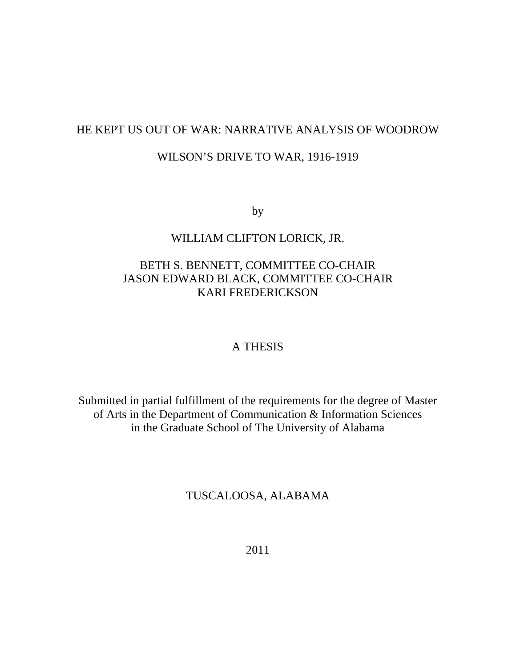## HE KEPT US OUT OF WAR: NARRATIVE ANALYSIS OF WOODROW

### WILSON'S DRIVE TO WAR, 1916-1919

by

## WILLIAM CLIFTON LORICK, JR.

## BETH S. BENNETT, COMMITTEE CO-CHAIR JASON EDWARD BLACK, COMMITTEE CO-CHAIR KARI FREDERICKSON

### A THESIS

Submitted in partial fulfillment of the requirements for the degree of Master of Arts in the Department of Communication & Information Sciences in the Graduate School of The University of Alabama

### TUSCALOOSA, ALABAMA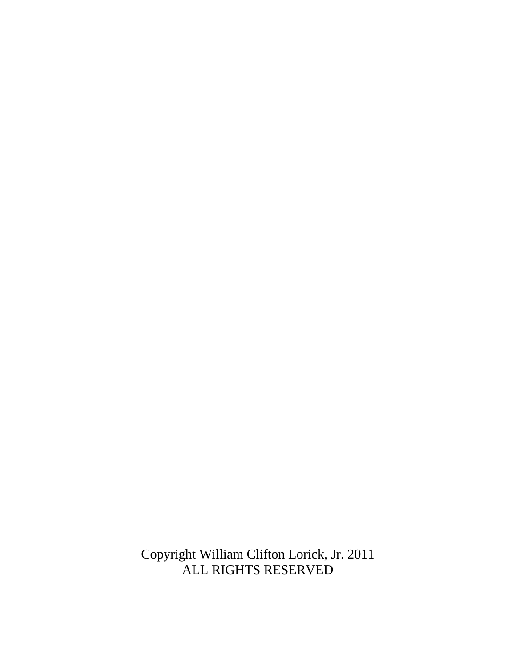Copyright William Clifton Lorick, Jr. 2011 ALL RIGHTS RESERVED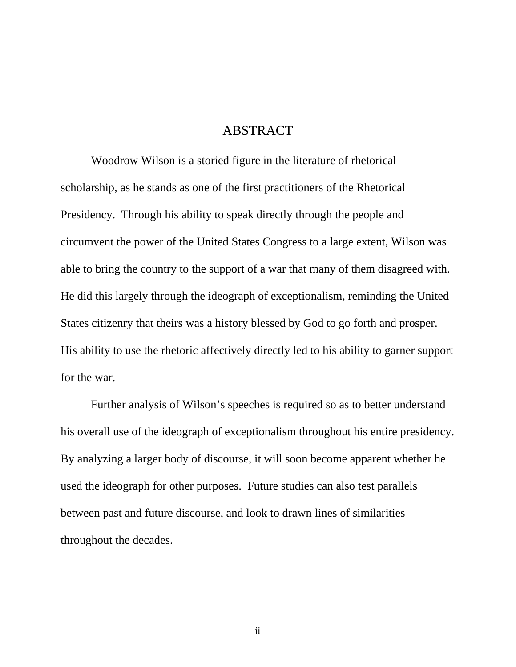## ABSTRACT

Woodrow Wilson is a storied figure in the literature of rhetorical scholarship, as he stands as one of the first practitioners of the Rhetorical Presidency. Through his ability to speak directly through the people and circumvent the power of the United States Congress to a large extent, Wilson was able to bring the country to the support of a war that many of them disagreed with. He did this largely through the ideograph of exceptionalism, reminding the United States citizenry that theirs was a history blessed by God to go forth and prosper. His ability to use the rhetoric affectively directly led to his ability to garner support for the war.

Further analysis of Wilson's speeches is required so as to better understand his overall use of the ideograph of exceptionalism throughout his entire presidency. By analyzing a larger body of discourse, it will soon become apparent whether he used the ideograph for other purposes. Future studies can also test parallels between past and future discourse, and look to drawn lines of similarities throughout the decades.

ii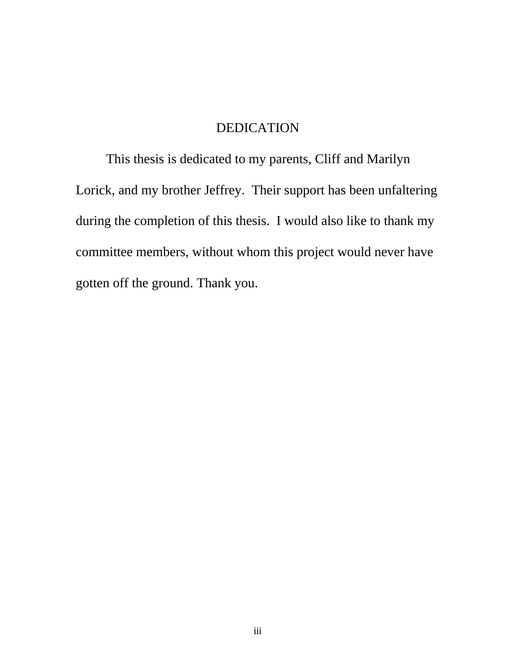# DEDICATION

This thesis is dedicated to my parents, Cliff and Marilyn Lorick, and my brother Jeffrey. Their support has been unfaltering during the completion of this thesis. I would also like to thank my committee members, without whom this project would never have gotten off the ground. Thank you.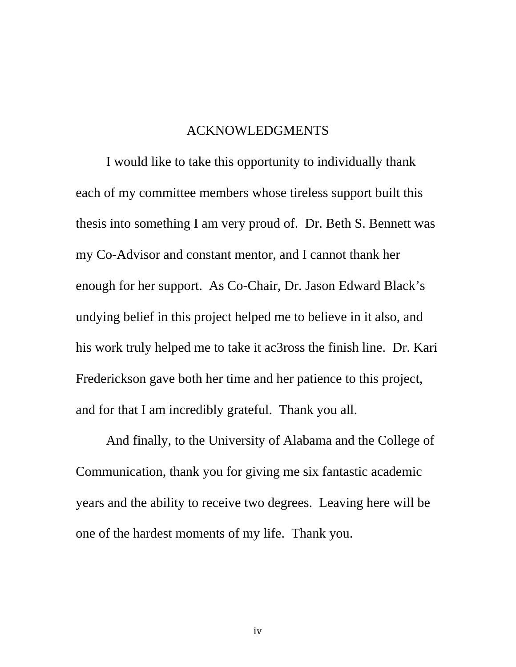## ACKNOWLEDGMENTS

I would like to take this opportunity to individually thank each of my committee members whose tireless support built this thesis into something I am very proud of. Dr. Beth S. Bennett was my Co-Advisor and constant mentor, and I cannot thank her enough for her support. As Co-Chair, Dr. Jason Edward Black's undying belief in this project helped me to believe in it also, and his work truly helped me to take it ac3ross the finish line. Dr. Kari Frederickson gave both her time and her patience to this project, and for that I am incredibly grateful. Thank you all.

And finally, to the University of Alabama and the College of Communication, thank you for giving me six fantastic academic years and the ability to receive two degrees. Leaving here will be one of the hardest moments of my life. Thank you.

iv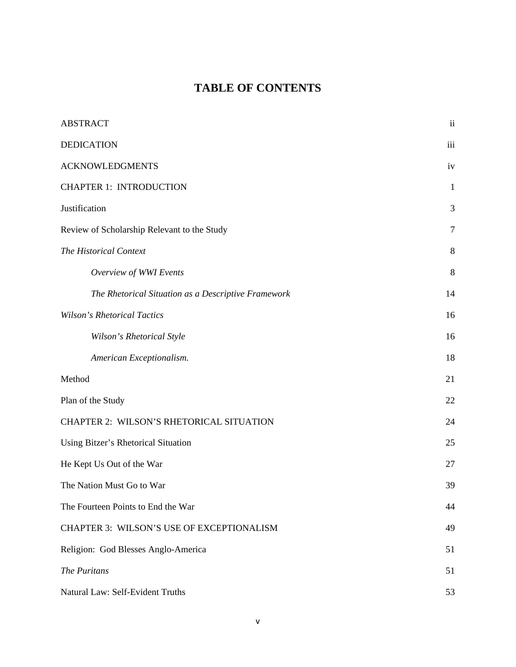# **TABLE OF CONTENTS**

| <b>ABSTRACT</b>                                     | ii           |
|-----------------------------------------------------|--------------|
| <b>DEDICATION</b>                                   | iii          |
| <b>ACKNOWLEDGMENTS</b>                              | iv           |
| <b>CHAPTER 1: INTRODUCTION</b>                      | $\mathbf{1}$ |
| Justification                                       | 3            |
| Review of Scholarship Relevant to the Study         | $\tau$       |
| The Historical Context                              | 8            |
| Overview of WWI Events                              | 8            |
| The Rhetorical Situation as a Descriptive Framework | 14           |
| <b>Wilson's Rhetorical Tactics</b>                  | 16           |
| Wilson's Rhetorical Style                           | 16           |
| American Exceptionalism.                            | 18           |
| Method                                              | 21           |
| Plan of the Study                                   | 22           |
| CHAPTER 2: WILSON'S RHETORICAL SITUATION            | 24           |
| Using Bitzer's Rhetorical Situation                 | 25           |
| He Kept Us Out of the War                           | 27           |
| The Nation Must Go to War                           | 39           |
| The Fourteen Points to End the War                  | 44           |
| CHAPTER 3: WILSON'S USE OF EXCEPTIONALISM           | 49           |
| Religion: God Blesses Anglo-America                 | 51           |
| The Puritans                                        | 51           |
| Natural Law: Self-Evident Truths                    | 53           |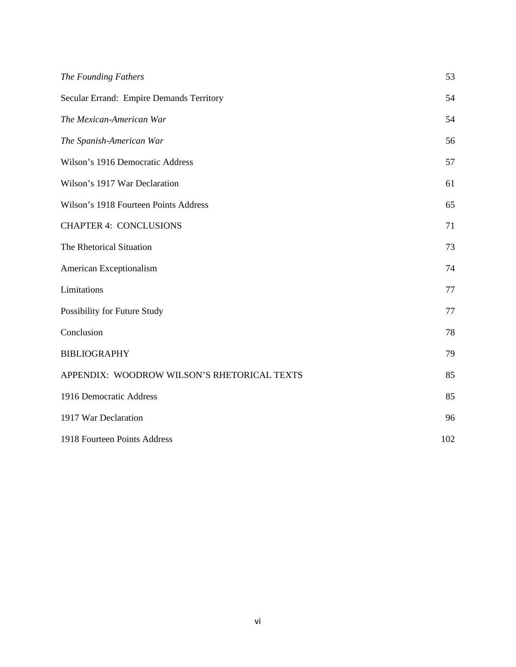| The Founding Fathers                        | 53  |
|---------------------------------------------|-----|
| Secular Errand: Empire Demands Territory    | 54  |
| The Mexican-American War                    | 54  |
| The Spanish-American War                    | 56  |
| Wilson's 1916 Democratic Address            | 57  |
| Wilson's 1917 War Declaration               | 61  |
| Wilson's 1918 Fourteen Points Address       | 65  |
| <b>CHAPTER 4: CONCLUSIONS</b>               | 71  |
| The Rhetorical Situation                    | 73  |
| American Exceptionalism                     | 74  |
| Limitations                                 | 77  |
| Possibility for Future Study                | 77  |
| Conclusion                                  | 78  |
| <b>BIBLIOGRAPHY</b>                         | 79  |
| APPENDIX: WOODROW WILSON'S RHETORICAL TEXTS | 85  |
| 1916 Democratic Address                     | 85  |
| 1917 War Declaration                        | 96  |
| 1918 Fourteen Points Address                | 102 |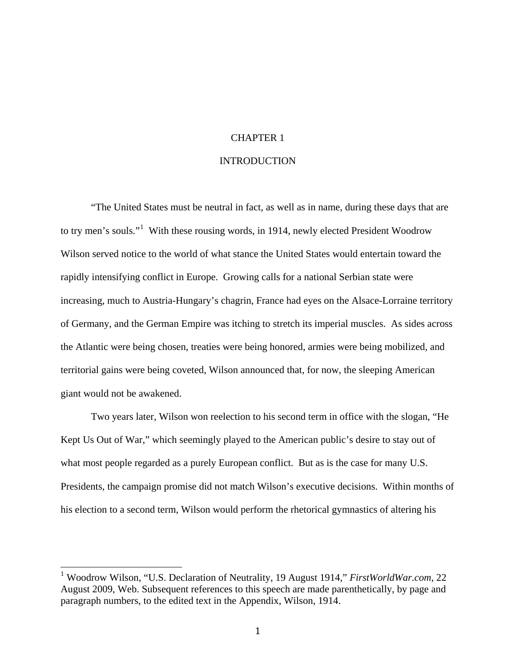#### CHAPTER 1

#### **INTRODUCTION**

"The United States must be neutral in fact, as well as in name, during these days that are to try men's souls."<sup>[1](#page-7-0)</sup> With these rousing words, in 1914, newly elected President Woodrow Wilson served notice to the world of what stance the United States would entertain toward the rapidly intensifying conflict in Europe. Growing calls for a national Serbian state were increasing, much to Austria-Hungary's chagrin, France had eyes on the Alsace-Lorraine territory of Germany, and the German Empire was itching to stretch its imperial muscles. As sides across the Atlantic were being chosen, treaties were being honored, armies were being mobilized, and territorial gains were being coveted, Wilson announced that, for now, the sleeping American giant would not be awakened.

Two years later, Wilson won reelection to his second term in office with the slogan, "He Kept Us Out of War," which seemingly played to the American public's desire to stay out of what most people regarded as a purely European conflict. But as is the case for many U.S. Presidents, the campaign promise did not match Wilson's executive decisions. Within months of his election to a second term, Wilson would perform the rhetorical gymnastics of altering his

<span id="page-7-0"></span><sup>1</sup> Woodrow Wilson, "U.S. Declaration of Neutrality, 19 August 1914," *FirstWorldWar.com*, 22 August 2009, Web. Subsequent references to this speech are made parenthetically, by page and paragraph numbers, to the edited text in the Appendix, Wilson, 1914.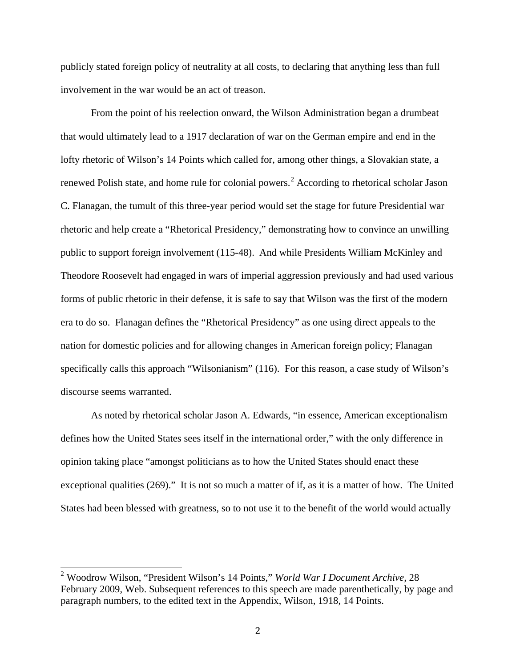publicly stated foreign policy of neutrality at all costs, to declaring that anything less than full involvement in the war would be an act of treason.

From the point of his reelection onward, the Wilson Administration began a drumbeat that would ultimately lead to a 1917 declaration of war on the German empire and end in the lofty rhetoric of Wilson's 14 Points which called for, among other things, a Slovakian state, a renewed Polish state, and home rule for colonial powers.<sup>[2](#page-8-0)</sup> According to rhetorical scholar Jason C. Flanagan, the tumult of this three-year period would set the stage for future Presidential war rhetoric and help create a "Rhetorical Presidency," demonstrating how to convince an unwilling public to support foreign involvement (115-48). And while Presidents William McKinley and Theodore Roosevelt had engaged in wars of imperial aggression previously and had used various forms of public rhetoric in their defense, it is safe to say that Wilson was the first of the modern era to do so. Flanagan defines the "Rhetorical Presidency" as one using direct appeals to the nation for domestic policies and for allowing changes in American foreign policy; Flanagan specifically calls this approach "Wilsonianism" (116). For this reason, a case study of Wilson's discourse seems warranted.

As noted by rhetorical scholar Jason A. Edwards, "in essence, American exceptionalism defines how the United States sees itself in the international order," with the only difference in opinion taking place "amongst politicians as to how the United States should enact these exceptional qualities (269)." It is not so much a matter of if, as it is a matter of how. The United States had been blessed with greatness, so to not use it to the benefit of the world would actually

<span id="page-8-0"></span><sup>2</sup> Woodrow Wilson, "President Wilson's 14 Points," *World War I Document Archive,* <sup>28</sup> February 2009, Web. Subsequent references to this speech are made parenthetically, by page and paragraph numbers, to the edited text in the Appendix, Wilson, 1918, 14 Points.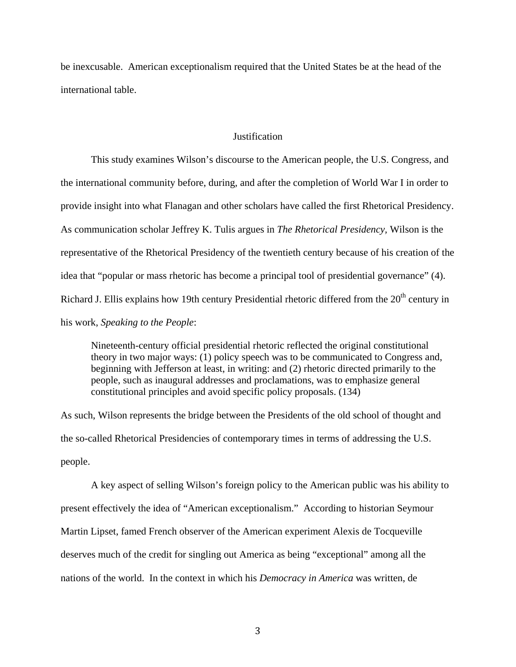be inexcusable. American exceptionalism required that the United States be at the head of the international table.

#### **Justification**

This study examines Wilson's discourse to the American people, the U.S. Congress, and the international community before, during, and after the completion of World War I in order to provide insight into what Flanagan and other scholars have called the first Rhetorical Presidency. As communication scholar Jeffrey K. Tulis argues in *The Rhetorical Presidency,* Wilson is the representative of the Rhetorical Presidency of the twentieth century because of his creation of the idea that "popular or mass rhetoric has become a principal tool of presidential governance" (4). Richard J. Ellis explains how 19th century Presidential rhetoric differed from the  $20<sup>th</sup>$  century in his work, *Speaking to the People*:

Nineteenth-century official presidential rhetoric reflected the original constitutional theory in two major ways: (1) policy speech was to be communicated to Congress and, beginning with Jefferson at least, in writing: and (2) rhetoric directed primarily to the people, such as inaugural addresses and proclamations, was to emphasize general constitutional principles and avoid specific policy proposals. (134)

As such, Wilson represents the bridge between the Presidents of the old school of thought and the so-called Rhetorical Presidencies of contemporary times in terms of addressing the U.S. people.

A key aspect of selling Wilson's foreign policy to the American public was his ability to present effectively the idea of "American exceptionalism." According to historian Seymour Martin Lipset, famed French observer of the American experiment Alexis de Tocqueville deserves much of the credit for singling out America as being "exceptional" among all the nations of the world. In the context in which his *Democracy in America* was written, de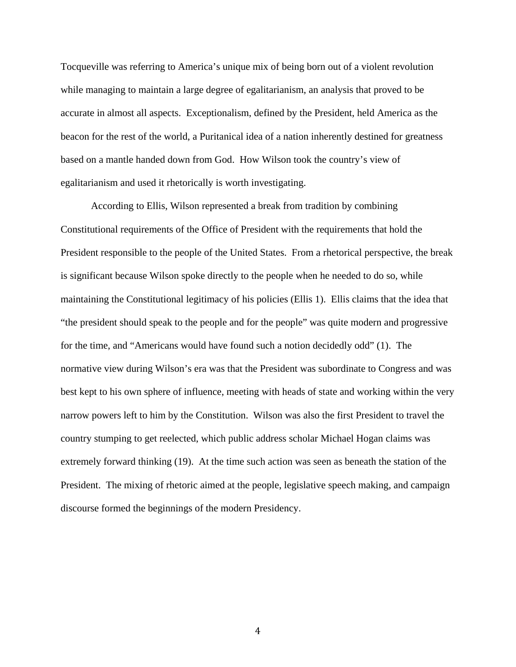Tocqueville was referring to America's unique mix of being born out of a violent revolution while managing to maintain a large degree of egalitarianism, an analysis that proved to be accurate in almost all aspects. Exceptionalism, defined by the President, held America as the beacon for the rest of the world, a Puritanical idea of a nation inherently destined for greatness based on a mantle handed down from God. How Wilson took the country's view of egalitarianism and used it rhetorically is worth investigating.

According to Ellis, Wilson represented a break from tradition by combining Constitutional requirements of the Office of President with the requirements that hold the President responsible to the people of the United States. From a rhetorical perspective, the break is significant because Wilson spoke directly to the people when he needed to do so, while maintaining the Constitutional legitimacy of his policies (Ellis 1). Ellis claims that the idea that "the president should speak to the people and for the people" was quite modern and progressive for the time, and "Americans would have found such a notion decidedly odd" (1). The normative view during Wilson's era was that the President was subordinate to Congress and was best kept to his own sphere of influence, meeting with heads of state and working within the very narrow powers left to him by the Constitution. Wilson was also the first President to travel the country stumping to get reelected, which public address scholar Michael Hogan claims was extremely forward thinking (19). At the time such action was seen as beneath the station of the President. The mixing of rhetoric aimed at the people, legislative speech making, and campaign discourse formed the beginnings of the modern Presidency.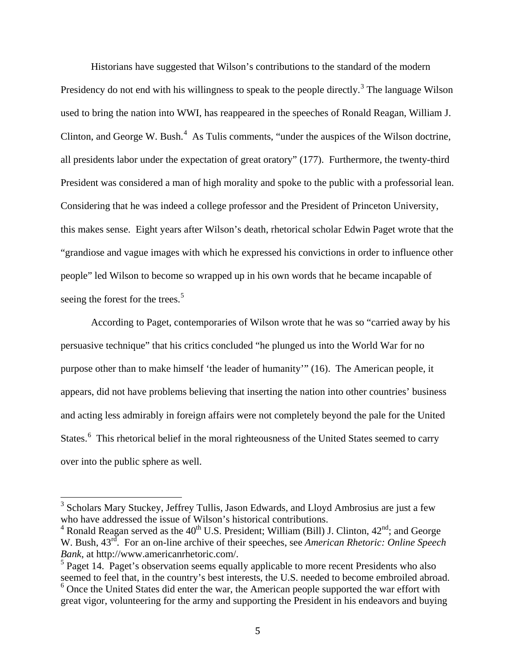Historians have suggested that Wilson's contributions to the standard of the modern Presidency do not end with his willingness to speak to the people directly.<sup>[3](#page-11-0)</sup> The language Wilson used to bring the nation into WWI, has reappeared in the speeches of Ronald Reagan, William J. Clinton, and George W. Bush. $<sup>4</sup>$  $<sup>4</sup>$  $<sup>4</sup>$  As Tulis comments, "under the auspices of the Wilson doctrine,</sup> all presidents labor under the expectation of great oratory" (177). Furthermore, the twenty-third President was considered a man of high morality and spoke to the public with a professorial lean. Considering that he was indeed a college professor and the President of Princeton University, this makes sense. Eight years after Wilson's death, rhetorical scholar Edwin Paget wrote that the "grandiose and vague images with which he expressed his convictions in order to influence other people" led Wilson to become so wrapped up in his own words that he became incapable of seeing the forest for the trees.<sup>[5](#page-11-2)</sup>

According to Paget, contemporaries of Wilson wrote that he was so "carried away by his persuasive technique" that his critics concluded "he plunged us into the World War for no purpose other than to make himself 'the leader of humanity'" (16). The American people, it appears, did not have problems believing that inserting the nation into other countries' business and acting less admirably in foreign affairs were not completely beyond the pale for the United States.<sup>[6](#page-11-3)</sup> This rhetorical belief in the moral righteousness of the United States seemed to carry over into the public sphere as well.

<span id="page-11-0"></span><sup>3</sup> Scholars Mary Stuckey, Jeffrey Tullis, Jason Edwards, and Lloyd Ambrosius are just a few who have addressed the issue of Wilson's historical contributions.

<span id="page-11-1"></span><sup>&</sup>lt;sup>4</sup> Ronald Reagan served as the  $40^{th}$  U.S. President; William (Bill) J. Clinton,  $42^{nd}$ ; and George W. Bush,  $43<sup>rd</sup>$ . For an on-line archive of their speeches, see *American Rhetoric: Online Speech Bank*, at http://www.americanrhetoric.com/.

<span id="page-11-3"></span><span id="page-11-2"></span><sup>&</sup>lt;sup>5</sup> Paget 14. Paget's observation seems equally applicable to more recent Presidents who also seemed to feel that, in the country's best interests, the U.S. needed to become embroiled abroad.  $6$  Once the United States did enter the war, the American people supported the war effort with great vigor, volunteering for the army and supporting the President in his endeavors and buying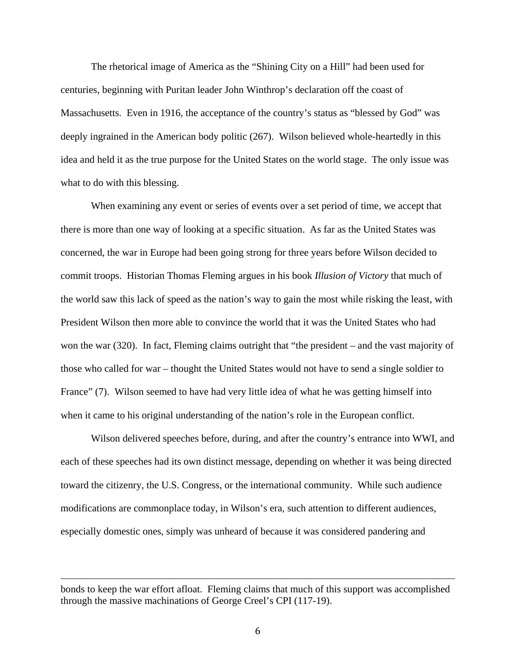The rhetorical image of America as the "Shining City on a Hill" had been used for centuries, beginning with Puritan leader John Winthrop's declaration off the coast of Massachusetts. Even in 1916, the acceptance of the country's status as "blessed by God" was deeply ingrained in the American body politic (267). Wilson believed whole-heartedly in this idea and held it as the true purpose for the United States on the world stage. The only issue was what to do with this blessing.

When examining any event or series of events over a set period of time, we accept that there is more than one way of looking at a specific situation. As far as the United States was concerned, the war in Europe had been going strong for three years before Wilson decided to commit troops. Historian Thomas Fleming argues in his book *Illusion of Victory* that much of the world saw this lack of speed as the nation's way to gain the most while risking the least, with President Wilson then more able to convince the world that it was the United States who had won the war (320). In fact, Fleming claims outright that "the president – and the vast majority of those who called for war – thought the United States would not have to send a single soldier to France" (7). Wilson seemed to have had very little idea of what he was getting himself into when it came to his original understanding of the nation's role in the European conflict.

Wilson delivered speeches before, during, and after the country's entrance into WWI, and each of these speeches had its own distinct message, depending on whether it was being directed toward the citizenry, the U.S. Congress, or the international community. While such audience modifications are commonplace today, in Wilson's era, such attention to different audiences, especially domestic ones, simply was unheard of because it was considered pandering and

i<br>I bonds to keep the war effort afloat. Fleming claims that much of this support was accomplished through the massive machinations of George Creel's CPI (117-19).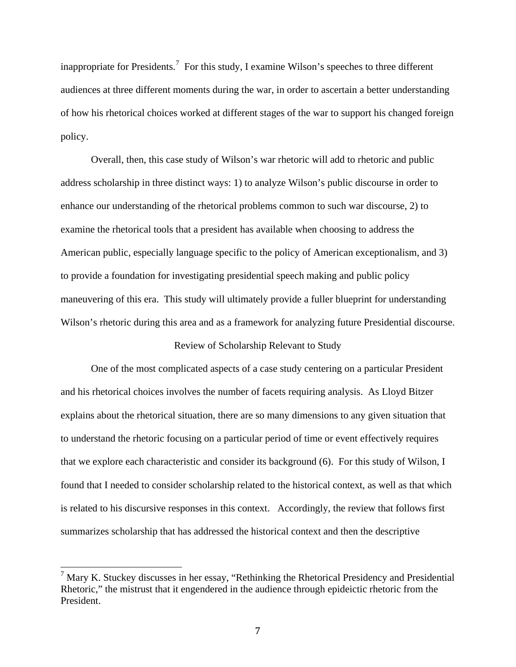inappropriate for Presidents.<sup>[7](#page-13-0)</sup> For this study, I examine Wilson's speeches to three different audiences at three different moments during the war, in order to ascertain a better understanding of how his rhetorical choices worked at different stages of the war to support his changed foreign policy.

Overall, then, this case study of Wilson's war rhetoric will add to rhetoric and public address scholarship in three distinct ways: 1) to analyze Wilson's public discourse in order to enhance our understanding of the rhetorical problems common to such war discourse, 2) to examine the rhetorical tools that a president has available when choosing to address the American public, especially language specific to the policy of American exceptionalism, and 3) to provide a foundation for investigating presidential speech making and public policy maneuvering of this era. This study will ultimately provide a fuller blueprint for understanding Wilson's rhetoric during this area and as a framework for analyzing future Presidential discourse.

#### Review of Scholarship Relevant to Study

One of the most complicated aspects of a case study centering on a particular President and his rhetorical choices involves the number of facets requiring analysis. As Lloyd Bitzer explains about the rhetorical situation, there are so many dimensions to any given situation that to understand the rhetoric focusing on a particular period of time or event effectively requires that we explore each characteristic and consider its background (6). For this study of Wilson, I found that I needed to consider scholarship related to the historical context, as well as that which is related to his discursive responses in this context. Accordingly, the review that follows first summarizes scholarship that has addressed the historical context and then the descriptive

<span id="page-13-0"></span> $7$  Mary K. Stuckey discusses in her essay, "Rethinking the Rhetorical Presidency and Presidential Rhetoric," the mistrust that it engendered in the audience through epideictic rhetoric from the President.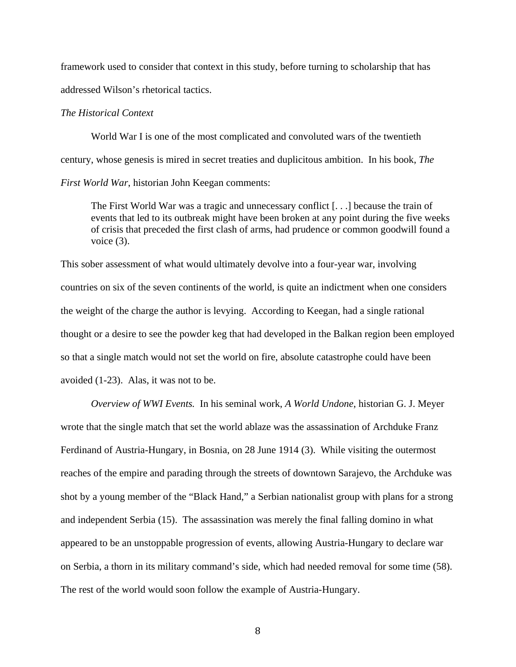framework used to consider that context in this study, before turning to scholarship that has addressed Wilson's rhetorical tactics.

### *The Historical Context*

World War I is one of the most complicated and convoluted wars of the twentieth century, whose genesis is mired in secret treaties and duplicitous ambition. In his book, *The First World War*, historian John Keegan comments:

The First World War was a tragic and unnecessary conflict [. . .] because the train of events that led to its outbreak might have been broken at any point during the five weeks of crisis that preceded the first clash of arms, had prudence or common goodwill found a voice (3).

This sober assessment of what would ultimately devolve into a four-year war, involving countries on six of the seven continents of the world, is quite an indictment when one considers the weight of the charge the author is levying. According to Keegan, had a single rational thought or a desire to see the powder keg that had developed in the Balkan region been employed so that a single match would not set the world on fire, absolute catastrophe could have been avoided (1-23). Alas, it was not to be.

*Overview of WWI Events.* In his seminal work, *A World Undone*, historian G. J. Meyer wrote that the single match that set the world ablaze was the assassination of Archduke Franz Ferdinand of Austria-Hungary, in Bosnia, on 28 June 1914 (3). While visiting the outermost reaches of the empire and parading through the streets of downtown Sarajevo, the Archduke was shot by a young member of the "Black Hand," a Serbian nationalist group with plans for a strong and independent Serbia (15). The assassination was merely the final falling domino in what appeared to be an unstoppable progression of events, allowing Austria-Hungary to declare war on Serbia, a thorn in its military command's side, which had needed removal for some time (58). The rest of the world would soon follow the example of Austria-Hungary.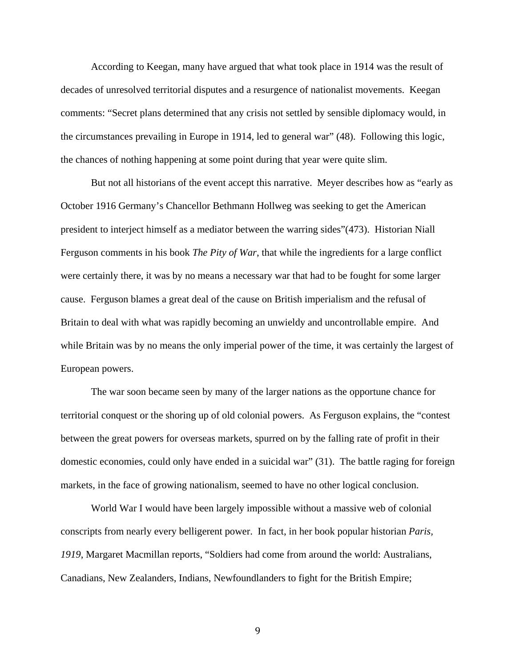According to Keegan, many have argued that what took place in 1914 was the result of decades of unresolved territorial disputes and a resurgence of nationalist movements. Keegan comments: "Secret plans determined that any crisis not settled by sensible diplomacy would, in the circumstances prevailing in Europe in 1914, led to general war" (48). Following this logic, the chances of nothing happening at some point during that year were quite slim.

But not all historians of the event accept this narrative. Meyer describes how as "early as October 1916 Germany's Chancellor Bethmann Hollweg was seeking to get the American president to interject himself as a mediator between the warring sides"(473). Historian Niall Ferguson comments in his book *The Pity of War*, that while the ingredients for a large conflict were certainly there, it was by no means a necessary war that had to be fought for some larger cause. Ferguson blames a great deal of the cause on British imperialism and the refusal of Britain to deal with what was rapidly becoming an unwieldy and uncontrollable empire. And while Britain was by no means the only imperial power of the time, it was certainly the largest of European powers.

The war soon became seen by many of the larger nations as the opportune chance for territorial conquest or the shoring up of old colonial powers. As Ferguson explains, the "contest between the great powers for overseas markets, spurred on by the falling rate of profit in their domestic economies, could only have ended in a suicidal war" (31). The battle raging for foreign markets, in the face of growing nationalism, seemed to have no other logical conclusion.

World War I would have been largely impossible without a massive web of colonial conscripts from nearly every belligerent power. In fact, in her book popular historian *Paris, 1919*, Margaret Macmillan reports, "Soldiers had come from around the world: Australians, Canadians, New Zealanders, Indians, Newfoundlanders to fight for the British Empire;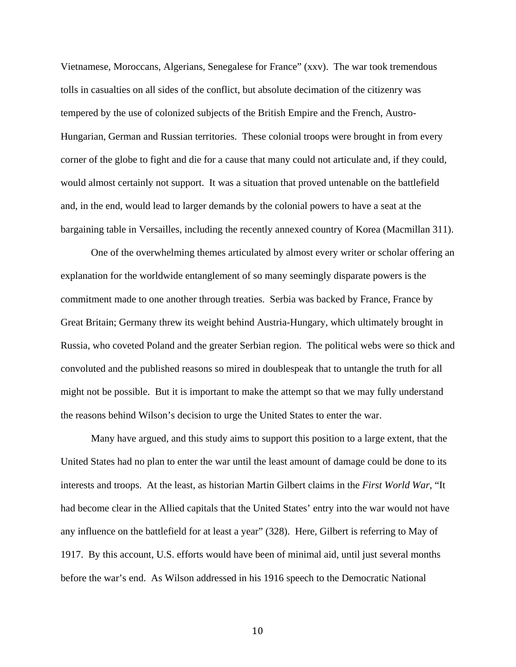Vietnamese, Moroccans, Algerians, Senegalese for France" (xxv). The war took tremendous tolls in casualties on all sides of the conflict, but absolute decimation of the citizenry was tempered by the use of colonized subjects of the British Empire and the French, Austro-Hungarian, German and Russian territories. These colonial troops were brought in from every corner of the globe to fight and die for a cause that many could not articulate and, if they could, would almost certainly not support. It was a situation that proved untenable on the battlefield and, in the end, would lead to larger demands by the colonial powers to have a seat at the bargaining table in Versailles, including the recently annexed country of Korea (Macmillan 311).

One of the overwhelming themes articulated by almost every writer or scholar offering an explanation for the worldwide entanglement of so many seemingly disparate powers is the commitment made to one another through treaties. Serbia was backed by France, France by Great Britain; Germany threw its weight behind Austria-Hungary, which ultimately brought in Russia, who coveted Poland and the greater Serbian region. The political webs were so thick and convoluted and the published reasons so mired in doublespeak that to untangle the truth for all might not be possible. But it is important to make the attempt so that we may fully understand the reasons behind Wilson's decision to urge the United States to enter the war.

Many have argued, and this study aims to support this position to a large extent, that the United States had no plan to enter the war until the least amount of damage could be done to its interests and troops. At the least, as historian Martin Gilbert claims in the *First World War*, "It had become clear in the Allied capitals that the United States' entry into the war would not have any influence on the battlefield for at least a year" (328). Here, Gilbert is referring to May of 1917. By this account, U.S. efforts would have been of minimal aid, until just several months before the war's end. As Wilson addressed in his 1916 speech to the Democratic National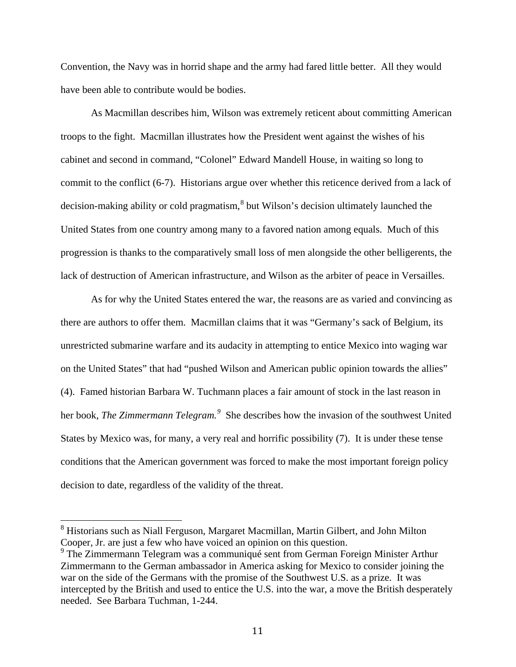Convention, the Navy was in horrid shape and the army had fared little better. All they would have been able to contribute would be bodies.

As Macmillan describes him, Wilson was extremely reticent about committing American troops to the fight. Macmillan illustrates how the President went against the wishes of his cabinet and second in command, "Colonel" Edward Mandell House, in waiting so long to commit to the conflict (6-7). Historians argue over whether this reticence derived from a lack of decision-making ability or cold pragmatism,  $8$  but Wilson's decision ultimately launched the United States from one country among many to a favored nation among equals. Much of this progression is thanks to the comparatively small loss of men alongside the other belligerents, the lack of destruction of American infrastructure, and Wilson as the arbiter of peace in Versailles.

As for why the United States entered the war, the reasons are as varied and convincing as there are authors to offer them. Macmillan claims that it was "Germany's sack of Belgium, its unrestricted submarine warfare and its audacity in attempting to entice Mexico into waging war on the United States" that had "pushed Wilson and American public opinion towards the allies" (4). Famed historian Barbara W. Tuchmann places a fair amount of stock in the last reason in her book, *The Zimmermann Telegram*.<sup>[9](#page-17-1)</sup> She describes how the invasion of the southwest United States by Mexico was, for many, a very real and horrific possibility (7). It is under these tense conditions that the American government was forced to make the most important foreign policy decision to date, regardless of the validity of the threat.

<span id="page-17-0"></span><sup>&</sup>lt;sup>8</sup> Historians such as Niall Ferguson, Margaret Macmillan, Martin Gilbert, and John Milton Cooper, Jr. are just a few who have voiced an opinion on this question.

<span id="page-17-1"></span><sup>&</sup>lt;sup>9</sup> The Zimmermann Telegram was a communiqué sent from German Foreign Minister Arthur Zimmermann to the German ambassador in America asking for Mexico to consider joining the war on the side of the Germans with the promise of the Southwest U.S. as a prize. It was intercepted by the British and used to entice the U.S. into the war, a move the British desperately needed. See Barbara Tuchman, 1-244.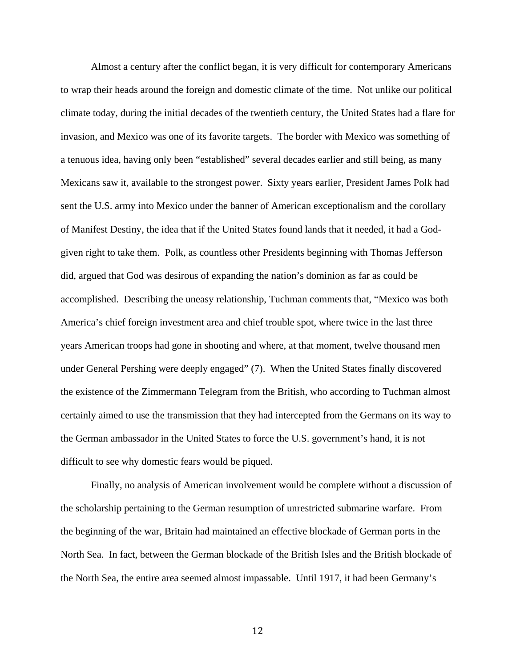Almost a century after the conflict began, it is very difficult for contemporary Americans to wrap their heads around the foreign and domestic climate of the time. Not unlike our political climate today, during the initial decades of the twentieth century, the United States had a flare for invasion, and Mexico was one of its favorite targets. The border with Mexico was something of a tenuous idea, having only been "established" several decades earlier and still being, as many Mexicans saw it, available to the strongest power. Sixty years earlier, President James Polk had sent the U.S. army into Mexico under the banner of American exceptionalism and the corollary of Manifest Destiny, the idea that if the United States found lands that it needed, it had a Godgiven right to take them. Polk, as countless other Presidents beginning with Thomas Jefferson did, argued that God was desirous of expanding the nation's dominion as far as could be accomplished. Describing the uneasy relationship, Tuchman comments that, "Mexico was both America's chief foreign investment area and chief trouble spot, where twice in the last three years American troops had gone in shooting and where, at that moment, twelve thousand men under General Pershing were deeply engaged" (7). When the United States finally discovered the existence of the Zimmermann Telegram from the British, who according to Tuchman almost certainly aimed to use the transmission that they had intercepted from the Germans on its way to the German ambassador in the United States to force the U.S. government's hand, it is not difficult to see why domestic fears would be piqued.

Finally, no analysis of American involvement would be complete without a discussion of the scholarship pertaining to the German resumption of unrestricted submarine warfare. From the beginning of the war, Britain had maintained an effective blockade of German ports in the North Sea. In fact, between the German blockade of the British Isles and the British blockade of the North Sea, the entire area seemed almost impassable. Until 1917, it had been Germany's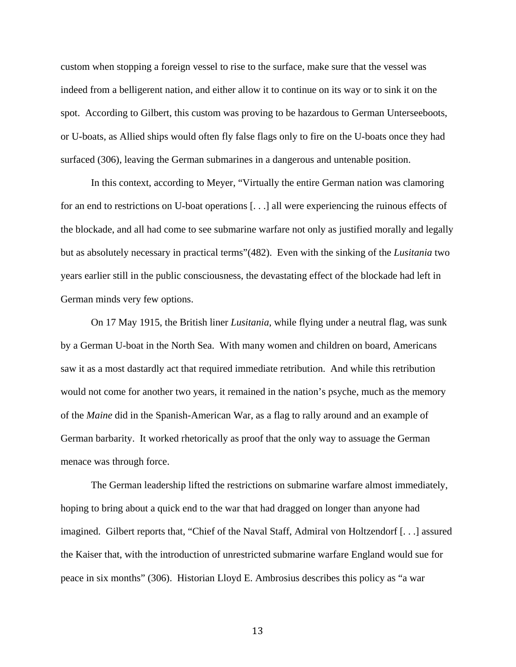custom when stopping a foreign vessel to rise to the surface, make sure that the vessel was indeed from a belligerent nation, and either allow it to continue on its way or to sink it on the spot. According to Gilbert, this custom was proving to be hazardous to German Unterseeboots, or U-boats, as Allied ships would often fly false flags only to fire on the U-boats once they had surfaced (306), leaving the German submarines in a dangerous and untenable position.

In this context, according to Meyer, "Virtually the entire German nation was clamoring for an end to restrictions on U-boat operations [. . .] all were experiencing the ruinous effects of the blockade, and all had come to see submarine warfare not only as justified morally and legally but as absolutely necessary in practical terms"(482). Even with the sinking of the *Lusitania* two years earlier still in the public consciousness, the devastating effect of the blockade had left in German minds very few options.

On 17 May 1915, the British liner *Lusitania,* while flying under a neutral flag, was sunk by a German U-boat in the North Sea. With many women and children on board, Americans saw it as a most dastardly act that required immediate retribution. And while this retribution would not come for another two years, it remained in the nation's psyche, much as the memory of the *Maine* did in the Spanish-American War, as a flag to rally around and an example of German barbarity. It worked rhetorically as proof that the only way to assuage the German menace was through force.

The German leadership lifted the restrictions on submarine warfare almost immediately, hoping to bring about a quick end to the war that had dragged on longer than anyone had imagined. Gilbert reports that, "Chief of the Naval Staff, Admiral von Holtzendorf [. . .] assured the Kaiser that, with the introduction of unrestricted submarine warfare England would sue for peace in six months" (306). Historian Lloyd E. Ambrosius describes this policy as "a war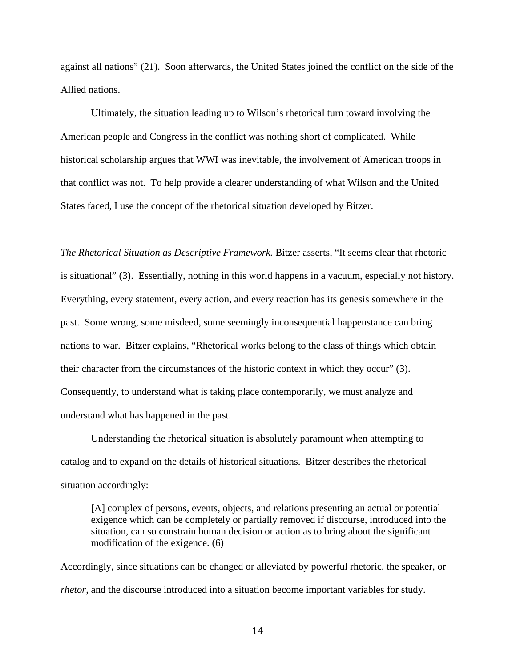against all nations" (21). Soon afterwards, the United States joined the conflict on the side of the Allied nations.

Ultimately, the situation leading up to Wilson's rhetorical turn toward involving the American people and Congress in the conflict was nothing short of complicated. While historical scholarship argues that WWI was inevitable, the involvement of American troops in that conflict was not. To help provide a clearer understanding of what Wilson and the United States faced, I use the concept of the rhetorical situation developed by Bitzer.

*The Rhetorical Situation as Descriptive Framework.* Bitzer asserts, "It seems clear that rhetoric is situational" (3). Essentially, nothing in this world happens in a vacuum, especially not history. Everything, every statement, every action, and every reaction has its genesis somewhere in the past. Some wrong, some misdeed, some seemingly inconsequential happenstance can bring nations to war. Bitzer explains, "Rhetorical works belong to the class of things which obtain their character from the circumstances of the historic context in which they occur" (3). Consequently, to understand what is taking place contemporarily, we must analyze and understand what has happened in the past.

Understanding the rhetorical situation is absolutely paramount when attempting to catalog and to expand on the details of historical situations. Bitzer describes the rhetorical situation accordingly:

[A] complex of persons, events, objects, and relations presenting an actual or potential exigence which can be completely or partially removed if discourse, introduced into the situation, can so constrain human decision or action as to bring about the significant modification of the exigence. (6)

Accordingly, since situations can be changed or alleviated by powerful rhetoric, the speaker, or *rhetor*, and the discourse introduced into a situation become important variables for study.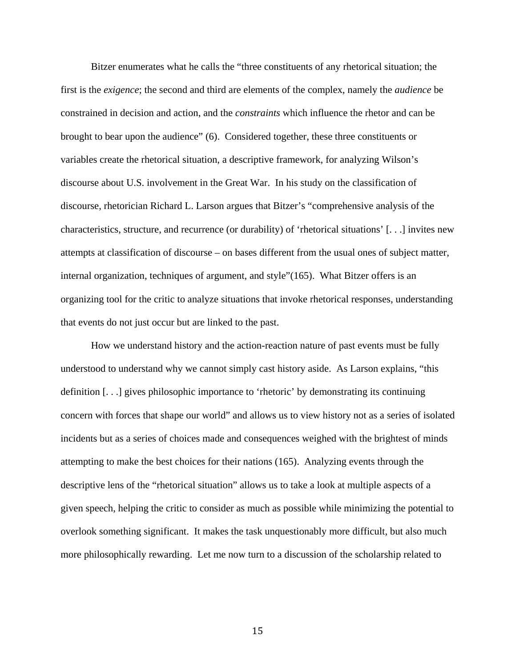Bitzer enumerates what he calls the "three constituents of any rhetorical situation; the first is the *exigence*; the second and third are elements of the complex, namely the *audience* be constrained in decision and action, and the *constraints* which influence the rhetor and can be brought to bear upon the audience" (6). Considered together, these three constituents or variables create the rhetorical situation, a descriptive framework, for analyzing Wilson's discourse about U.S. involvement in the Great War. In his study on the classification of discourse, rhetorician Richard L. Larson argues that Bitzer's "comprehensive analysis of the characteristics, structure, and recurrence (or durability) of 'rhetorical situations' [. . .] invites new attempts at classification of discourse – on bases different from the usual ones of subject matter, internal organization, techniques of argument, and style"(165). What Bitzer offers is an organizing tool for the critic to analyze situations that invoke rhetorical responses, understanding that events do not just occur but are linked to the past.

How we understand history and the action-reaction nature of past events must be fully understood to understand why we cannot simply cast history aside. As Larson explains, "this definition [. . .] gives philosophic importance to 'rhetoric' by demonstrating its continuing concern with forces that shape our world" and allows us to view history not as a series of isolated incidents but as a series of choices made and consequences weighed with the brightest of minds attempting to make the best choices for their nations (165). Analyzing events through the descriptive lens of the "rhetorical situation" allows us to take a look at multiple aspects of a given speech, helping the critic to consider as much as possible while minimizing the potential to overlook something significant. It makes the task unquestionably more difficult, but also much more philosophically rewarding. Let me now turn to a discussion of the scholarship related to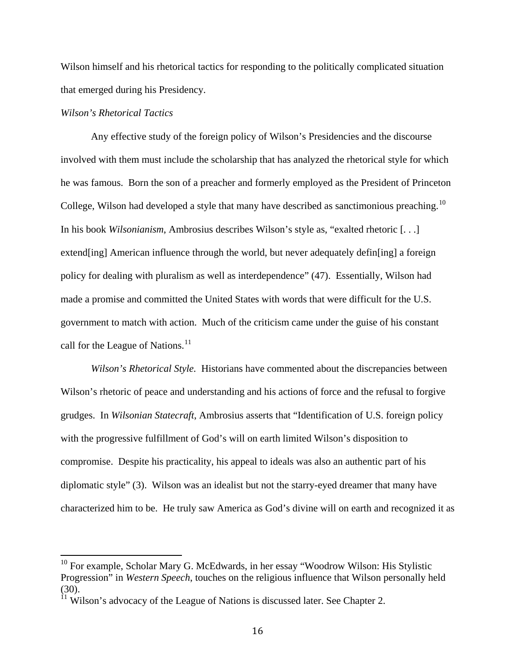Wilson himself and his rhetorical tactics for responding to the politically complicated situation that emerged during his Presidency.

#### *Wilson's Rhetorical Tactics*

Any effective study of the foreign policy of Wilson's Presidencies and the discourse involved with them must include the scholarship that has analyzed the rhetorical style for which he was famous. Born the son of a preacher and formerly employed as the President of Princeton College, Wilson had developed a style that many have described as sanctimonious preaching.<sup>[10](#page-22-0)</sup> In his book *Wilsonianism*, Ambrosius describes Wilson's style as, "exalted rhetoric [. . .] extend[ing] American influence through the world, but never adequately defin[ing] a foreign policy for dealing with pluralism as well as interdependence" (47). Essentially, Wilson had made a promise and committed the United States with words that were difficult for the U.S. government to match with action. Much of the criticism came under the guise of his constant call for the League of Nations. $11$ 

*Wilson's Rhetorical Style.* Historians have commented about the discrepancies between Wilson's rhetoric of peace and understanding and his actions of force and the refusal to forgive grudges. In *Wilsonian Statecraft*, Ambrosius asserts that "Identification of U.S. foreign policy with the progressive fulfillment of God's will on earth limited Wilson's disposition to compromise. Despite his practicality, his appeal to ideals was also an authentic part of his diplomatic style" (3). Wilson was an idealist but not the starry-eyed dreamer that many have characterized him to be. He truly saw America as God's divine will on earth and recognized it as

<span id="page-22-0"></span><sup>&</sup>lt;sup>10</sup> For example, Scholar Mary G. McEdwards, in her essay "Woodrow Wilson: His Stylistic Progression" in *Western Speech*, touches on the religious influence that Wilson personally held (30).

<span id="page-22-1"></span> $11$  Wilson's advocacy of the League of Nations is discussed later. See Chapter 2.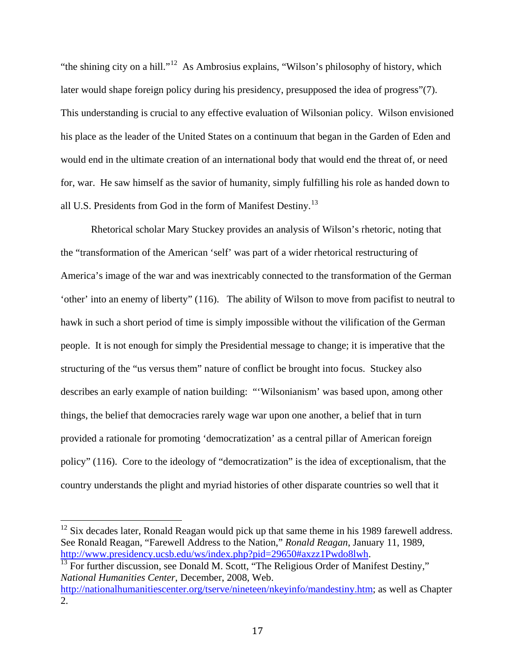"the shining city on a hill."<sup>[12](#page-23-0)</sup> As Ambrosius explains, "Wilson's philosophy of history, which later would shape foreign policy during his presidency, presupposed the idea of progress"(7). This understanding is crucial to any effective evaluation of Wilsonian policy. Wilson envisioned his place as the leader of the United States on a continuum that began in the Garden of Eden and would end in the ultimate creation of an international body that would end the threat of, or need for, war. He saw himself as the savior of humanity, simply fulfilling his role as handed down to all U.S. Presidents from God in the form of Manifest Destiny.<sup>[13](#page-23-1)</sup>

Rhetorical scholar Mary Stuckey provides an analysis of Wilson's rhetoric, noting that the "transformation of the American 'self' was part of a wider rhetorical restructuring of America's image of the war and was inextricably connected to the transformation of the German 'other' into an enemy of liberty" (116). The ability of Wilson to move from pacifist to neutral to hawk in such a short period of time is simply impossible without the vilification of the German people. It is not enough for simply the Presidential message to change; it is imperative that the structuring of the "us versus them" nature of conflict be brought into focus. Stuckey also describes an early example of nation building: "'Wilsonianism' was based upon, among other things, the belief that democracies rarely wage war upon one another, a belief that in turn provided a rationale for promoting 'democratization' as a central pillar of American foreign policy" (116). Core to the ideology of "democratization" is the idea of exceptionalism, that the country understands the plight and myriad histories of other disparate countries so well that it

<span id="page-23-0"></span> $12$  Six decades later, Ronald Reagan would pick up that same theme in his 1989 farewell address. See Ronald Reagan, "Farewell Address to the Nation," *Ronald Reagan*, January 11, 1989, [http://www.presidency.ucsb.edu/ws/index.php?pid=29650#axzz1Pwdo8lwh.](http://www.presidency.ucsb.edu/ws/index.php?pid=29650#axzz1Pwdo8lwh)<br><sup>[13](http://www.presidency.ucsb.edu/ws/index.php?pid=29650#axzz1Pwdo8lwh)</sup> For further discussion, see Donald M. Scott, "The Religious Order of Manifest Destiny,"

<span id="page-23-1"></span>*National Humanities Center*, December, 2008, Web.

[http://nationalhumanitiescenter.org/tserve/nineteen/nkeyinfo/mandestiny.htm;](http://nationalhumanitiescenter.org/tserve/nineteen/nkeyinfo/mandestiny.htm) as well as Chapter  $2<sub>1</sub>$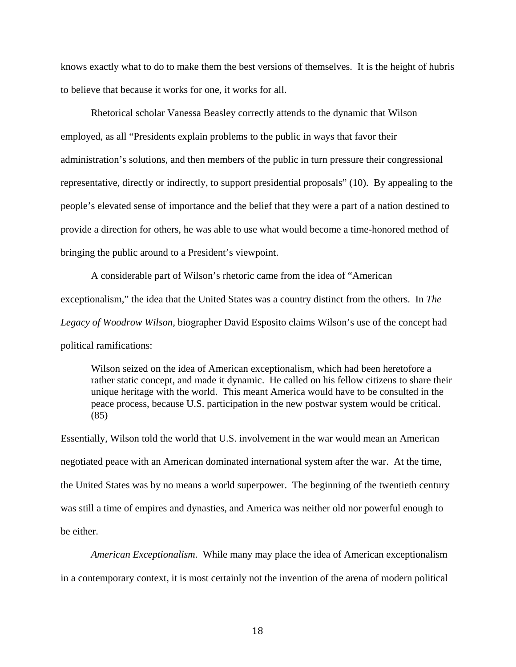knows exactly what to do to make them the best versions of themselves. It is the height of hubris to believe that because it works for one, it works for all.

Rhetorical scholar Vanessa Beasley correctly attends to the dynamic that Wilson employed, as all "Presidents explain problems to the public in ways that favor their administration's solutions, and then members of the public in turn pressure their congressional representative, directly or indirectly, to support presidential proposals" (10). By appealing to the people's elevated sense of importance and the belief that they were a part of a nation destined to provide a direction for others, he was able to use what would become a time-honored method of bringing the public around to a President's viewpoint.

A considerable part of Wilson's rhetoric came from the idea of "American exceptionalism," the idea that the United States was a country distinct from the others. In *The Legacy of Woodrow Wilson,* biographer David Esposito claims Wilson's use of the concept had political ramifications:

Wilson seized on the idea of American exceptionalism, which had been heretofore a rather static concept, and made it dynamic. He called on his fellow citizens to share their unique heritage with the world. This meant America would have to be consulted in the peace process, because U.S. participation in the new postwar system would be critical. (85)

Essentially, Wilson told the world that U.S. involvement in the war would mean an American negotiated peace with an American dominated international system after the war. At the time, the United States was by no means a world superpower. The beginning of the twentieth century was still a time of empires and dynasties, and America was neither old nor powerful enough to be either.

*American Exceptionalism*. While many may place the idea of American exceptionalism in a contemporary context, it is most certainly not the invention of the arena of modern political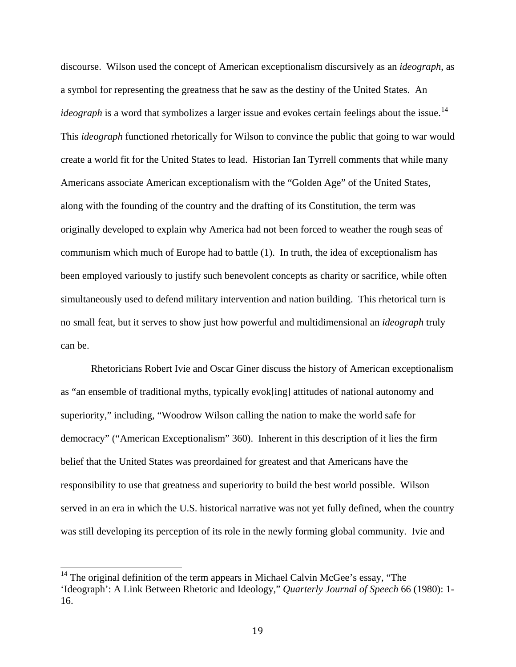discourse. Wilson used the concept of American exceptionalism discursively as an *ideograph*, as a symbol for representing the greatness that he saw as the destiny of the United States. An *ideograph* is a word that symbolizes a larger issue and evokes certain feelings about the issue.<sup>[14](#page-25-0)</sup> This *ideograph* functioned rhetorically for Wilson to convince the public that going to war would create a world fit for the United States to lead. Historian Ian Tyrrell comments that while many Americans associate American exceptionalism with the "Golden Age" of the United States, along with the founding of the country and the drafting of its Constitution, the term was originally developed to explain why America had not been forced to weather the rough seas of communism which much of Europe had to battle (1). In truth, the idea of exceptionalism has been employed variously to justify such benevolent concepts as charity or sacrifice, while often simultaneously used to defend military intervention and nation building. This rhetorical turn is no small feat, but it serves to show just how powerful and multidimensional an *ideograph* truly can be.

Rhetoricians Robert Ivie and Oscar Giner discuss the history of American exceptionalism as "an ensemble of traditional myths, typically evok[ing] attitudes of national autonomy and superiority," including, "Woodrow Wilson calling the nation to make the world safe for democracy" ("American Exceptionalism" 360). Inherent in this description of it lies the firm belief that the United States was preordained for greatest and that Americans have the responsibility to use that greatness and superiority to build the best world possible. Wilson served in an era in which the U.S. historical narrative was not yet fully defined, when the country was still developing its perception of its role in the newly forming global community. Ivie and

<span id="page-25-0"></span> $14$  The original definition of the term appears in Michael Calvin McGee's essay, "The 'Ideograph': A Link Between Rhetoric and Ideology," *Quarterly Journal of Speech* 66 (1980): 1- 16.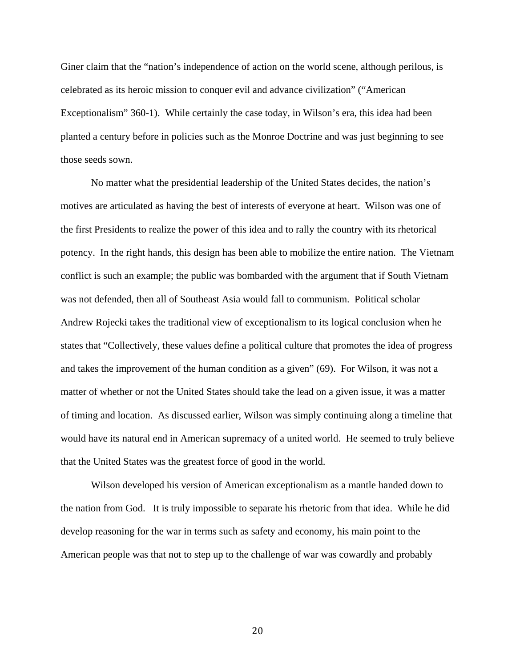Giner claim that the "nation's independence of action on the world scene, although perilous, is celebrated as its heroic mission to conquer evil and advance civilization" ("American Exceptionalism" 360-1). While certainly the case today, in Wilson's era, this idea had been planted a century before in policies such as the Monroe Doctrine and was just beginning to see those seeds sown.

No matter what the presidential leadership of the United States decides, the nation's motives are articulated as having the best of interests of everyone at heart. Wilson was one of the first Presidents to realize the power of this idea and to rally the country with its rhetorical potency. In the right hands, this design has been able to mobilize the entire nation. The Vietnam conflict is such an example; the public was bombarded with the argument that if South Vietnam was not defended, then all of Southeast Asia would fall to communism. Political scholar Andrew Rojecki takes the traditional view of exceptionalism to its logical conclusion when he states that "Collectively, these values define a political culture that promotes the idea of progress and takes the improvement of the human condition as a given" (69). For Wilson, it was not a matter of whether or not the United States should take the lead on a given issue, it was a matter of timing and location. As discussed earlier, Wilson was simply continuing along a timeline that would have its natural end in American supremacy of a united world. He seemed to truly believe that the United States was the greatest force of good in the world.

Wilson developed his version of American exceptionalism as a mantle handed down to the nation from God. It is truly impossible to separate his rhetoric from that idea. While he did develop reasoning for the war in terms such as safety and economy, his main point to the American people was that not to step up to the challenge of war was cowardly and probably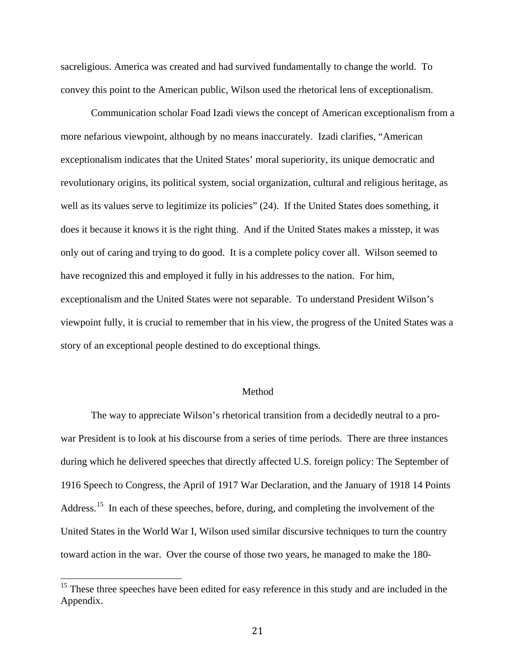sacreligious. America was created and had survived fundamentally to change the world. To convey this point to the American public, Wilson used the rhetorical lens of exceptionalism.

Communication scholar Foad Izadi views the concept of American exceptionalism from a more nefarious viewpoint, although by no means inaccurately. Izadi clarifies, "American exceptionalism indicates that the United States' moral superiority, its unique democratic and revolutionary origins, its political system, social organization, cultural and religious heritage, as well as its values serve to legitimize its policies" (24). If the United States does something, it does it because it knows it is the right thing. And if the United States makes a misstep, it was only out of caring and trying to do good. It is a complete policy cover all. Wilson seemed to have recognized this and employed it fully in his addresses to the nation. For him, exceptionalism and the United States were not separable. To understand President Wilson's viewpoint fully, it is crucial to remember that in his view, the progress of the United States was a story of an exceptional people destined to do exceptional things.

#### Method

The way to appreciate Wilson's rhetorical transition from a decidedly neutral to a prowar President is to look at his discourse from a series of time periods. There are three instances during which he delivered speeches that directly affected U.S. foreign policy: The September of 1916 Speech to Congress, the April of 1917 War Declaration, and the January of 1918 14 Points Address.<sup>[15](#page-27-0)</sup> In each of these speeches, before, during, and completing the involvement of the United States in the World War I, Wilson used similar discursive techniques to turn the country toward action in the war. Over the course of those two years, he managed to make the 180-

<span id="page-27-0"></span><sup>&</sup>lt;sup>15</sup> These three speeches have been edited for easy reference in this study and are included in the Appendix.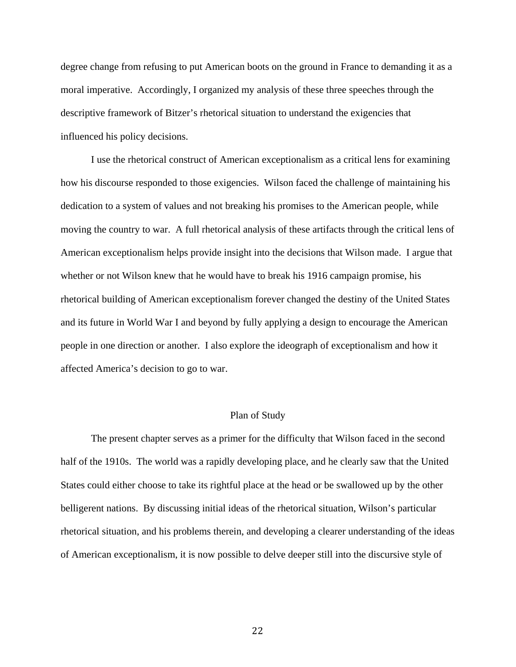degree change from refusing to put American boots on the ground in France to demanding it as a moral imperative. Accordingly, I organized my analysis of these three speeches through the descriptive framework of Bitzer's rhetorical situation to understand the exigencies that influenced his policy decisions.

I use the rhetorical construct of American exceptionalism as a critical lens for examining how his discourse responded to those exigencies. Wilson faced the challenge of maintaining his dedication to a system of values and not breaking his promises to the American people, while moving the country to war. A full rhetorical analysis of these artifacts through the critical lens of American exceptionalism helps provide insight into the decisions that Wilson made. I argue that whether or not Wilson knew that he would have to break his 1916 campaign promise, his rhetorical building of American exceptionalism forever changed the destiny of the United States and its future in World War I and beyond by fully applying a design to encourage the American people in one direction or another. I also explore the ideograph of exceptionalism and how it affected America's decision to go to war.

#### Plan of Study

The present chapter serves as a primer for the difficulty that Wilson faced in the second half of the 1910s. The world was a rapidly developing place, and he clearly saw that the United States could either choose to take its rightful place at the head or be swallowed up by the other belligerent nations. By discussing initial ideas of the rhetorical situation, Wilson's particular rhetorical situation, and his problems therein, and developing a clearer understanding of the ideas of American exceptionalism, it is now possible to delve deeper still into the discursive style of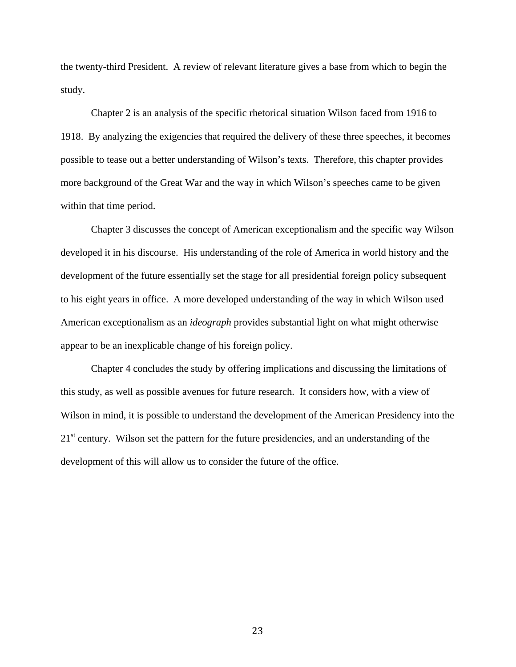the twenty-third President. A review of relevant literature gives a base from which to begin the study.

Chapter 2 is an analysis of the specific rhetorical situation Wilson faced from 1916 to 1918. By analyzing the exigencies that required the delivery of these three speeches, it becomes possible to tease out a better understanding of Wilson's texts. Therefore, this chapter provides more background of the Great War and the way in which Wilson's speeches came to be given within that time period.

Chapter 3 discusses the concept of American exceptionalism and the specific way Wilson developed it in his discourse. His understanding of the role of America in world history and the development of the future essentially set the stage for all presidential foreign policy subsequent to his eight years in office. A more developed understanding of the way in which Wilson used American exceptionalism as an *ideograph* provides substantial light on what might otherwise appear to be an inexplicable change of his foreign policy.

Chapter 4 concludes the study by offering implications and discussing the limitations of this study, as well as possible avenues for future research. It considers how, with a view of Wilson in mind, it is possible to understand the development of the American Presidency into the  $21<sup>st</sup>$  century. Wilson set the pattern for the future presidencies, and an understanding of the development of this will allow us to consider the future of the office.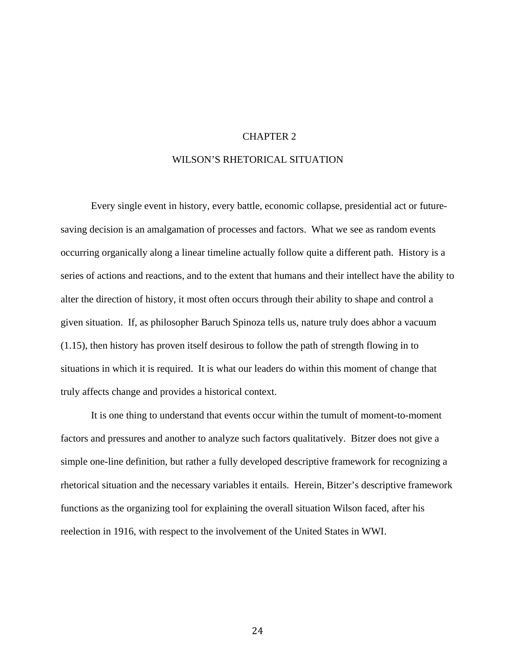#### CHAPTER 2

#### WILSON'S RHETORICAL SITUATION

Every single event in history, every battle, economic collapse, presidential act or futuresaving decision is an amalgamation of processes and factors. What we see as random events occurring organically along a linear timeline actually follow quite a different path. History is a series of actions and reactions, and to the extent that humans and their intellect have the ability to alter the direction of history, it most often occurs through their ability to shape and control a given situation. If, as philosopher Baruch Spinoza tells us, nature truly does abhor a vacuum (1.15), then history has proven itself desirous to follow the path of strength flowing in to situations in which it is required. It is what our leaders do within this moment of change that truly affects change and provides a historical context.

It is one thing to understand that events occur within the tumult of moment-to-moment factors and pressures and another to analyze such factors qualitatively. Bitzer does not give a simple one-line definition, but rather a fully developed descriptive framework for recognizing a rhetorical situation and the necessary variables it entails. Herein, Bitzer's descriptive framework functions as the organizing tool for explaining the overall situation Wilson faced, after his reelection in 1916, with respect to the involvement of the United States in WWI.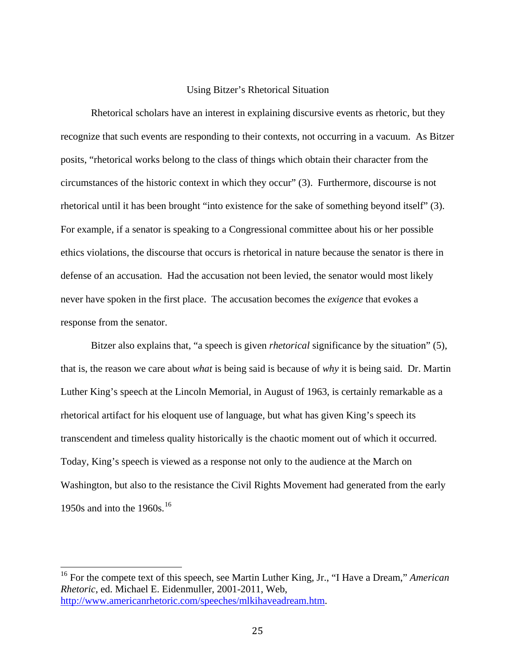#### Using Bitzer's Rhetorical Situation

Rhetorical scholars have an interest in explaining discursive events as rhetoric, but they recognize that such events are responding to their contexts, not occurring in a vacuum. As Bitzer posits, "rhetorical works belong to the class of things which obtain their character from the circumstances of the historic context in which they occur" (3). Furthermore, discourse is not rhetorical until it has been brought "into existence for the sake of something beyond itself" (3). For example, if a senator is speaking to a Congressional committee about his or her possible ethics violations, the discourse that occurs is rhetorical in nature because the senator is there in defense of an accusation. Had the accusation not been levied, the senator would most likely never have spoken in the first place. The accusation becomes the *exigence* that evokes a response from the senator.

Bitzer also explains that, "a speech is given *rhetorical* significance by the situation" (5), that is, the reason we care about *what* is being said is because of *why* it is being said. Dr. Martin Luther King's speech at the Lincoln Memorial, in August of 1963, is certainly remarkable as a rhetorical artifact for his eloquent use of language, but what has given King's speech its transcendent and timeless quality historically is the chaotic moment out of which it occurred. Today, King's speech is viewed as a response not only to the audience at the March on Washington, but also to the resistance the Civil Rights Movement had generated from the early 1950s and into the 1960s.<sup>[16](#page-31-0)</sup>

<span id="page-31-0"></span><sup>16</sup> For the compete text of this speech, see Martin Luther King, Jr., "I Have a Dream," *American Rhetoric*, ed. Michael E. Eidenmuller, 2001-2011, Web, [http://www.americanrhetoric.com/speeches/mlkihaveadream.htm.](http://www.americanrhetoric.com/speeches/mlkihaveadream.htm)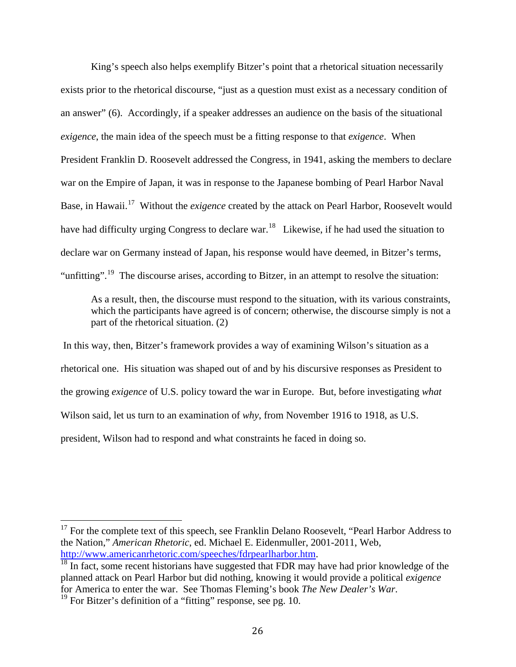King's speech also helps exemplify Bitzer's point that a rhetorical situation necessarily exists prior to the rhetorical discourse, "just as a question must exist as a necessary condition of an answer" (6). Accordingly, if a speaker addresses an audience on the basis of the situational *exigence*, the main idea of the speech must be a fitting response to that *exigence*. When President Franklin D. Roosevelt addressed the Congress, in 1941, asking the members to declare war on the Empire of Japan, it was in response to the Japanese bombing of Pearl Harbor Naval Base, in Hawaii.[17](#page-32-0) Without the *exigence* created by the attack on Pearl Harbor, Roosevelt would have had difficulty urging Congress to declare war.<sup>[18](#page-32-1)</sup> Likewise, if he had used the situation to declare war on Germany instead of Japan, his response would have deemed, in Bitzer's terms, "unfitting".<sup>[19](#page-32-2)</sup> The discourse arises, according to Bitzer, in an attempt to resolve the situation:

As a result, then, the discourse must respond to the situation, with its various constraints, which the participants have agreed is of concern; otherwise, the discourse simply is not a part of the rhetorical situation. (2)

In this way, then, Bitzer's framework provides a way of examining Wilson's situation as a rhetorical one. His situation was shaped out of and by his discursive responses as President to the growing *exigence* of U.S. policy toward the war in Europe. But, before investigating *what* Wilson said, let us turn to an examination of *why*, from November 1916 to 1918, as U.S. president, Wilson had to respond and what constraints he faced in doing so.

<span id="page-32-0"></span><sup>&</sup>lt;sup>17</sup> For the complete text of this speech, see Franklin Delano Roosevelt, "Pearl Harbor Address to the Nation," *American Rhetoric*, ed. Michael E. Eidenmuller, 2001-2011, Web, [http://www.americanr](http://www.american/)hetoric.com/speeches/fdrpearlharbor.htm.<br><sup>18</sup> In fact, some recent historians have suggested that FDR may have had prior knowledge of the

<span id="page-32-1"></span>planned attack on Pearl Harbor but did nothing, knowing it would provide a political *exigence* for America to enter the war. See Thomas Fleming's book *The New Dealer's War*. 19 For Bitzer's definition of a "fitting" response, see pg. 10.

<span id="page-32-2"></span>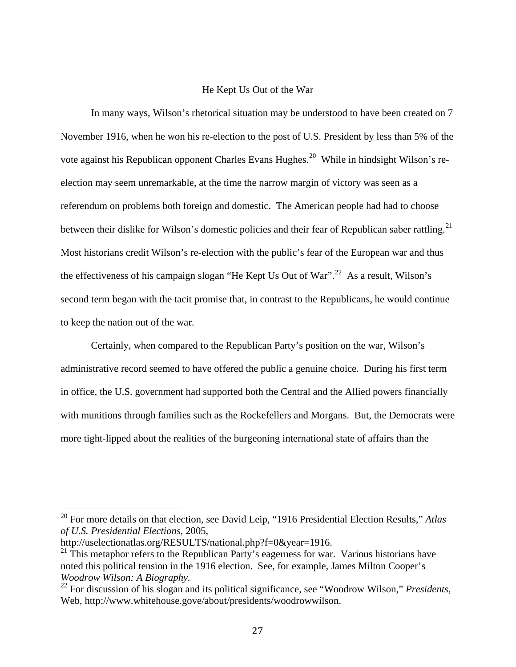#### He Kept Us Out of the War

In many ways, Wilson's rhetorical situation may be understood to have been created on 7 November 1916, when he won his re-election to the post of U.S. President by less than 5% of the vote against his Republican opponent Charles Evans Hughes.<sup>[20](#page-33-0)</sup> While in hindsight Wilson's reelection may seem unremarkable, at the time the narrow margin of victory was seen as a referendum on problems both foreign and domestic. The American people had had to choose between their dislike for Wilson's domestic policies and their fear of Republican saber rattling.<sup>[21](#page-33-1)</sup> Most historians credit Wilson's re-election with the public's fear of the European war and thus the effectiveness of his campaign slogan "He Kept Us Out of War".<sup>[22](#page-33-2)</sup> As a result, Wilson's second term began with the tacit promise that, in contrast to the Republicans, he would continue to keep the nation out of the war.

Certainly, when compared to the Republican Party's position on the war, Wilson's administrative record seemed to have offered the public a genuine choice. During his first term in office, the U.S. government had supported both the Central and the Allied powers financially with munitions through families such as the Rockefellers and Morgans. But, the Democrats were more tight-lipped about the realities of the burgeoning international state of affairs than the

<span id="page-33-0"></span><sup>20</sup> For more details on that election, see David Leip, "1916 Presidential Election Results," *Atlas of U.S. Presidential Elections,* 2005,

http://uselectionatlas.org/RESULTS/national.php?f=0&year=1916.

<span id="page-33-1"></span> $21$  This metaphor refers to the Republican Party's eagerness for war. Various historians have noted this political tension in the 1916 election. See, for example, James Milton Cooper's *Woodrow Wilson: A Biography.*

<span id="page-33-2"></span><sup>22</sup> For discussion of his slogan and its political significance, see "Woodrow Wilson," *Presidents,*  Web, http://www.whitehouse.gove/about/presidents/woodrowwilson.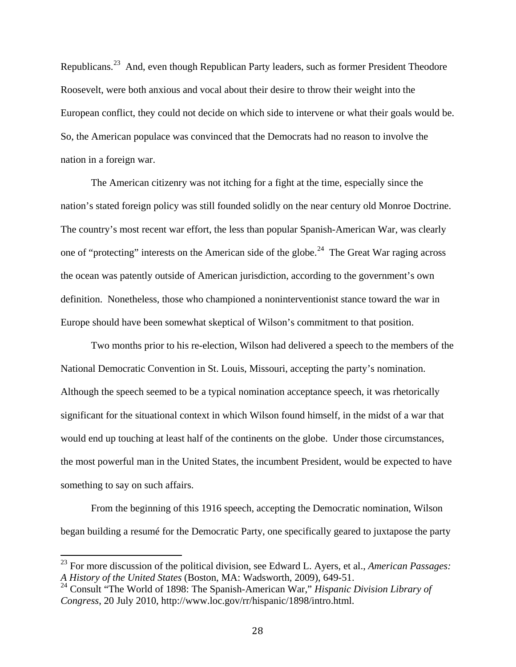Republicans.<sup>[23](#page-34-0)</sup> And, even though Republican Party leaders, such as former President Theodore Roosevelt, were both anxious and vocal about their desire to throw their weight into the European conflict, they could not decide on which side to intervene or what their goals would be. So, the American populace was convinced that the Democrats had no reason to involve the nation in a foreign war.

The American citizenry was not itching for a fight at the time, especially since the nation's stated foreign policy was still founded solidly on the near century old Monroe Doctrine. The country's most recent war effort, the less than popular Spanish-American War, was clearly one of "protecting" interests on the American side of the globe.<sup>[24](#page-34-1)</sup> The Great War raging across the ocean was patently outside of American jurisdiction, according to the government's own definition. Nonetheless, those who championed a noninterventionist stance toward the war in Europe should have been somewhat skeptical of Wilson's commitment to that position.

Two months prior to his re-election, Wilson had delivered a speech to the members of the National Democratic Convention in St. Louis, Missouri, accepting the party's nomination. Although the speech seemed to be a typical nomination acceptance speech, it was rhetorically significant for the situational context in which Wilson found himself, in the midst of a war that would end up touching at least half of the continents on the globe. Under those circumstances, the most powerful man in the United States, the incumbent President, would be expected to have something to say on such affairs.

From the beginning of this 1916 speech, accepting the Democratic nomination, Wilson began building a resumé for the Democratic Party, one specifically geared to juxtapose the party

<span id="page-34-0"></span><sup>23</sup> For more discussion of the political division, see Edward L. Ayers, et al., *American Passages: A History of the United States* (Boston, MA: Wadsworth, 2009), 649-51.

<span id="page-34-1"></span><sup>24</sup> Consult "The World of 1898: The Spanish-American War," *Hispanic Division Library of Congress*, 20 July 2010, http://www.loc.gov/rr/hispanic/1898/intro.html.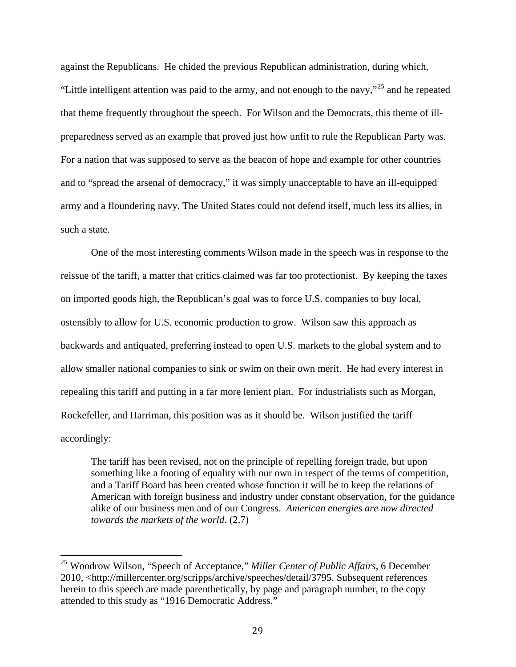against the Republicans. He chided the previous Republican administration, during which, "Little intelligent attention was paid to the army, and not enough to the navy,"<sup>[25](#page-35-0)</sup> and he repeated that theme frequently throughout the speech. For Wilson and the Democrats, this theme of illpreparedness served as an example that proved just how unfit to rule the Republican Party was. For a nation that was supposed to serve as the beacon of hope and example for other countries and to "spread the arsenal of democracy," it was simply unacceptable to have an ill-equipped army and a floundering navy. The United States could not defend itself, much less its allies, in such a state.

One of the most interesting comments Wilson made in the speech was in response to the reissue of the tariff, a matter that critics claimed was far too protectionist. By keeping the taxes on imported goods high, the Republican's goal was to force U.S. companies to buy local, ostensibly to allow for U.S. economic production to grow. Wilson saw this approach as backwards and antiquated, preferring instead to open U.S. markets to the global system and to allow smaller national companies to sink or swim on their own merit. He had every interest in repealing this tariff and putting in a far more lenient plan. For industrialists such as Morgan, Rockefeller, and Harriman, this position was as it should be. Wilson justified the tariff accordingly:

The tariff has been revised, not on the principle of repelling foreign trade, but upon something like a footing of equality with our own in respect of the terms of competition, and a Tariff Board has been created whose function it will be to keep the relations of American with foreign business and industry under constant observation, for the guidance alike of our business men and of our Congress. *American energies are now directed towards the markets of the world*. (2.7)

<span id="page-35-0"></span><sup>25</sup> Woodrow Wilson, "Speech of Acceptance," *Miller Center of Public Affairs*, 6 December 2010, <http://millercenter.org/scripps/archive/speeches/detail/3795. Subsequent references herein to this speech are made parenthetically, by page and paragraph number, to the copy attended to this study as "1916 Democratic Address."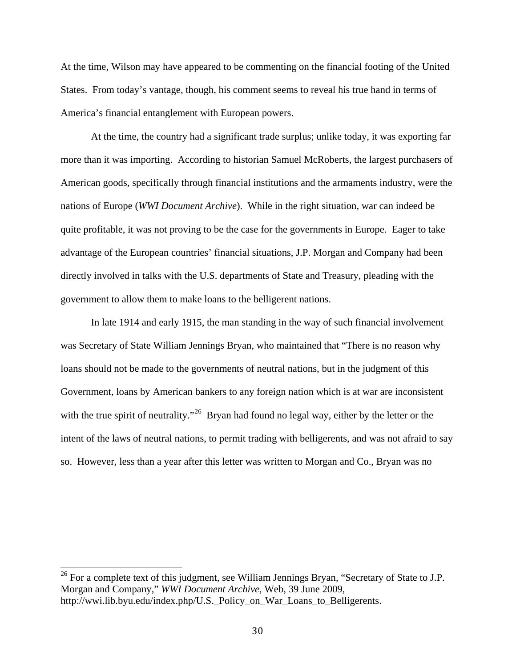At the time, Wilson may have appeared to be commenting on the financial footing of the United States. From today's vantage, though, his comment seems to reveal his true hand in terms of America's financial entanglement with European powers.

At the time, the country had a significant trade surplus; unlike today, it was exporting far more than it was importing. According to historian Samuel McRoberts, the largest purchasers of American goods, specifically through financial institutions and the armaments industry, were the nations of Europe (*WWI Document Archive*). While in the right situation, war can indeed be quite profitable, it was not proving to be the case for the governments in Europe. Eager to take advantage of the European countries' financial situations, J.P. Morgan and Company had been directly involved in talks with the U.S. departments of State and Treasury, pleading with the government to allow them to make loans to the belligerent nations.

In late 1914 and early 1915, the man standing in the way of such financial involvement was Secretary of State William Jennings Bryan, who maintained that "There is no reason why loans should not be made to the governments of neutral nations, but in the judgment of this Government, loans by American bankers to any foreign nation which is at war are inconsistent with the true spirit of neutrality."<sup>[26](#page-36-0)</sup> Bryan had found no legal way, either by the letter or the intent of the laws of neutral nations, to permit trading with belligerents, and was not afraid to say so. However, less than a year after this letter was written to Morgan and Co., Bryan was no

<span id="page-36-0"></span> $26$  For a complete text of this judgment, see William Jennings Bryan, "Secretary of State to J.P. Morgan and Company," *WWI Document Archive,* Web, 39 June 2009, http://wwi.lib.byu.edu/index.php/U.S.\_Policy\_on\_War\_Loans\_to\_Belligerents.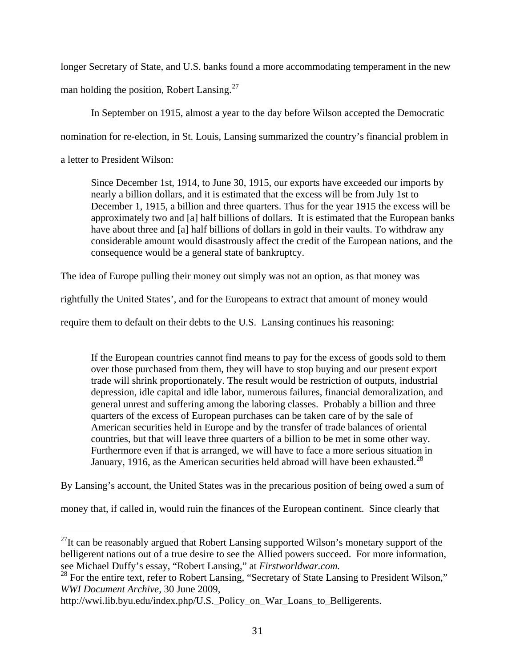longer Secretary of State, and U.S. banks found a more accommodating temperament in the new man holding the position, Robert Lansing. $27$ 

In September on 1915, almost a year to the day before Wilson accepted the Democratic nomination for re-election, in St. Louis, Lansing summarized the country's financial problem in

a letter to President Wilson:

Since December 1st, 1914, to June 30, 1915, our exports have exceeded our imports by nearly a billion dollars, and it is estimated that the excess will be from July 1st to December 1, 1915, a billion and three quarters. Thus for the year 1915 the excess will be approximately two and [a] half billions of dollars. It is estimated that the European banks have about three and [a] half billions of dollars in gold in their vaults. To withdraw any considerable amount would disastrously affect the credit of the European nations, and the consequence would be a general state of bankruptcy.

The idea of Europe pulling their money out simply was not an option, as that money was

rightfully the United States', and for the Europeans to extract that amount of money would

require them to default on their debts to the U.S. Lansing continues his reasoning:

If the European countries cannot find means to pay for the excess of goods sold to them over those purchased from them, they will have to stop buying and our present export trade will shrink proportionately. The result would be restriction of outputs, industrial depression, idle capital and idle labor, numerous failures, financial demoralization, and general unrest and suffering among the laboring classes. Probably a billion and three quarters of the excess of European purchases can be taken care of by the sale of American securities held in Europe and by the transfer of trade balances of oriental countries, but that will leave three quarters of a billion to be met in some other way. Furthermore even if that is arranged, we will have to face a more serious situation in January, 1916, as the American securities held abroad will have been exhausted.<sup>[28](#page-37-1)</sup>

By Lansing's account, the United States was in the precarious position of being owed a sum of

money that, if called in, would ruin the finances of the European continent. Since clearly that

<span id="page-37-0"></span> $27$ It can be reasonably argued that Robert Lansing supported Wilson's monetary support of the belligerent nations out of a true desire to see the Allied powers succeed. For more information, see Michael Duffy's essay, "Robert Lansing," at *Firstworldwar.com.*

<span id="page-37-1"></span><sup>&</sup>lt;sup>28</sup> For the entire text, refer to Robert Lansing, "Secretary of State Lansing to President Wilson," *WWI Document Archive,* 30 June 2009,

http://wwi.lib.byu.edu/index.php/U.S.\_Policy\_on\_War\_Loans\_to\_Belligerents.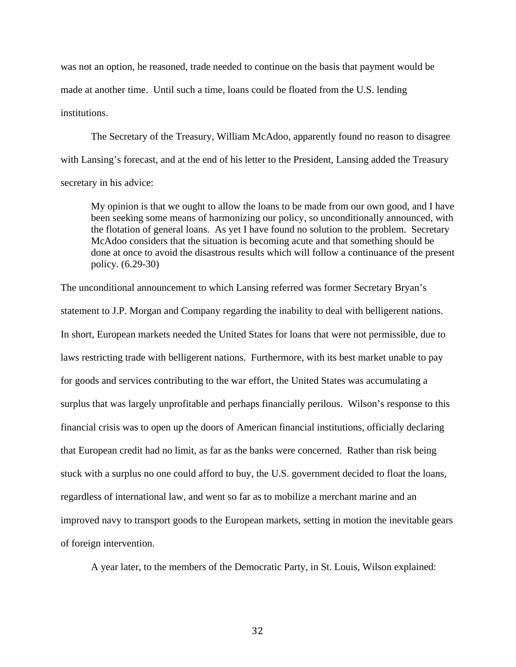was not an option, he reasoned, trade needed to continue on the basis that payment would be made at another time. Until such a time, loans could be floated from the U.S. lending institutions.

The Secretary of the Treasury, William McAdoo, apparently found no reason to disagree with Lansing's forecast, and at the end of his letter to the President, Lansing added the Treasury secretary in his advice:

My opinion is that we ought to allow the loans to be made from our own good, and I have been seeking some means of harmonizing our policy, so unconditionally announced, with the flotation of general loans. As yet I have found no solution to the problem. Secretary McAdoo considers that the situation is becoming acute and that something should be done at once to avoid the disastrous results which will follow a continuance of the present policy. (6.29-30)

The unconditional announcement to which Lansing referred was former Secretary Bryan's statement to J.P. Morgan and Company regarding the inability to deal with belligerent nations. In short, European markets needed the United States for loans that were not permissible, due to laws restricting trade with belligerent nations. Furthermore, with its best market unable to pay for goods and services contributing to the war effort, the United States was accumulating a surplus that was largely unprofitable and perhaps financially perilous. Wilson's response to this financial crisis was to open up the doors of American financial institutions, officially declaring that European credit had no limit, as far as the banks were concerned. Rather than risk being stuck with a surplus no one could afford to buy, the U.S. government decided to float the loans, regardless of international law, and went so far as to mobilize a merchant marine and an improved navy to transport goods to the European markets, setting in motion the inevitable gears of foreign intervention.

A year later, to the members of the Democratic Party, in St. Louis, Wilson explained: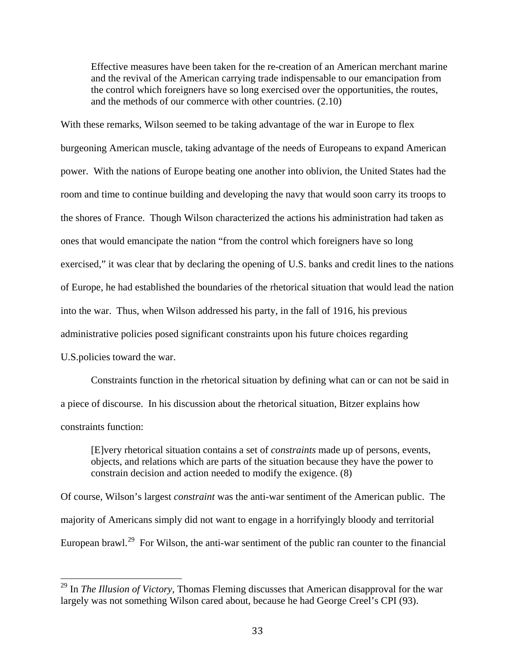Effective measures have been taken for the re-creation of an American merchant marine and the revival of the American carrying trade indispensable to our emancipation from the control which foreigners have so long exercised over the opportunities, the routes, and the methods of our commerce with other countries. (2.10)

With these remarks, Wilson seemed to be taking advantage of the war in Europe to flex burgeoning American muscle, taking advantage of the needs of Europeans to expand American power. With the nations of Europe beating one another into oblivion, the United States had the room and time to continue building and developing the navy that would soon carry its troops to the shores of France. Though Wilson characterized the actions his administration had taken as ones that would emancipate the nation "from the control which foreigners have so long exercised," it was clear that by declaring the opening of U.S. banks and credit lines to the nations of Europe, he had established the boundaries of the rhetorical situation that would lead the nation into the war. Thus, when Wilson addressed his party, in the fall of 1916, his previous administrative policies posed significant constraints upon his future choices regarding U.S.policies toward the war.

Constraints function in the rhetorical situation by defining what can or can not be said in a piece of discourse. In his discussion about the rhetorical situation, Bitzer explains how constraints function:

[E]very rhetorical situation contains a set of *constraints* made up of persons, events, objects, and relations which are parts of the situation because they have the power to constrain decision and action needed to modify the exigence. (8)

Of course, Wilson's largest *constraint* was the anti-war sentiment of the American public. The majority of Americans simply did not want to engage in a horrifyingly bloody and territorial European brawl.<sup>[29](#page-39-0)</sup> For Wilson, the anti-war sentiment of the public ran counter to the financial

<span id="page-39-0"></span><sup>&</sup>lt;sup>29</sup> In *The Illusion of Victory*, Thomas Fleming discusses that American disapproval for the war largely was not something Wilson cared about, because he had George Creel's CPI (93).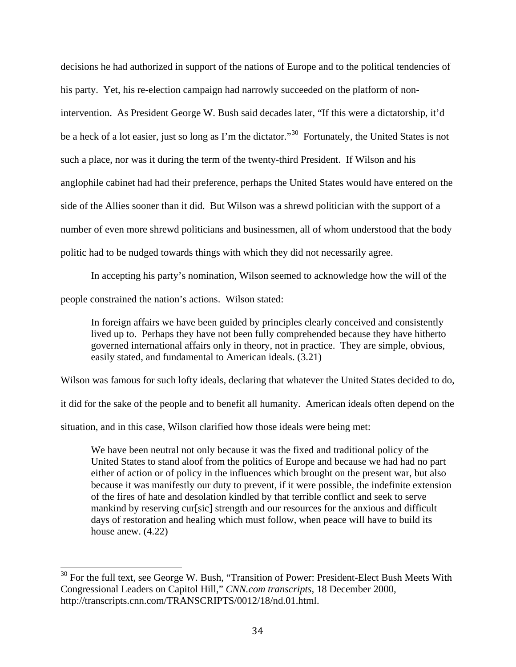decisions he had authorized in support of the nations of Europe and to the political tendencies of his party. Yet, his re-election campaign had narrowly succeeded on the platform of nonintervention. As President George W. Bush said decades later, "If this were a dictatorship, it'd be a heck of a lot easier, just so long as I'm the dictator."<sup>[30](#page-40-0)</sup> Fortunately, the United States is not such a place, nor was it during the term of the twenty-third President. If Wilson and his anglophile cabinet had had their preference, perhaps the United States would have entered on the side of the Allies sooner than it did. But Wilson was a shrewd politician with the support of a number of even more shrewd politicians and businessmen, all of whom understood that the body politic had to be nudged towards things with which they did not necessarily agree.

In accepting his party's nomination, Wilson seemed to acknowledge how the will of the people constrained the nation's actions. Wilson stated:

In foreign affairs we have been guided by principles clearly conceived and consistently lived up to. Perhaps they have not been fully comprehended because they have hitherto governed international affairs only in theory, not in practice. They are simple, obvious, easily stated, and fundamental to American ideals. (3.21)

Wilson was famous for such lofty ideals, declaring that whatever the United States decided to do,

it did for the sake of the people and to benefit all humanity. American ideals often depend on the

situation, and in this case, Wilson clarified how those ideals were being met:

We have been neutral not only because it was the fixed and traditional policy of the United States to stand aloof from the politics of Europe and because we had had no part either of action or of policy in the influences which brought on the present war, but also because it was manifestly our duty to prevent, if it were possible, the indefinite extension of the fires of hate and desolation kindled by that terrible conflict and seek to serve mankind by reserving cur[sic] strength and our resources for the anxious and difficult days of restoration and healing which must follow, when peace will have to build its house anew. (4.22)

<span id="page-40-0"></span><sup>&</sup>lt;sup>30</sup> For the full text, see George W. Bush, "Transition of Power: President-Elect Bush Meets With Congressional Leaders on Capitol Hill," *CNN.com transcripts*, 18 December 2000, http://transcripts.cnn.com/TRANSCRIPTS/0012/18/nd.01.html.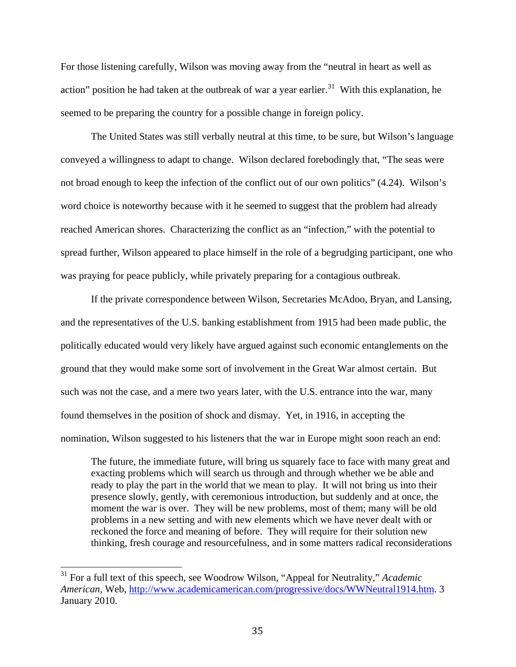For those listening carefully, Wilson was moving away from the "neutral in heart as well as action" position he had taken at the outbreak of war a year earlier.<sup>[31](#page-41-0)</sup> With this explanation, he seemed to be preparing the country for a possible change in foreign policy.

The United States was still verbally neutral at this time, to be sure, but Wilson's language conveyed a willingness to adapt to change. Wilson declared forebodingly that, "The seas were not broad enough to keep the infection of the conflict out of our own politics" (4.24). Wilson's word choice is noteworthy because with it he seemed to suggest that the problem had already reached American shores. Characterizing the conflict as an "infection," with the potential to spread further, Wilson appeared to place himself in the role of a begrudging participant, one who was praying for peace publicly, while privately preparing for a contagious outbreak.

If the private correspondence between Wilson, Secretaries McAdoo, Bryan, and Lansing, and the representatives of the U.S. banking establishment from 1915 had been made public, the politically educated would very likely have argued against such economic entanglements on the ground that they would make some sort of involvement in the Great War almost certain. But such was not the case, and a mere two years later, with the U.S. entrance into the war, many found themselves in the position of shock and dismay. Yet, in 1916, in accepting the nomination, Wilson suggested to his listeners that the war in Europe might soon reach an end:

The future, the immediate future, will bring us squarely face to face with many great and exacting problems which will search us through and through whether we be able and ready to play the part in the world that we mean to play. It will not bring us into their presence slowly, gently, with ceremonious introduction, but suddenly and at once, the moment the war is over. They will be new problems, most of them; many will be old problems in a new setting and with new elements which we have never dealt with or reckoned the force and meaning of before. They will require for their solution new thinking, fresh courage and resourcefulness, and in some matters radical reconsiderations

<span id="page-41-0"></span><sup>31</sup> For a full text of this speech, see Woodrow Wilson, "Appeal for Neutrality," *Academic American,* Web, [http://www.academicamerican.com/progressive/docs/WWNeutral1914.htm.](http://www.academicamerican.com/progressive/docs/WWNeutral1914.htm) 3 January 2010.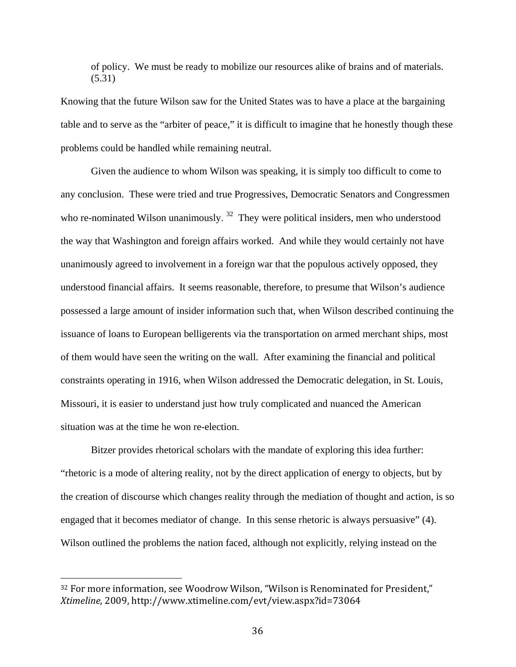of policy. We must be ready to mobilize our resources alike of brains and of materials. (5.31)

Knowing that the future Wilson saw for the United States was to have a place at the bargaining table and to serve as the "arbiter of peace," it is difficult to imagine that he honestly though these problems could be handled while remaining neutral.

Given the audience to whom Wilson was speaking, it is simply too difficult to come to any conclusion. These were tried and true Progressives, Democratic Senators and Congressmen who re-nominated Wilson unanimously.<sup>[32](#page-42-0)</sup> They were political insiders, men who understood the way that Washington and foreign affairs worked. And while they would certainly not have unanimously agreed to involvement in a foreign war that the populous actively opposed, they understood financial affairs. It seems reasonable, therefore, to presume that Wilson's audience possessed a large amount of insider information such that, when Wilson described continuing the issuance of loans to European belligerents via the transportation on armed merchant ships, most of them would have seen the writing on the wall. After examining the financial and political constraints operating in 1916, when Wilson addressed the Democratic delegation, in St. Louis, Missouri, it is easier to understand just how truly complicated and nuanced the American situation was at the time he won re-election.

Bitzer provides rhetorical scholars with the mandate of exploring this idea further: "rhetoric is a mode of altering reality, not by the direct application of energy to objects, but by the creation of discourse which changes reality through the mediation of thought and action, is so engaged that it becomes mediator of change. In this sense rhetoric is always persuasive" (4). Wilson outlined the problems the nation faced, although not explicitly, relying instead on the

<span id="page-42-0"></span> <sup>32</sup> For more information, see Woodrow Wilson, "Wilson is Renominated for President," *Xtimeline*, 2009, http://www.xtimeline.com/evt/view.aspx?id=73064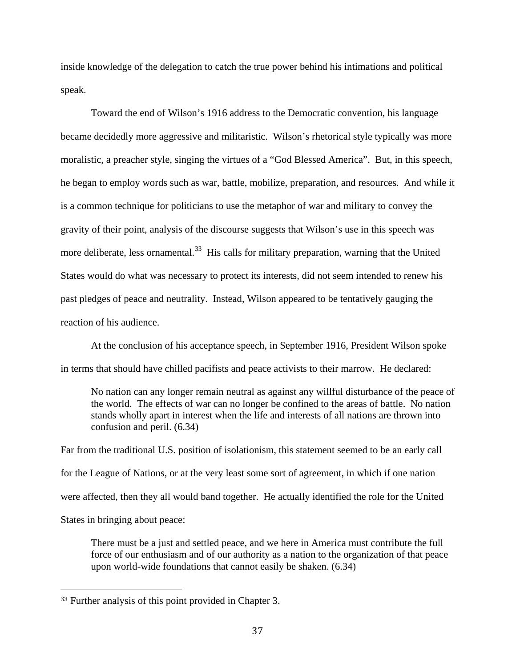inside knowledge of the delegation to catch the true power behind his intimations and political speak.

Toward the end of Wilson's 1916 address to the Democratic convention, his language became decidedly more aggressive and militaristic. Wilson's rhetorical style typically was more moralistic, a preacher style, singing the virtues of a "God Blessed America". But, in this speech, he began to employ words such as war, battle, mobilize, preparation, and resources. And while it is a common technique for politicians to use the metaphor of war and military to convey the gravity of their point, analysis of the discourse suggests that Wilson's use in this speech was more deliberate, less ornamental.<sup>[33](#page-43-0)</sup> His calls for military preparation, warning that the United States would do what was necessary to protect its interests, did not seem intended to renew his past pledges of peace and neutrality. Instead, Wilson appeared to be tentatively gauging the reaction of his audience.

At the conclusion of his acceptance speech, in September 1916, President Wilson spoke in terms that should have chilled pacifists and peace activists to their marrow. He declared:

No nation can any longer remain neutral as against any willful disturbance of the peace of the world. The effects of war can no longer be confined to the areas of battle. No nation stands wholly apart in interest when the life and interests of all nations are thrown into confusion and peril. (6.34)

Far from the traditional U.S. position of isolationism, this statement seemed to be an early call for the League of Nations, or at the very least some sort of agreement, in which if one nation were affected, then they all would band together. He actually identified the role for the United States in bringing about peace:

There must be a just and settled peace, and we here in America must contribute the full force of our enthusiasm and of our authority as a nation to the organization of that peace upon world-wide foundations that cannot easily be shaken. (6.34)

<span id="page-43-0"></span> <sup>33</sup> Further analysis of this point provided in Chapter 3.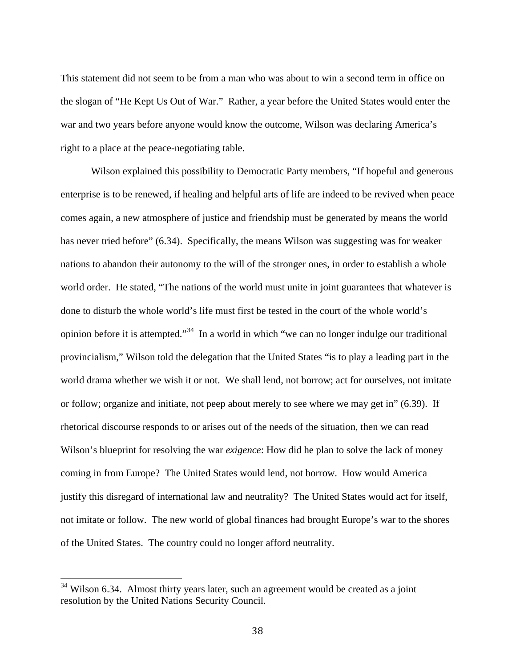This statement did not seem to be from a man who was about to win a second term in office on the slogan of "He Kept Us Out of War." Rather, a year before the United States would enter the war and two years before anyone would know the outcome, Wilson was declaring America's right to a place at the peace-negotiating table.

Wilson explained this possibility to Democratic Party members, "If hopeful and generous enterprise is to be renewed, if healing and helpful arts of life are indeed to be revived when peace comes again, a new atmosphere of justice and friendship must be generated by means the world has never tried before" (6.34). Specifically, the means Wilson was suggesting was for weaker nations to abandon their autonomy to the will of the stronger ones, in order to establish a whole world order. He stated, "The nations of the world must unite in joint guarantees that whatever is done to disturb the whole world's life must first be tested in the court of the whole world's opinion before it is attempted."<sup>[34](#page-44-0)</sup> In a world in which "we can no longer indulge our traditional provincialism," Wilson told the delegation that the United States "is to play a leading part in the world drama whether we wish it or not. We shall lend, not borrow; act for ourselves, not imitate or follow; organize and initiate, not peep about merely to see where we may get in" (6.39). If rhetorical discourse responds to or arises out of the needs of the situation, then we can read Wilson's blueprint for resolving the war *exigence*: How did he plan to solve the lack of money coming in from Europe? The United States would lend, not borrow. How would America justify this disregard of international law and neutrality? The United States would act for itself, not imitate or follow. The new world of global finances had brought Europe's war to the shores of the United States. The country could no longer afford neutrality.

<span id="page-44-0"></span><sup>&</sup>lt;sup>34</sup> Wilson 6.34. Almost thirty years later, such an agreement would be created as a joint resolution by the United Nations Security Council.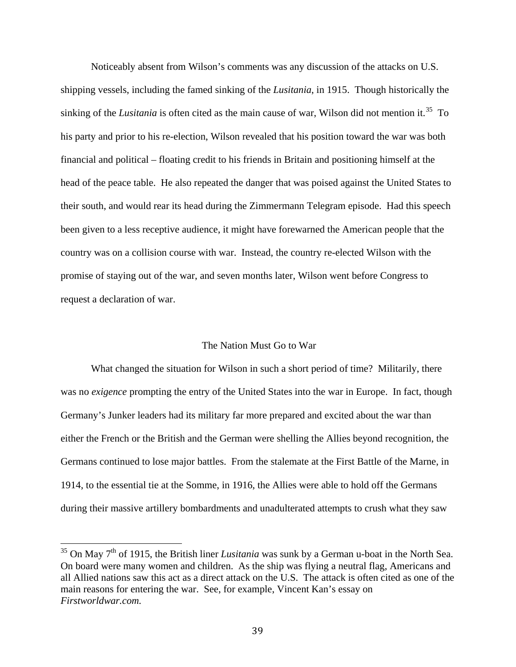Noticeably absent from Wilson's comments was any discussion of the attacks on U.S. shipping vessels, including the famed sinking of the *Lusitania*, in 1915. Though historically the sinking of the *Lusitania* is often cited as the main cause of war, Wilson did not mention it.<sup>[35](#page-45-0)</sup> To his party and prior to his re-election, Wilson revealed that his position toward the war was both financial and political – floating credit to his friends in Britain and positioning himself at the head of the peace table. He also repeated the danger that was poised against the United States to their south, and would rear its head during the Zimmermann Telegram episode. Had this speech been given to a less receptive audience, it might have forewarned the American people that the country was on a collision course with war. Instead, the country re-elected Wilson with the promise of staying out of the war, and seven months later, Wilson went before Congress to request a declaration of war.

## The Nation Must Go to War

What changed the situation for Wilson in such a short period of time? Militarily, there was no *exigence* prompting the entry of the United States into the war in Europe. In fact, though Germany's Junker leaders had its military far more prepared and excited about the war than either the French or the British and the German were shelling the Allies beyond recognition, the Germans continued to lose major battles. From the stalemate at the First Battle of the Marne, in 1914, to the essential tie at the Somme, in 1916, the Allies were able to hold off the Germans during their massive artillery bombardments and unadulterated attempts to crush what they saw

<span id="page-45-0"></span><sup>&</sup>lt;sup>35</sup> On May 7<sup>th</sup> of 1915, the British liner *Lusitania* was sunk by a German u-boat in the North Sea. On board were many women and children. As the ship was flying a neutral flag, Americans and all Allied nations saw this act as a direct attack on the U.S. The attack is often cited as one of the main reasons for entering the war. See, for example, Vincent Kan's essay on *Firstworldwar.com.*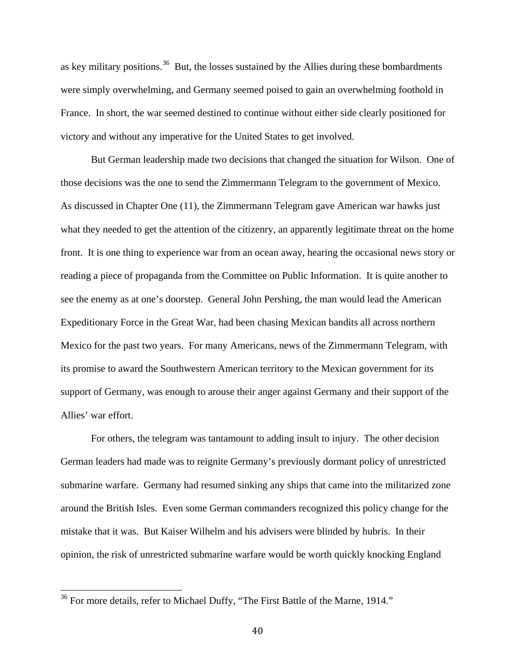as key military positions.<sup>[36](#page-46-0)</sup> But, the losses sustained by the Allies during these bombardments were simply overwhelming, and Germany seemed poised to gain an overwhelming foothold in France. In short, the war seemed destined to continue without either side clearly positioned for victory and without any imperative for the United States to get involved.

But German leadership made two decisions that changed the situation for Wilson. One of those decisions was the one to send the Zimmermann Telegram to the government of Mexico. As discussed in Chapter One (11), the Zimmermann Telegram gave American war hawks just what they needed to get the attention of the citizenry, an apparently legitimate threat on the home front. It is one thing to experience war from an ocean away, hearing the occasional news story or reading a piece of propaganda from the Committee on Public Information. It is quite another to see the enemy as at one's doorstep. General John Pershing, the man would lead the American Expeditionary Force in the Great War, had been chasing Mexican bandits all across northern Mexico for the past two years. For many Americans, news of the Zimmermann Telegram, with its promise to award the Southwestern American territory to the Mexican government for its support of Germany, was enough to arouse their anger against Germany and their support of the Allies' war effort.

For others, the telegram was tantamount to adding insult to injury. The other decision German leaders had made was to reignite Germany's previously dormant policy of unrestricted submarine warfare. Germany had resumed sinking any ships that came into the militarized zone around the British Isles. Even some German commanders recognized this policy change for the mistake that it was. But Kaiser Wilhelm and his advisers were blinded by hubris. In their opinion, the risk of unrestricted submarine warfare would be worth quickly knocking England

<span id="page-46-0"></span><sup>&</sup>lt;sup>36</sup> For more details, refer to Michael Duffy, "The First Battle of the Marne, 1914."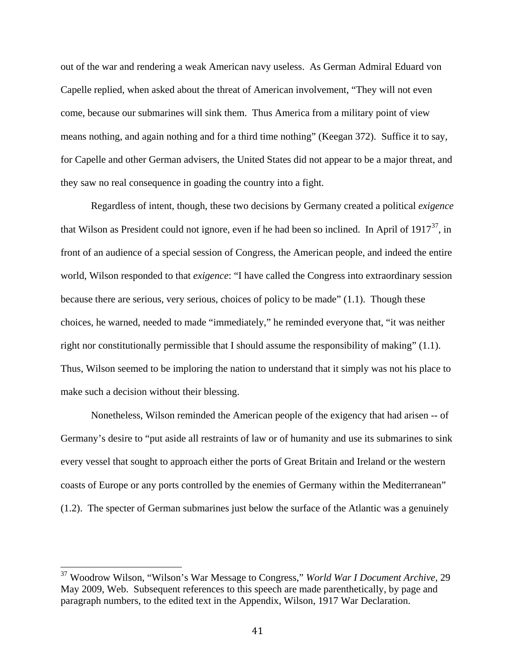out of the war and rendering a weak American navy useless. As German Admiral Eduard von Capelle replied, when asked about the threat of American involvement, "They will not even come, because our submarines will sink them. Thus America from a military point of view means nothing, and again nothing and for a third time nothing" (Keegan 372). Suffice it to say, for Capelle and other German advisers, the United States did not appear to be a major threat, and they saw no real consequence in goading the country into a fight.

Regardless of intent, though, these two decisions by Germany created a political *exigence* that Wilson as President could not ignore, even if he had been so inclined. In April of  $1917^{37}$  $1917^{37}$  $1917^{37}$ , in front of an audience of a special session of Congress, the American people, and indeed the entire world, Wilson responded to that *exigence*: "I have called the Congress into extraordinary session because there are serious, very serious, choices of policy to be made" (1.1). Though these choices, he warned, needed to made "immediately," he reminded everyone that, "it was neither right nor constitutionally permissible that I should assume the responsibility of making" (1.1). Thus, Wilson seemed to be imploring the nation to understand that it simply was not his place to make such a decision without their blessing.

Nonetheless, Wilson reminded the American people of the exigency that had arisen -- of Germany's desire to "put aside all restraints of law or of humanity and use its submarines to sink every vessel that sought to approach either the ports of Great Britain and Ireland or the western coasts of Europe or any ports controlled by the enemies of Germany within the Mediterranean" (1.2). The specter of German submarines just below the surface of the Atlantic was a genuinely

<span id="page-47-0"></span><sup>37</sup> Woodrow Wilson, "Wilson's War Message to Congress," *World War I Document Archive*, 29 May 2009, Web. Subsequent references to this speech are made parenthetically, by page and paragraph numbers, to the edited text in the Appendix, Wilson, 1917 War Declaration.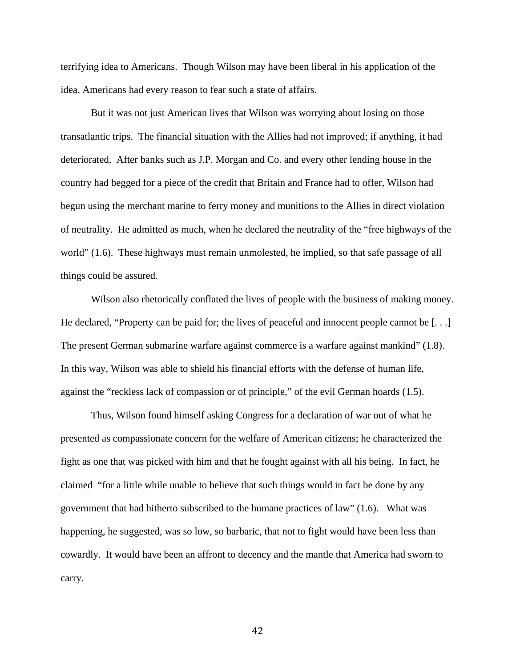terrifying idea to Americans. Though Wilson may have been liberal in his application of the idea, Americans had every reason to fear such a state of affairs.

But it was not just American lives that Wilson was worrying about losing on those transatlantic trips. The financial situation with the Allies had not improved; if anything, it had deteriorated. After banks such as J.P. Morgan and Co. and every other lending house in the country had begged for a piece of the credit that Britain and France had to offer, Wilson had begun using the merchant marine to ferry money and munitions to the Allies in direct violation of neutrality. He admitted as much, when he declared the neutrality of the "free highways of the world" (1.6). These highways must remain unmolested, he implied, so that safe passage of all things could be assured.

Wilson also rhetorically conflated the lives of people with the business of making money. He declared, "Property can be paid for; the lives of peaceful and innocent people cannot be  $[\ldots]$ The present German submarine warfare against commerce is a warfare against mankind" (1.8). In this way, Wilson was able to shield his financial efforts with the defense of human life, against the "reckless lack of compassion or of principle," of the evil German hoards (1.5).

Thus, Wilson found himself asking Congress for a declaration of war out of what he presented as compassionate concern for the welfare of American citizens; he characterized the fight as one that was picked with him and that he fought against with all his being. In fact, he claimed "for a little while unable to believe that such things would in fact be done by any government that had hitherto subscribed to the humane practices of law" (1.6). What was happening, he suggested, was so low, so barbaric, that not to fight would have been less than cowardly. It would have been an affront to decency and the mantle that America had sworn to carry.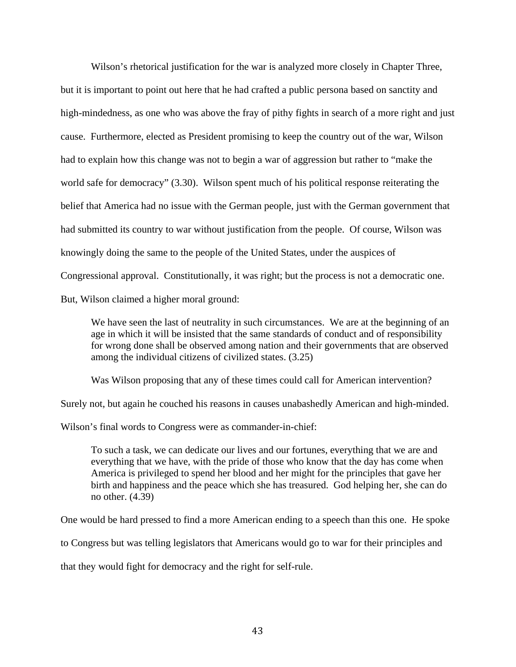Wilson's rhetorical justification for the war is analyzed more closely in Chapter Three, but it is important to point out here that he had crafted a public persona based on sanctity and high-mindedness, as one who was above the fray of pithy fights in search of a more right and just cause. Furthermore, elected as President promising to keep the country out of the war, Wilson had to explain how this change was not to begin a war of aggression but rather to "make the world safe for democracy" (3.30). Wilson spent much of his political response reiterating the belief that America had no issue with the German people, just with the German government that had submitted its country to war without justification from the people. Of course, Wilson was knowingly doing the same to the people of the United States, under the auspices of Congressional approval. Constitutionally, it was right; but the process is not a democratic one. But, Wilson claimed a higher moral ground:

We have seen the last of neutrality in such circumstances. We are at the beginning of an age in which it will be insisted that the same standards of conduct and of responsibility for wrong done shall be observed among nation and their governments that are observed among the individual citizens of civilized states. (3.25)

Was Wilson proposing that any of these times could call for American intervention?

Surely not, but again he couched his reasons in causes unabashedly American and high-minded.

Wilson's final words to Congress were as commander-in-chief:

To such a task, we can dedicate our lives and our fortunes, everything that we are and everything that we have, with the pride of those who know that the day has come when America is privileged to spend her blood and her might for the principles that gave her birth and happiness and the peace which she has treasured. God helping her, she can do no other. (4.39)

One would be hard pressed to find a more American ending to a speech than this one. He spoke

to Congress but was telling legislators that Americans would go to war for their principles and

that they would fight for democracy and the right for self-rule.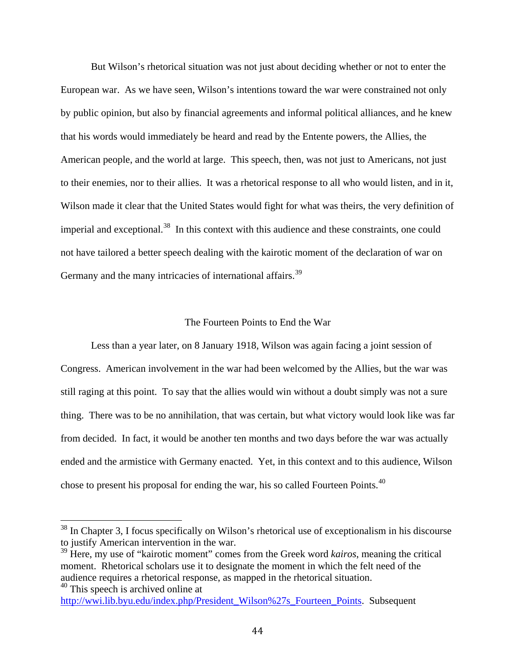But Wilson's rhetorical situation was not just about deciding whether or not to enter the European war. As we have seen, Wilson's intentions toward the war were constrained not only by public opinion, but also by financial agreements and informal political alliances, and he knew that his words would immediately be heard and read by the Entente powers, the Allies, the American people, and the world at large. This speech, then, was not just to Americans, not just to their enemies, nor to their allies. It was a rhetorical response to all who would listen, and in it, Wilson made it clear that the United States would fight for what was theirs, the very definition of imperial and exceptional.<sup>[38](#page-50-0)</sup> In this context with this audience and these constraints, one could not have tailored a better speech dealing with the kairotic moment of the declaration of war on Germany and the many intricacies of international affairs.<sup>[39](#page-50-1)</sup>

## The Fourteen Points to End the War

Less than a year later, on 8 January 1918, Wilson was again facing a joint session of Congress. American involvement in the war had been welcomed by the Allies, but the war was still raging at this point. To say that the allies would win without a doubt simply was not a sure thing. There was to be no annihilation, that was certain, but what victory would look like was far from decided. In fact, it would be another ten months and two days before the war was actually ended and the armistice with Germany enacted. Yet, in this context and to this audience, Wilson chose to present his proposal for ending the war, his so called Fourteen Points.[40](#page-50-2)

<span id="page-50-2"></span> $40$  This speech is archived online at

<span id="page-50-0"></span><sup>&</sup>lt;sup>38</sup> In Chapter 3, I focus specifically on Wilson's rhetorical use of exceptionalism in his discourse to justify American intervention in the war.

<span id="page-50-1"></span><sup>&</sup>lt;sup>39</sup> Here, my use of "kairotic moment" comes from the Greek word *kairos*, meaning the critical moment. Rhetorical scholars use it to designate the moment in which the felt need of the audience requires a rhetorical response, as mapped in the rhetorical situation.

[http://wwi.lib.byu.edu/index.php/President\\_Wilson%27s\\_Fourteen\\_Points.](http://wwi.lib.byu.edu/index.php/President_Wilson%27s_Fourteen_Points) Subsequent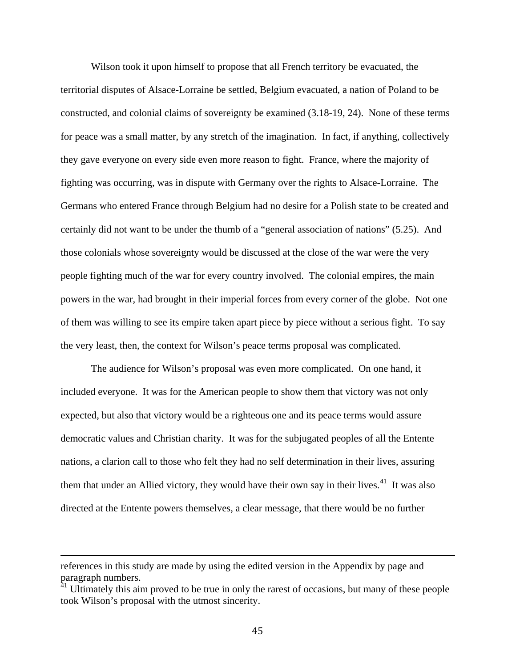Wilson took it upon himself to propose that all French territory be evacuated, the territorial disputes of Alsace-Lorraine be settled, Belgium evacuated, a nation of Poland to be constructed, and colonial claims of sovereignty be examined (3.18-19, 24). None of these terms for peace was a small matter, by any stretch of the imagination. In fact, if anything, collectively they gave everyone on every side even more reason to fight. France, where the majority of fighting was occurring, was in dispute with Germany over the rights to Alsace-Lorraine. The Germans who entered France through Belgium had no desire for a Polish state to be created and certainly did not want to be under the thumb of a "general association of nations" (5.25). And those colonials whose sovereignty would be discussed at the close of the war were the very people fighting much of the war for every country involved. The colonial empires, the main powers in the war, had brought in their imperial forces from every corner of the globe. Not one of them was willing to see its empire taken apart piece by piece without a serious fight. To say the very least, then, the context for Wilson's peace terms proposal was complicated.

The audience for Wilson's proposal was even more complicated. On one hand, it included everyone. It was for the American people to show them that victory was not only expected, but also that victory would be a righteous one and its peace terms would assure democratic values and Christian charity. It was for the subjugated peoples of all the Entente nations, a clarion call to those who felt they had no self determination in their lives, assuring them that under an Allied victory, they would have their own say in their lives.<sup>[41](#page-51-0)</sup> It was also directed at the Entente powers themselves, a clear message, that there would be no further

I

references in this study are made by using the edited version in the Appendix by page and paragraph numbers.

<span id="page-51-0"></span> $41$  Ultimately this aim proved to be true in only the rarest of occasions, but many of these people took Wilson's proposal with the utmost sincerity.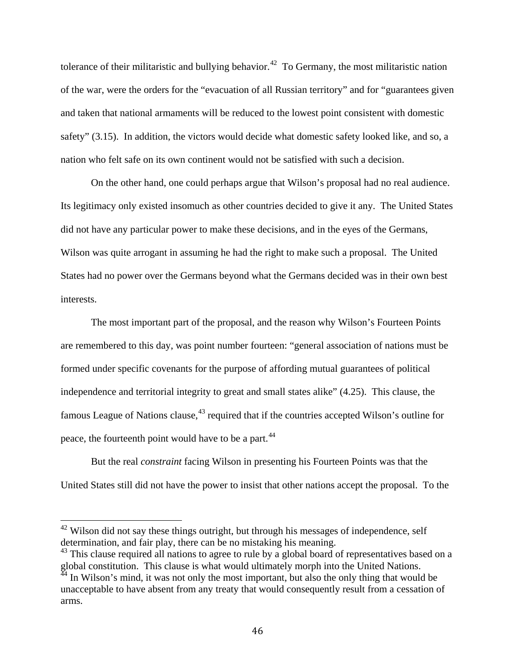tolerance of their militaristic and bullying behavior.<sup>[42](#page-52-0)</sup> To Germany, the most militaristic nation of the war, were the orders for the "evacuation of all Russian territory" and for "guarantees given and taken that national armaments will be reduced to the lowest point consistent with domestic safety" (3.15). In addition, the victors would decide what domestic safety looked like, and so, a nation who felt safe on its own continent would not be satisfied with such a decision.

On the other hand, one could perhaps argue that Wilson's proposal had no real audience. Its legitimacy only existed insomuch as other countries decided to give it any. The United States did not have any particular power to make these decisions, and in the eyes of the Germans, Wilson was quite arrogant in assuming he had the right to make such a proposal. The United States had no power over the Germans beyond what the Germans decided was in their own best interests.

The most important part of the proposal, and the reason why Wilson's Fourteen Points are remembered to this day, was point number fourteen: "general association of nations must be formed under specific covenants for the purpose of affording mutual guarantees of political independence and territorial integrity to great and small states alike" (4.25). This clause, the famous League of Nations clause,<sup>[43](#page-52-1)</sup> required that if the countries accepted Wilson's outline for peace, the fourteenth point would have to be a part.<sup>[44](#page-52-2)</sup>

But the real *constraint* facing Wilson in presenting his Fourteen Points was that the United States still did not have the power to insist that other nations accept the proposal. To the

<span id="page-52-0"></span><sup>&</sup>lt;sup>42</sup> Wilson did not say these things outright, but through his messages of independence, self determination, and fair play, there can be no mistaking his meaning.

<span id="page-52-1"></span> $43$  This clause required all nations to agree to rule by a global board of representatives based on a global constitution. This clause is what would ultimately morph into the United Nations.<br><sup>44</sup> In Wilson's mind, it was not subject.

<span id="page-52-2"></span>In Wilson's mind, it was not only the most important, but also the only thing that would be unacceptable to have absent from any treaty that would consequently result from a cessation of arms.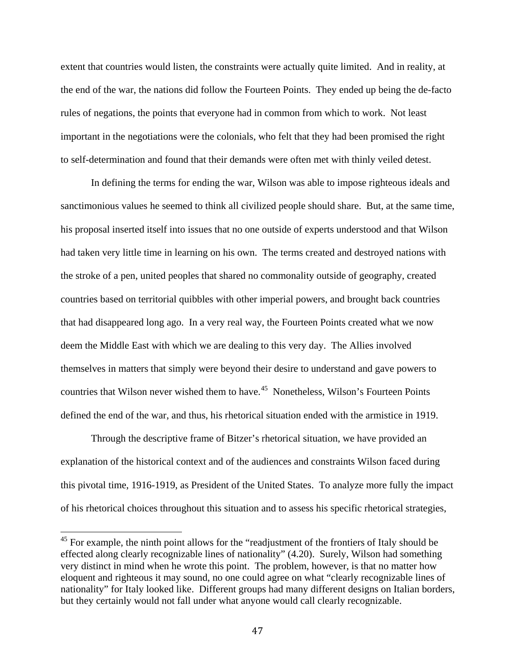extent that countries would listen, the constraints were actually quite limited. And in reality, at the end of the war, the nations did follow the Fourteen Points. They ended up being the de-facto rules of negations, the points that everyone had in common from which to work. Not least important in the negotiations were the colonials, who felt that they had been promised the right to self-determination and found that their demands were often met with thinly veiled detest.

In defining the terms for ending the war, Wilson was able to impose righteous ideals and sanctimonious values he seemed to think all civilized people should share. But, at the same time, his proposal inserted itself into issues that no one outside of experts understood and that Wilson had taken very little time in learning on his own. The terms created and destroyed nations with the stroke of a pen, united peoples that shared no commonality outside of geography, created countries based on territorial quibbles with other imperial powers, and brought back countries that had disappeared long ago. In a very real way, the Fourteen Points created what we now deem the Middle East with which we are dealing to this very day. The Allies involved themselves in matters that simply were beyond their desire to understand and gave powers to countries that Wilson never wished them to have.<sup>[45](#page-53-0)</sup> Nonetheless, Wilson's Fourteen Points defined the end of the war, and thus, his rhetorical situation ended with the armistice in 1919.

Through the descriptive frame of Bitzer's rhetorical situation, we have provided an explanation of the historical context and of the audiences and constraints Wilson faced during this pivotal time, 1916-1919, as President of the United States. To analyze more fully the impact of his rhetorical choices throughout this situation and to assess his specific rhetorical strategies,

<span id="page-53-0"></span> $45$  For example, the ninth point allows for the "readjustment of the frontiers of Italy should be effected along clearly recognizable lines of nationality" (4.20). Surely, Wilson had something very distinct in mind when he wrote this point. The problem, however, is that no matter how eloquent and righteous it may sound, no one could agree on what "clearly recognizable lines of nationality" for Italy looked like. Different groups had many different designs on Italian borders, but they certainly would not fall under what anyone would call clearly recognizable.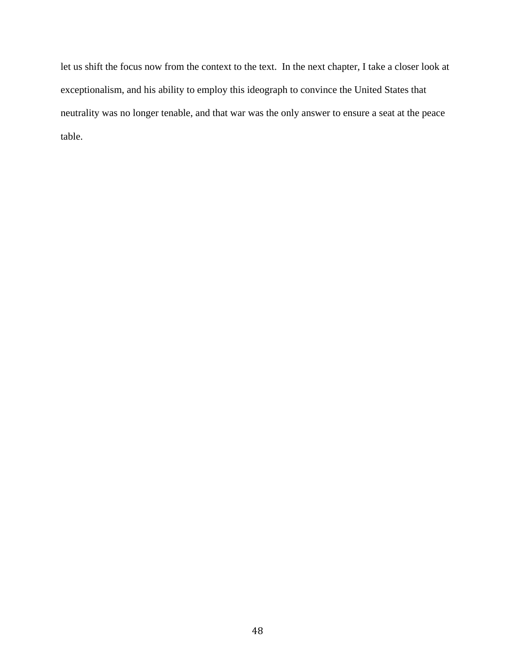let us shift the focus now from the context to the text. In the next chapter, I take a closer look at exceptionalism, and his ability to employ this ideograph to convince the United States that neutrality was no longer tenable, and that war was the only answer to ensure a seat at the peace table.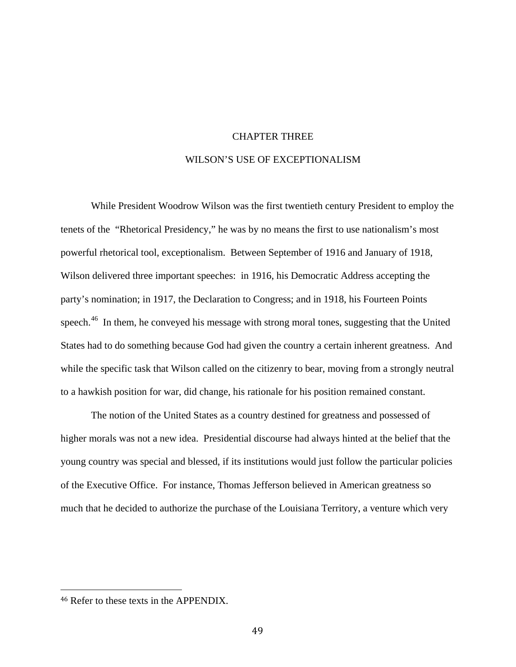## CHAPTER THREE

# WILSON'S USE OF EXCEPTIONALISM

While President Woodrow Wilson was the first twentieth century President to employ the tenets of the "Rhetorical Presidency," he was by no means the first to use nationalism's most powerful rhetorical tool, exceptionalism. Between September of 1916 and January of 1918, Wilson delivered three important speeches: in 1916, his Democratic Address accepting the party's nomination; in 1917, the Declaration to Congress; and in 1918, his Fourteen Points speech.<sup>[46](#page-55-0)</sup> In them, he conveyed his message with strong moral tones, suggesting that the United States had to do something because God had given the country a certain inherent greatness. And while the specific task that Wilson called on the citizenry to bear, moving from a strongly neutral to a hawkish position for war, did change, his rationale for his position remained constant.

The notion of the United States as a country destined for greatness and possessed of higher morals was not a new idea. Presidential discourse had always hinted at the belief that the young country was special and blessed, if its institutions would just follow the particular policies of the Executive Office. For instance, Thomas Jefferson believed in American greatness so much that he decided to authorize the purchase of the Louisiana Territory, a venture which very

<span id="page-55-0"></span> <sup>46</sup> Refer to these texts in the APPENDIX.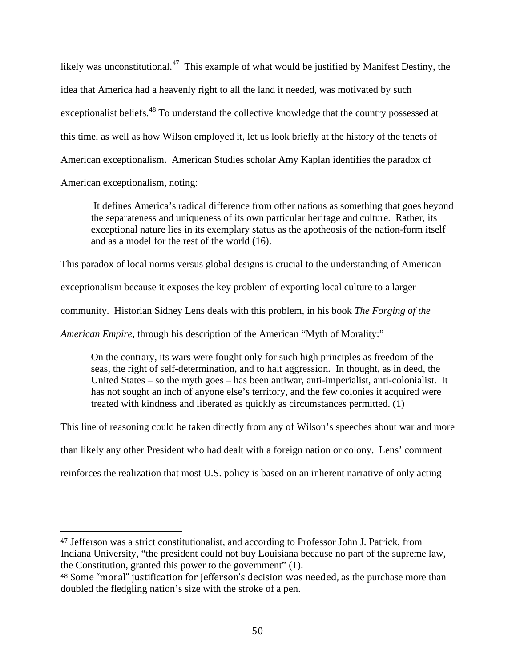likely was unconstitutional.<sup>47</sup> This example of what would be justified by Manifest Destiny, the idea that America had a heavenly right to all the land it needed, was motivated by such exceptionalist beliefs.<sup>[48](#page-56-1)</sup> To understand the collective knowledge that the country possessed at this time, as well as how Wilson employed it, let us look briefly at the history of the tenets of American exceptionalism. American Studies scholar Amy Kaplan identifies the paradox of

American exceptionalism, noting:

It defines America's radical difference from other nations as something that goes beyond the separateness and uniqueness of its own particular heritage and culture. Rather, its exceptional nature lies in its exemplary status as the apotheosis of the nation-form itself and as a model for the rest of the world (16).

This paradox of local norms versus global designs is crucial to the understanding of American

exceptionalism because it exposes the key problem of exporting local culture to a larger

community. Historian Sidney Lens deals with this problem, in his book *The Forging of the* 

*American Empire,* through his description of the American "Myth of Morality:"

On the contrary, its wars were fought only for such high principles as freedom of the seas, the right of self-determination, and to halt aggression. In thought, as in deed, the United States – so the myth goes – has been antiwar, anti-imperialist, anti-colonialist. It has not sought an inch of anyone else's territory, and the few colonies it acquired were treated with kindness and liberated as quickly as circumstances permitted. (1)

This line of reasoning could be taken directly from any of Wilson's speeches about war and more

than likely any other President who had dealt with a foreign nation or colony. Lens' comment

reinforces the realization that most U.S. policy is based on an inherent narrative of only acting

<span id="page-56-0"></span> <sup>47</sup> Jefferson was a strict constitutionalist, and according to Professor John J. Patrick, from Indiana University, "the president could not buy Louisiana because no part of the supreme law, the Constitution, granted this power to the government" (1).

<span id="page-56-1"></span><sup>48</sup> Some "moral" justification for Jefferson's decision was needed, as the purchase more than doubled the fledgling nation's size with the stroke of a pen.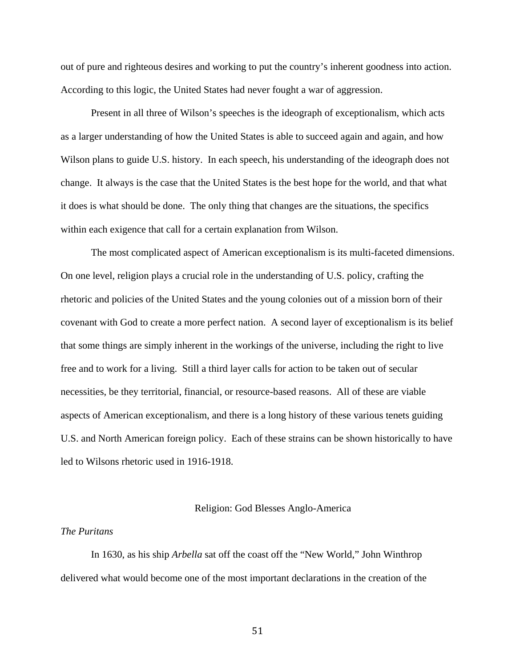out of pure and righteous desires and working to put the country's inherent goodness into action. According to this logic, the United States had never fought a war of aggression.

Present in all three of Wilson's speeches is the ideograph of exceptionalism, which acts as a larger understanding of how the United States is able to succeed again and again, and how Wilson plans to guide U.S. history. In each speech, his understanding of the ideograph does not change. It always is the case that the United States is the best hope for the world, and that what it does is what should be done. The only thing that changes are the situations, the specifics within each exigence that call for a certain explanation from Wilson.

The most complicated aspect of American exceptionalism is its multi-faceted dimensions. On one level, religion plays a crucial role in the understanding of U.S. policy, crafting the rhetoric and policies of the United States and the young colonies out of a mission born of their covenant with God to create a more perfect nation. A second layer of exceptionalism is its belief that some things are simply inherent in the workings of the universe, including the right to live free and to work for a living. Still a third layer calls for action to be taken out of secular necessities, be they territorial, financial, or resource-based reasons. All of these are viable aspects of American exceptionalism, and there is a long history of these various tenets guiding U.S. and North American foreign policy. Each of these strains can be shown historically to have led to Wilsons rhetoric used in 1916-1918.

#### Religion: God Blesses Anglo-America

## *The Puritans*

In 1630, as his ship *Arbella* sat off the coast off the "New World," John Winthrop delivered what would become one of the most important declarations in the creation of the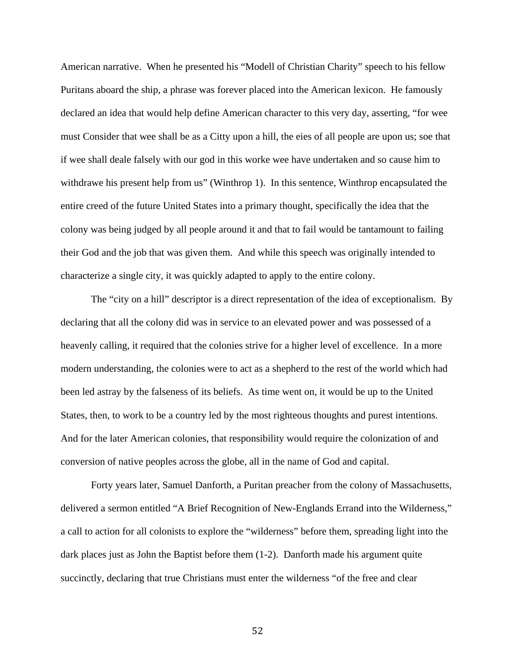American narrative. When he presented his "Modell of Christian Charity" speech to his fellow Puritans aboard the ship, a phrase was forever placed into the American lexicon. He famously declared an idea that would help define American character to this very day, asserting, "for wee must Consider that wee shall be as a Citty upon a hill, the eies of all people are upon us; soe that if wee shall deale falsely with our god in this worke wee have undertaken and so cause him to withdrawe his present help from us" (Winthrop 1). In this sentence, Winthrop encapsulated the entire creed of the future United States into a primary thought, specifically the idea that the colony was being judged by all people around it and that to fail would be tantamount to failing their God and the job that was given them. And while this speech was originally intended to characterize a single city, it was quickly adapted to apply to the entire colony.

The "city on a hill" descriptor is a direct representation of the idea of exceptionalism. By declaring that all the colony did was in service to an elevated power and was possessed of a heavenly calling, it required that the colonies strive for a higher level of excellence. In a more modern understanding, the colonies were to act as a shepherd to the rest of the world which had been led astray by the falseness of its beliefs. As time went on, it would be up to the United States, then, to work to be a country led by the most righteous thoughts and purest intentions. And for the later American colonies, that responsibility would require the colonization of and conversion of native peoples across the globe, all in the name of God and capital.

Forty years later, Samuel Danforth, a Puritan preacher from the colony of Massachusetts, delivered a sermon entitled "A Brief Recognition of New-Englands Errand into the Wilderness," a call to action for all colonists to explore the "wilderness" before them, spreading light into the dark places just as John the Baptist before them (1-2). Danforth made his argument quite succinctly, declaring that true Christians must enter the wilderness "of the free and clear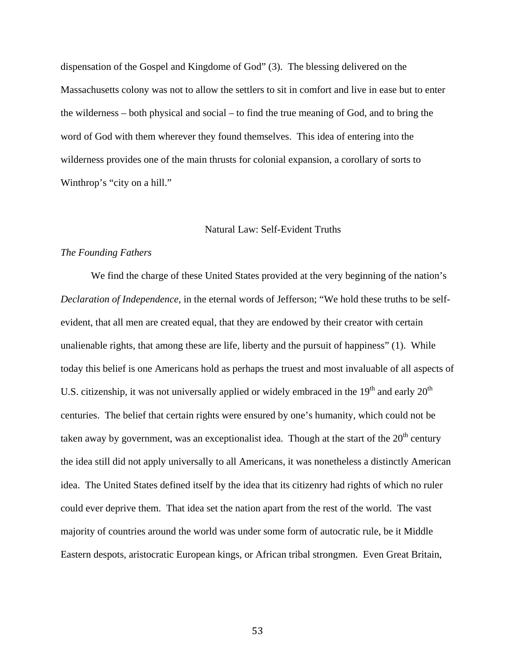dispensation of the Gospel and Kingdome of God" (3). The blessing delivered on the Massachusetts colony was not to allow the settlers to sit in comfort and live in ease but to enter the wilderness – both physical and social – to find the true meaning of God, and to bring the word of God with them wherever they found themselves. This idea of entering into the wilderness provides one of the main thrusts for colonial expansion, a corollary of sorts to Winthrop's "city on a hill."

### Natural Law: Self-Evident Truths

### *The Founding Fathers*

We find the charge of these United States provided at the very beginning of the nation's *Declaration of Independence*, in the eternal words of Jefferson; "We hold these truths to be selfevident, that all men are created equal, that they are endowed by their creator with certain unalienable rights, that among these are life, liberty and the pursuit of happiness" (1). While today this belief is one Americans hold as perhaps the truest and most invaluable of all aspects of U.S. citizenship, it was not universally applied or widely embraced in the  $19<sup>th</sup>$  and early  $20<sup>th</sup>$ centuries. The belief that certain rights were ensured by one's humanity, which could not be taken away by government, was an exceptionalist idea. Though at the start of the  $20<sup>th</sup>$  century the idea still did not apply universally to all Americans, it was nonetheless a distinctly American idea. The United States defined itself by the idea that its citizenry had rights of which no ruler could ever deprive them. That idea set the nation apart from the rest of the world. The vast majority of countries around the world was under some form of autocratic rule, be it Middle Eastern despots, aristocratic European kings, or African tribal strongmen. Even Great Britain,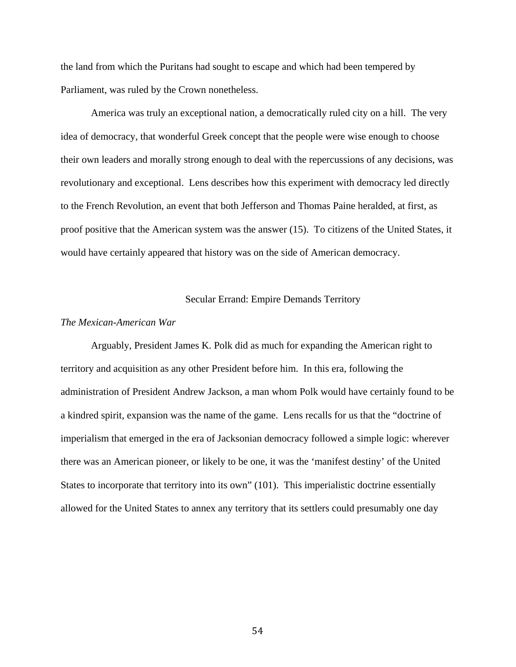the land from which the Puritans had sought to escape and which had been tempered by Parliament, was ruled by the Crown nonetheless.

America was truly an exceptional nation, a democratically ruled city on a hill. The very idea of democracy, that wonderful Greek concept that the people were wise enough to choose their own leaders and morally strong enough to deal with the repercussions of any decisions, was revolutionary and exceptional. Lens describes how this experiment with democracy led directly to the French Revolution, an event that both Jefferson and Thomas Paine heralded, at first, as proof positive that the American system was the answer (15). To citizens of the United States, it would have certainly appeared that history was on the side of American democracy.

### Secular Errand: Empire Demands Territory

#### *The Mexican-American War*

Arguably, President James K. Polk did as much for expanding the American right to territory and acquisition as any other President before him. In this era, following the administration of President Andrew Jackson, a man whom Polk would have certainly found to be a kindred spirit, expansion was the name of the game. Lens recalls for us that the "doctrine of imperialism that emerged in the era of Jacksonian democracy followed a simple logic: wherever there was an American pioneer, or likely to be one, it was the 'manifest destiny' of the United States to incorporate that territory into its own" (101). This imperialistic doctrine essentially allowed for the United States to annex any territory that its settlers could presumably one day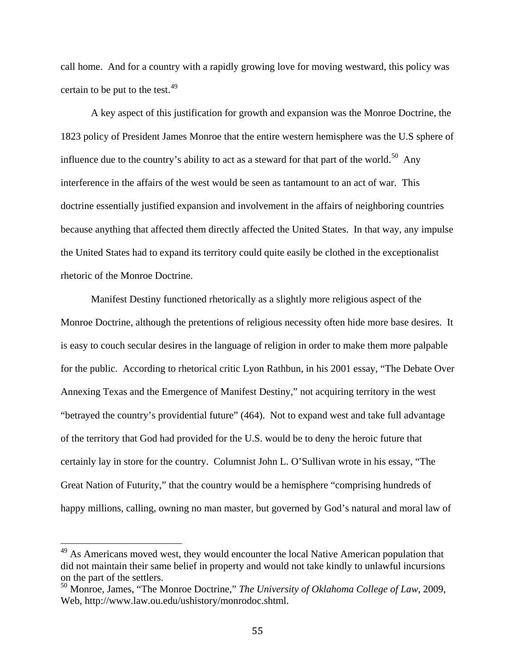call home. And for a country with a rapidly growing love for moving westward, this policy was certain to be put to the test. $49$ 

A key aspect of this justification for growth and expansion was the Monroe Doctrine, the 1823 policy of President James Monroe that the entire western hemisphere was the U.S sphere of influence due to the country's ability to act as a steward for that part of the world.<sup>[50](#page-61-1)</sup> Any interference in the affairs of the west would be seen as tantamount to an act of war. This doctrine essentially justified expansion and involvement in the affairs of neighboring countries because anything that affected them directly affected the United States. In that way, any impulse the United States had to expand its territory could quite easily be clothed in the exceptionalist rhetoric of the Monroe Doctrine.

Manifest Destiny functioned rhetorically as a slightly more religious aspect of the Monroe Doctrine, although the pretentions of religious necessity often hide more base desires. It is easy to couch secular desires in the language of religion in order to make them more palpable for the public. According to rhetorical critic Lyon Rathbun, in his 2001 essay, "The Debate Over Annexing Texas and the Emergence of Manifest Destiny," not acquiring territory in the west "betrayed the country's providential future" (464). Not to expand west and take full advantage of the territory that God had provided for the U.S. would be to deny the heroic future that certainly lay in store for the country. Columnist John L. O'Sullivan wrote in his essay, "The Great Nation of Futurity," that the country would be a hemisphere "comprising hundreds of happy millions, calling, owning no man master, but governed by God's natural and moral law of

<span id="page-61-0"></span><sup>&</sup>lt;sup>49</sup> As Americans moved west, they would encounter the local Native American population that did not maintain their same belief in property and would not take kindly to unlawful incursions on the part of the settlers.

<span id="page-61-1"></span><sup>50</sup> Monroe, James, "The Monroe Doctrine," *The University of Oklahoma College of Law,* 2009, Web, http://www.law.ou.edu/ushistory/monrodoc.shtml.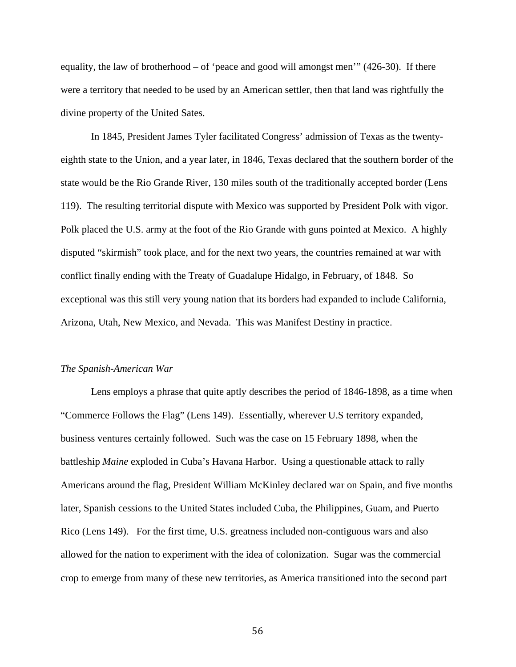equality, the law of brotherhood – of 'peace and good will amongst men'" (426-30). If there were a territory that needed to be used by an American settler, then that land was rightfully the divine property of the United Sates.

In 1845, President James Tyler facilitated Congress' admission of Texas as the twentyeighth state to the Union, and a year later, in 1846, Texas declared that the southern border of the state would be the Rio Grande River, 130 miles south of the traditionally accepted border (Lens 119). The resulting territorial dispute with Mexico was supported by President Polk with vigor. Polk placed the U.S. army at the foot of the Rio Grande with guns pointed at Mexico. A highly disputed "skirmish" took place, and for the next two years, the countries remained at war with conflict finally ending with the Treaty of Guadalupe Hidalgo, in February, of 1848. So exceptional was this still very young nation that its borders had expanded to include California, Arizona, Utah, New Mexico, and Nevada. This was Manifest Destiny in practice.

#### *The Spanish-American War*

Lens employs a phrase that quite aptly describes the period of 1846-1898, as a time when "Commerce Follows the Flag" (Lens 149). Essentially, wherever U.S territory expanded, business ventures certainly followed. Such was the case on 15 February 1898, when the battleship *Maine* exploded in Cuba's Havana Harbor. Using a questionable attack to rally Americans around the flag, President William McKinley declared war on Spain, and five months later, Spanish cessions to the United States included Cuba, the Philippines, Guam, and Puerto Rico (Lens 149). For the first time, U.S. greatness included non-contiguous wars and also allowed for the nation to experiment with the idea of colonization. Sugar was the commercial crop to emerge from many of these new territories, as America transitioned into the second part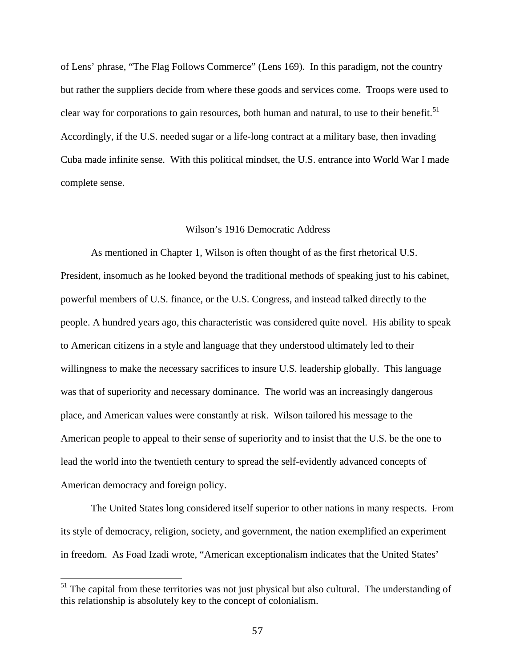of Lens' phrase, "The Flag Follows Commerce" (Lens 169). In this paradigm, not the country but rather the suppliers decide from where these goods and services come. Troops were used to clear way for corporations to gain resources, both human and natural, to use to their benefit.<sup>51</sup> Accordingly, if the U.S. needed sugar or a life-long contract at a military base, then invading Cuba made infinite sense. With this political mindset, the U.S. entrance into World War I made complete sense.

### Wilson's 1916 Democratic Address

As mentioned in Chapter 1, Wilson is often thought of as the first rhetorical U.S. President, insomuch as he looked beyond the traditional methods of speaking just to his cabinet, powerful members of U.S. finance, or the U.S. Congress, and instead talked directly to the people. A hundred years ago, this characteristic was considered quite novel. His ability to speak to American citizens in a style and language that they understood ultimately led to their willingness to make the necessary sacrifices to insure U.S. leadership globally. This language was that of superiority and necessary dominance. The world was an increasingly dangerous place, and American values were constantly at risk. Wilson tailored his message to the American people to appeal to their sense of superiority and to insist that the U.S. be the one to lead the world into the twentieth century to spread the self-evidently advanced concepts of American democracy and foreign policy.

The United States long considered itself superior to other nations in many respects. From its style of democracy, religion, society, and government, the nation exemplified an experiment in freedom. As Foad Izadi wrote, "American exceptionalism indicates that the United States'

<span id="page-63-0"></span><sup>&</sup>lt;sup>51</sup> The capital from these territories was not just physical but also cultural. The understanding of this relationship is absolutely key to the concept of colonialism.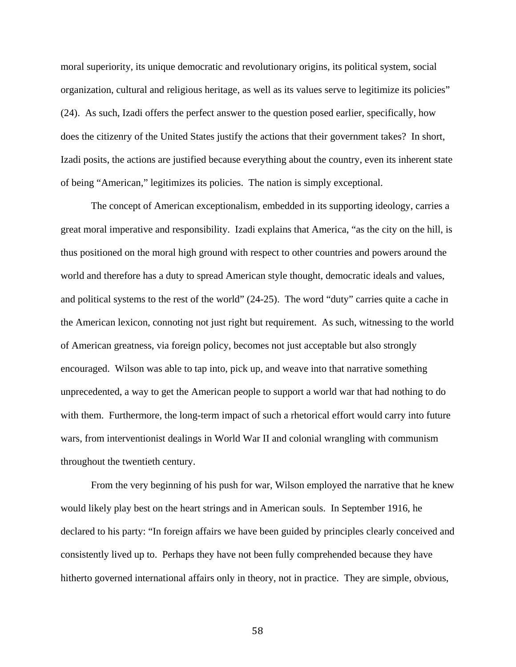moral superiority, its unique democratic and revolutionary origins, its political system, social organization, cultural and religious heritage, as well as its values serve to legitimize its policies" (24). As such, Izadi offers the perfect answer to the question posed earlier, specifically, how does the citizenry of the United States justify the actions that their government takes? In short, Izadi posits, the actions are justified because everything about the country, even its inherent state of being "American," legitimizes its policies. The nation is simply exceptional.

The concept of American exceptionalism, embedded in its supporting ideology, carries a great moral imperative and responsibility. Izadi explains that America, "as the city on the hill, is thus positioned on the moral high ground with respect to other countries and powers around the world and therefore has a duty to spread American style thought, democratic ideals and values, and political systems to the rest of the world" (24-25). The word "duty" carries quite a cache in the American lexicon, connoting not just right but requirement. As such, witnessing to the world of American greatness, via foreign policy, becomes not just acceptable but also strongly encouraged. Wilson was able to tap into, pick up, and weave into that narrative something unprecedented, a way to get the American people to support a world war that had nothing to do with them. Furthermore, the long-term impact of such a rhetorical effort would carry into future wars, from interventionist dealings in World War II and colonial wrangling with communism throughout the twentieth century.

From the very beginning of his push for war, Wilson employed the narrative that he knew would likely play best on the heart strings and in American souls. In September 1916, he declared to his party: "In foreign affairs we have been guided by principles clearly conceived and consistently lived up to. Perhaps they have not been fully comprehended because they have hitherto governed international affairs only in theory, not in practice. They are simple, obvious,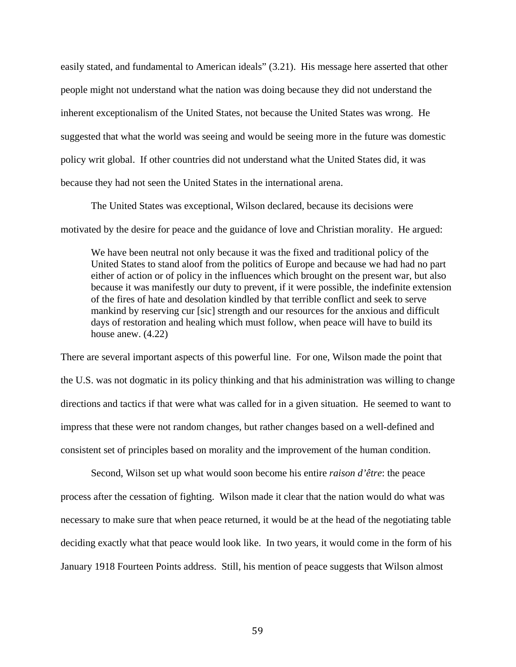easily stated, and fundamental to American ideals" (3.21). His message here asserted that other people might not understand what the nation was doing because they did not understand the inherent exceptionalism of the United States, not because the United States was wrong. He suggested that what the world was seeing and would be seeing more in the future was domestic policy writ global. If other countries did not understand what the United States did, it was because they had not seen the United States in the international arena.

The United States was exceptional, Wilson declared, because its decisions were motivated by the desire for peace and the guidance of love and Christian morality. He argued:

We have been neutral not only because it was the fixed and traditional policy of the United States to stand aloof from the politics of Europe and because we had had no part either of action or of policy in the influences which brought on the present war, but also because it was manifestly our duty to prevent, if it were possible, the indefinite extension of the fires of hate and desolation kindled by that terrible conflict and seek to serve mankind by reserving cur [sic] strength and our resources for the anxious and difficult days of restoration and healing which must follow, when peace will have to build its house anew. (4.22)

There are several important aspects of this powerful line. For one, Wilson made the point that the U.S. was not dogmatic in its policy thinking and that his administration was willing to change directions and tactics if that were what was called for in a given situation. He seemed to want to impress that these were not random changes, but rather changes based on a well-defined and consistent set of principles based on morality and the improvement of the human condition.

Second, Wilson set up what would soon become his entire *raison d'être*: the peace process after the cessation of fighting. Wilson made it clear that the nation would do what was necessary to make sure that when peace returned, it would be at the head of the negotiating table deciding exactly what that peace would look like. In two years, it would come in the form of his January 1918 Fourteen Points address. Still, his mention of peace suggests that Wilson almost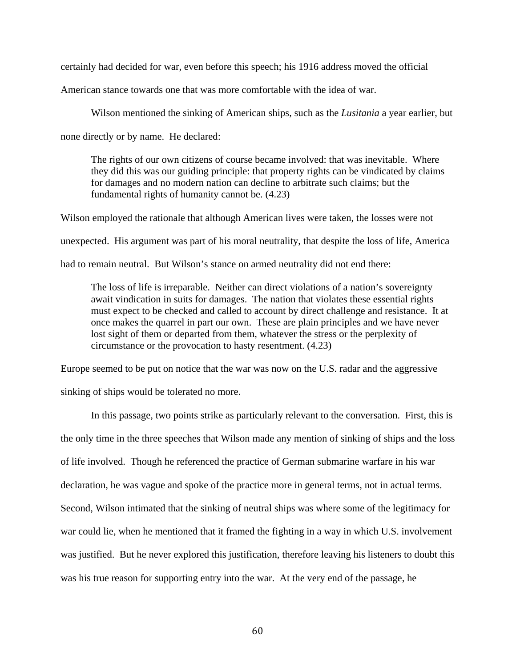certainly had decided for war, even before this speech; his 1916 address moved the official

American stance towards one that was more comfortable with the idea of war.

Wilson mentioned the sinking of American ships, such as the *Lusitania* a year earlier, but

none directly or by name. He declared:

The rights of our own citizens of course became involved: that was inevitable. Where they did this was our guiding principle: that property rights can be vindicated by claims for damages and no modern nation can decline to arbitrate such claims; but the fundamental rights of humanity cannot be. (4.23)

Wilson employed the rationale that although American lives were taken, the losses were not unexpected. His argument was part of his moral neutrality, that despite the loss of life, America had to remain neutral. But Wilson's stance on armed neutrality did not end there:

The loss of life is irreparable. Neither can direct violations of a nation's sovereignty await vindication in suits for damages. The nation that violates these essential rights must expect to be checked and called to account by direct challenge and resistance. It at once makes the quarrel in part our own. These are plain principles and we have never lost sight of them or departed from them, whatever the stress or the perplexity of circumstance or the provocation to hasty resentment. (4.23)

Europe seemed to be put on notice that the war was now on the U.S. radar and the aggressive

sinking of ships would be tolerated no more.

In this passage, two points strike as particularly relevant to the conversation. First, this is the only time in the three speeches that Wilson made any mention of sinking of ships and the loss of life involved. Though he referenced the practice of German submarine warfare in his war declaration, he was vague and spoke of the practice more in general terms, not in actual terms. Second, Wilson intimated that the sinking of neutral ships was where some of the legitimacy for war could lie, when he mentioned that it framed the fighting in a way in which U.S. involvement was justified. But he never explored this justification, therefore leaving his listeners to doubt this was his true reason for supporting entry into the war. At the very end of the passage, he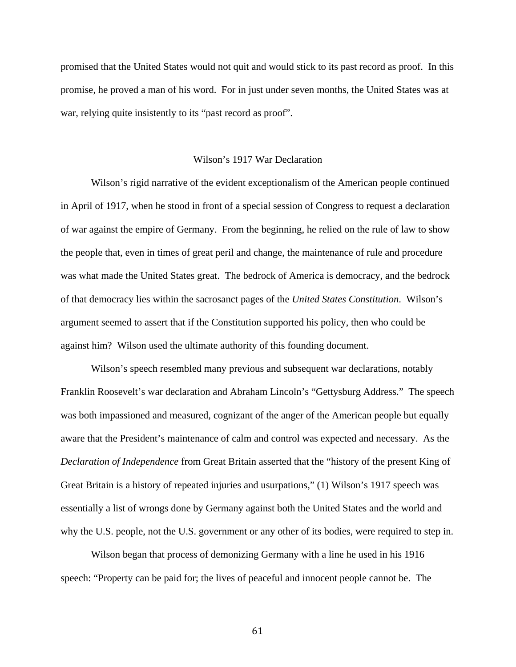promised that the United States would not quit and would stick to its past record as proof. In this promise, he proved a man of his word. For in just under seven months, the United States was at war, relying quite insistently to its "past record as proof".

#### Wilson's 1917 War Declaration

Wilson's rigid narrative of the evident exceptionalism of the American people continued in April of 1917, when he stood in front of a special session of Congress to request a declaration of war against the empire of Germany. From the beginning, he relied on the rule of law to show the people that, even in times of great peril and change, the maintenance of rule and procedure was what made the United States great. The bedrock of America is democracy, and the bedrock of that democracy lies within the sacrosanct pages of the *United States Constitution*. Wilson's argument seemed to assert that if the Constitution supported his policy, then who could be against him? Wilson used the ultimate authority of this founding document.

Wilson's speech resembled many previous and subsequent war declarations, notably Franklin Roosevelt's war declaration and Abraham Lincoln's "Gettysburg Address." The speech was both impassioned and measured, cognizant of the anger of the American people but equally aware that the President's maintenance of calm and control was expected and necessary. As the *Declaration of Independence* from Great Britain asserted that the "history of the present King of Great Britain is a history of repeated injuries and usurpations," (1) Wilson's 1917 speech was essentially a list of wrongs done by Germany against both the United States and the world and why the U.S. people, not the U.S. government or any other of its bodies, were required to step in.

Wilson began that process of demonizing Germany with a line he used in his 1916 speech: "Property can be paid for; the lives of peaceful and innocent people cannot be. The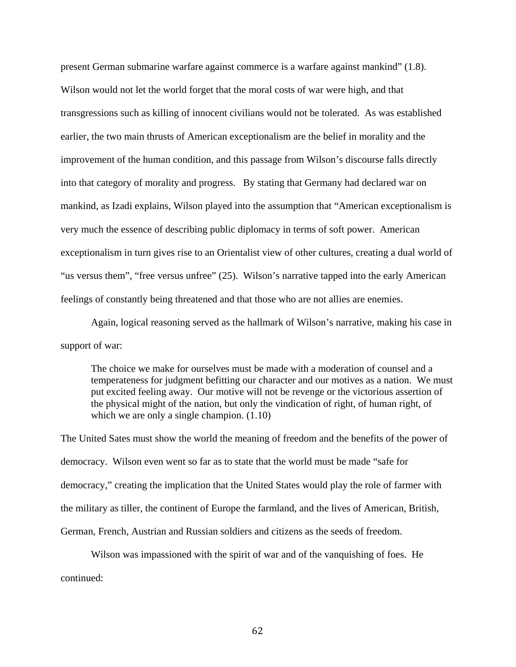present German submarine warfare against commerce is a warfare against mankind" (1.8). Wilson would not let the world forget that the moral costs of war were high, and that transgressions such as killing of innocent civilians would not be tolerated. As was established earlier, the two main thrusts of American exceptionalism are the belief in morality and the improvement of the human condition, and this passage from Wilson's discourse falls directly into that category of morality and progress. By stating that Germany had declared war on mankind, as Izadi explains, Wilson played into the assumption that "American exceptionalism is very much the essence of describing public diplomacy in terms of soft power. American exceptionalism in turn gives rise to an Orientalist view of other cultures, creating a dual world of "us versus them", "free versus unfree" (25). Wilson's narrative tapped into the early American feelings of constantly being threatened and that those who are not allies are enemies.

Again, logical reasoning served as the hallmark of Wilson's narrative, making his case in support of war:

The choice we make for ourselves must be made with a moderation of counsel and a temperateness for judgment befitting our character and our motives as a nation. We must put excited feeling away. Our motive will not be revenge or the victorious assertion of the physical might of the nation, but only the vindication of right, of human right, of which we are only a single champion.  $(1.10)$ 

The United Sates must show the world the meaning of freedom and the benefits of the power of democracy. Wilson even went so far as to state that the world must be made "safe for democracy," creating the implication that the United States would play the role of farmer with the military as tiller, the continent of Europe the farmland, and the lives of American, British, German, French, Austrian and Russian soldiers and citizens as the seeds of freedom.

Wilson was impassioned with the spirit of war and of the vanquishing of foes. He continued: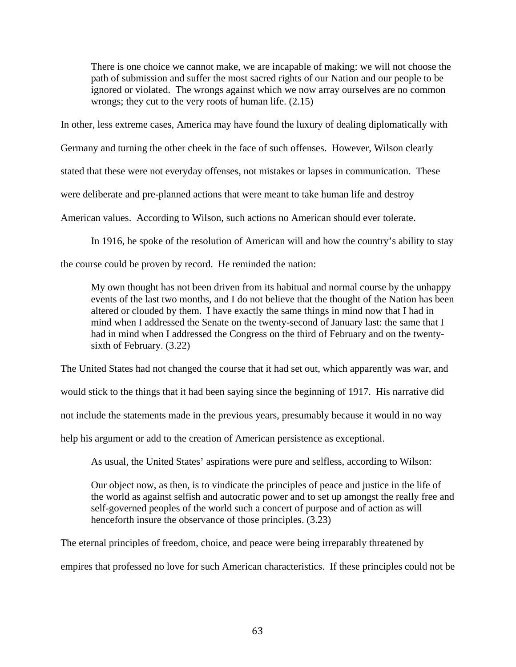There is one choice we cannot make, we are incapable of making: we will not choose the path of submission and suffer the most sacred rights of our Nation and our people to be ignored or violated. The wrongs against which we now array ourselves are no common wrongs; they cut to the very roots of human life. (2.15)

In other, less extreme cases, America may have found the luxury of dealing diplomatically with

Germany and turning the other cheek in the face of such offenses. However, Wilson clearly

stated that these were not everyday offenses, not mistakes or lapses in communication. These

were deliberate and pre-planned actions that were meant to take human life and destroy

American values. According to Wilson, such actions no American should ever tolerate.

In 1916, he spoke of the resolution of American will and how the country's ability to stay

the course could be proven by record. He reminded the nation:

My own thought has not been driven from its habitual and normal course by the unhappy events of the last two months, and I do not believe that the thought of the Nation has been altered or clouded by them. I have exactly the same things in mind now that I had in mind when I addressed the Senate on the twenty-second of January last: the same that I had in mind when I addressed the Congress on the third of February and on the twentysixth of February. (3.22)

The United States had not changed the course that it had set out, which apparently was war, and

would stick to the things that it had been saying since the beginning of 1917. His narrative did

not include the statements made in the previous years, presumably because it would in no way

help his argument or add to the creation of American persistence as exceptional.

As usual, the United States' aspirations were pure and selfless, according to Wilson:

Our object now, as then, is to vindicate the principles of peace and justice in the life of the world as against selfish and autocratic power and to set up amongst the really free and self-governed peoples of the world such a concert of purpose and of action as will henceforth insure the observance of those principles.  $(3.23)$ 

The eternal principles of freedom, choice, and peace were being irreparably threatened by empires that professed no love for such American characteristics. If these principles could not be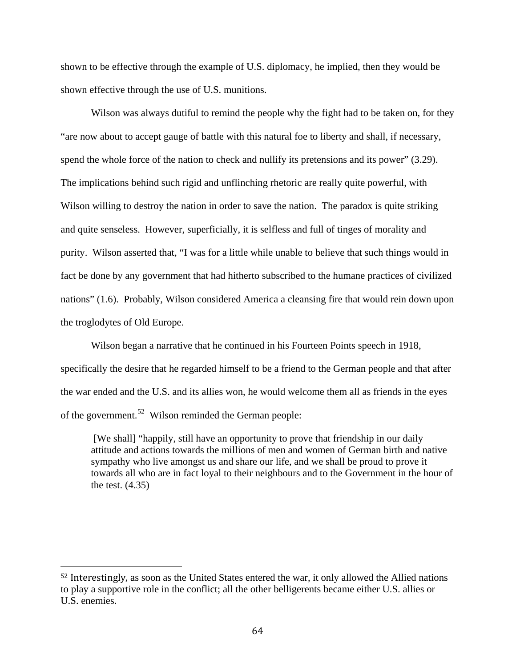shown to be effective through the example of U.S. diplomacy, he implied, then they would be shown effective through the use of U.S. munitions.

Wilson was always dutiful to remind the people why the fight had to be taken on, for they "are now about to accept gauge of battle with this natural foe to liberty and shall, if necessary, spend the whole force of the nation to check and nullify its pretensions and its power" (3.29). The implications behind such rigid and unflinching rhetoric are really quite powerful, with Wilson willing to destroy the nation in order to save the nation. The paradox is quite striking and quite senseless. However, superficially, it is selfless and full of tinges of morality and purity. Wilson asserted that, "I was for a little while unable to believe that such things would in fact be done by any government that had hitherto subscribed to the humane practices of civilized nations" (1.6). Probably, Wilson considered America a cleansing fire that would rein down upon the troglodytes of Old Europe.

Wilson began a narrative that he continued in his Fourteen Points speech in 1918, specifically the desire that he regarded himself to be a friend to the German people and that after the war ended and the U.S. and its allies won, he would welcome them all as friends in the eyes of the government.<sup>[52](#page-70-0)</sup> Wilson reminded the German people:

[We shall] "happily, still have an opportunity to prove that friendship in our daily attitude and actions towards the millions of men and women of German birth and native sympathy who live amongst us and share our life, and we shall be proud to prove it towards all who are in fact loyal to their neighbours and to the Government in the hour of the test. (4.35)

<span id="page-70-0"></span> <sup>52</sup> Interestingly, as soon as the United States entered the war, it only allowed the Allied nations to play a supportive role in the conflict; all the other belligerents became either U.S. allies or U.S. enemies.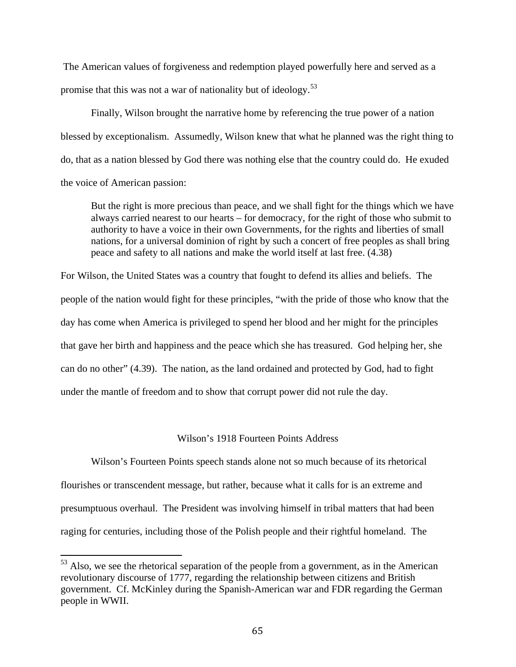The American values of forgiveness and redemption played powerfully here and served as a promise that this was not a war of nationality but of ideology.<sup>[53](#page-71-0)</sup>

Finally, Wilson brought the narrative home by referencing the true power of a nation blessed by exceptionalism. Assumedly, Wilson knew that what he planned was the right thing to do, that as a nation blessed by God there was nothing else that the country could do. He exuded the voice of American passion:

But the right is more precious than peace, and we shall fight for the things which we have always carried nearest to our hearts – for democracy, for the right of those who submit to authority to have a voice in their own Governments, for the rights and liberties of small nations, for a universal dominion of right by such a concert of free peoples as shall bring peace and safety to all nations and make the world itself at last free. (4.38)

For Wilson, the United States was a country that fought to defend its allies and beliefs. The people of the nation would fight for these principles, "with the pride of those who know that the day has come when America is privileged to spend her blood and her might for the principles that gave her birth and happiness and the peace which she has treasured. God helping her, she can do no other" (4.39). The nation, as the land ordained and protected by God, had to fight under the mantle of freedom and to show that corrupt power did not rule the day.

## Wilson's 1918 Fourteen Points Address

Wilson's Fourteen Points speech stands alone not so much because of its rhetorical flourishes or transcendent message, but rather, because what it calls for is an extreme and presumptuous overhaul. The President was involving himself in tribal matters that had been raging for centuries, including those of the Polish people and their rightful homeland. The

<span id="page-71-0"></span><sup>&</sup>lt;sup>53</sup> Also, we see the rhetorical separation of the people from a government, as in the American revolutionary discourse of 1777, regarding the relationship between citizens and British government. Cf. McKinley during the Spanish-American war and FDR regarding the German people in WWII.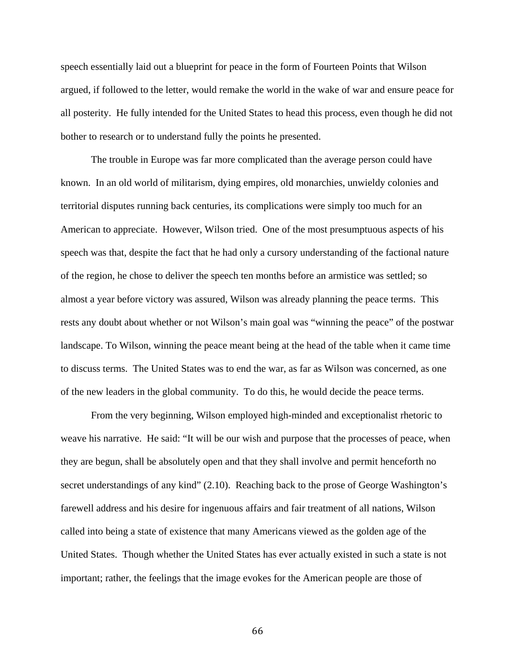speech essentially laid out a blueprint for peace in the form of Fourteen Points that Wilson argued, if followed to the letter, would remake the world in the wake of war and ensure peace for all posterity. He fully intended for the United States to head this process, even though he did not bother to research or to understand fully the points he presented.

The trouble in Europe was far more complicated than the average person could have known. In an old world of militarism, dying empires, old monarchies, unwieldy colonies and territorial disputes running back centuries, its complications were simply too much for an American to appreciate. However, Wilson tried. One of the most presumptuous aspects of his speech was that, despite the fact that he had only a cursory understanding of the factional nature of the region, he chose to deliver the speech ten months before an armistice was settled; so almost a year before victory was assured, Wilson was already planning the peace terms. This rests any doubt about whether or not Wilson's main goal was "winning the peace" of the postwar landscape. To Wilson, winning the peace meant being at the head of the table when it came time to discuss terms. The United States was to end the war, as far as Wilson was concerned, as one of the new leaders in the global community. To do this, he would decide the peace terms.

From the very beginning, Wilson employed high-minded and exceptionalist rhetoric to weave his narrative. He said: "It will be our wish and purpose that the processes of peace, when they are begun, shall be absolutely open and that they shall involve and permit henceforth no secret understandings of any kind" (2.10). Reaching back to the prose of George Washington's farewell address and his desire for ingenuous affairs and fair treatment of all nations, Wilson called into being a state of existence that many Americans viewed as the golden age of the United States. Though whether the United States has ever actually existed in such a state is not important; rather, the feelings that the image evokes for the American people are those of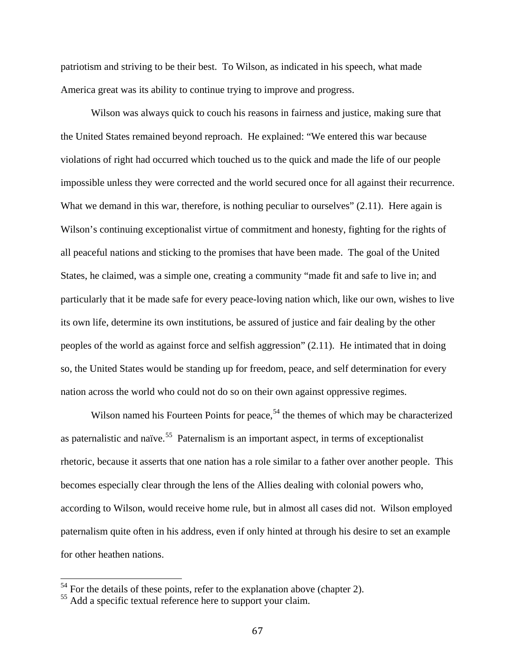patriotism and striving to be their best. To Wilson, as indicated in his speech, what made America great was its ability to continue trying to improve and progress.

Wilson was always quick to couch his reasons in fairness and justice, making sure that the United States remained beyond reproach. He explained: "We entered this war because violations of right had occurred which touched us to the quick and made the life of our people impossible unless they were corrected and the world secured once for all against their recurrence. What we demand in this war, therefore, is nothing peculiar to ourselves" (2.11). Here again is Wilson's continuing exceptionalist virtue of commitment and honesty, fighting for the rights of all peaceful nations and sticking to the promises that have been made. The goal of the United States, he claimed, was a simple one, creating a community "made fit and safe to live in; and particularly that it be made safe for every peace-loving nation which, like our own, wishes to live its own life, determine its own institutions, be assured of justice and fair dealing by the other peoples of the world as against force and selfish aggression" (2.11). He intimated that in doing so, the United States would be standing up for freedom, peace, and self determination for every nation across the world who could not do so on their own against oppressive regimes.

Wilson named his Fourteen Points for peace,<sup>[54](#page-73-0)</sup> the themes of which may be characterized as paternalistic and naïve.<sup>[55](#page-73-1)</sup> Paternalism is an important aspect, in terms of exceptionalist rhetoric, because it asserts that one nation has a role similar to a father over another people. This becomes especially clear through the lens of the Allies dealing with colonial powers who, according to Wilson, would receive home rule, but in almost all cases did not. Wilson employed paternalism quite often in his address, even if only hinted at through his desire to set an example for other heathen nations.

<span id="page-73-0"></span> $54$  For the details of these points, refer to the explanation above (chapter 2).

<span id="page-73-1"></span><sup>&</sup>lt;sup>55</sup> Add a specific textual reference here to support your claim.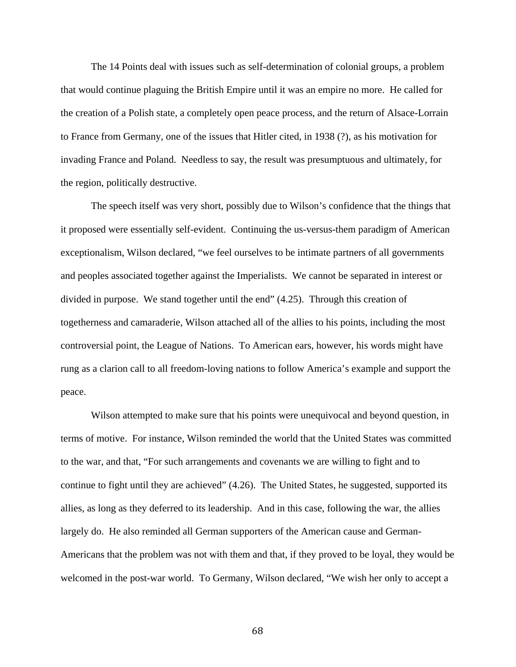The 14 Points deal with issues such as self-determination of colonial groups, a problem that would continue plaguing the British Empire until it was an empire no more. He called for the creation of a Polish state, a completely open peace process, and the return of Alsace-Lorrain to France from Germany, one of the issues that Hitler cited, in 1938 (?), as his motivation for invading France and Poland. Needless to say, the result was presumptuous and ultimately, for the region, politically destructive.

The speech itself was very short, possibly due to Wilson's confidence that the things that it proposed were essentially self-evident. Continuing the us-versus-them paradigm of American exceptionalism, Wilson declared, "we feel ourselves to be intimate partners of all governments and peoples associated together against the Imperialists. We cannot be separated in interest or divided in purpose. We stand together until the end" (4.25). Through this creation of togetherness and camaraderie, Wilson attached all of the allies to his points, including the most controversial point, the League of Nations. To American ears, however, his words might have rung as a clarion call to all freedom-loving nations to follow America's example and support the peace.

Wilson attempted to make sure that his points were unequivocal and beyond question, in terms of motive. For instance, Wilson reminded the world that the United States was committed to the war, and that, "For such arrangements and covenants we are willing to fight and to continue to fight until they are achieved" (4.26). The United States, he suggested, supported its allies, as long as they deferred to its leadership. And in this case, following the war, the allies largely do. He also reminded all German supporters of the American cause and German-Americans that the problem was not with them and that, if they proved to be loyal, they would be welcomed in the post-war world. To Germany, Wilson declared, "We wish her only to accept a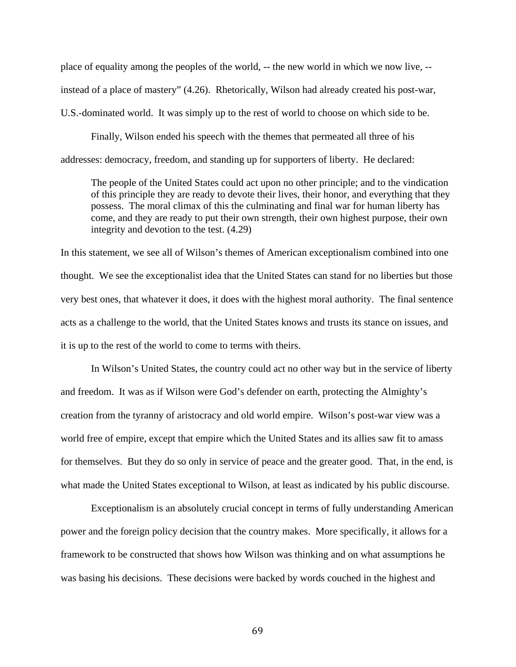place of equality among the peoples of the world, -- the new world in which we now live, - instead of a place of mastery" (4.26). Rhetorically, Wilson had already created his post-war, U.S.-dominated world. It was simply up to the rest of world to choose on which side to be.

Finally, Wilson ended his speech with the themes that permeated all three of his addresses: democracy, freedom, and standing up for supporters of liberty. He declared:

The people of the United States could act upon no other principle; and to the vindication of this principle they are ready to devote their lives, their honor, and everything that they possess. The moral climax of this the culminating and final war for human liberty has come, and they are ready to put their own strength, their own highest purpose, their own integrity and devotion to the test. (4.29)

In this statement, we see all of Wilson's themes of American exceptionalism combined into one thought. We see the exceptionalist idea that the United States can stand for no liberties but those very best ones, that whatever it does, it does with the highest moral authority. The final sentence acts as a challenge to the world, that the United States knows and trusts its stance on issues, and it is up to the rest of the world to come to terms with theirs.

In Wilson's United States, the country could act no other way but in the service of liberty and freedom. It was as if Wilson were God's defender on earth, protecting the Almighty's creation from the tyranny of aristocracy and old world empire. Wilson's post-war view was a world free of empire, except that empire which the United States and its allies saw fit to amass for themselves. But they do so only in service of peace and the greater good. That, in the end, is what made the United States exceptional to Wilson, at least as indicated by his public discourse.

Exceptionalism is an absolutely crucial concept in terms of fully understanding American power and the foreign policy decision that the country makes. More specifically, it allows for a framework to be constructed that shows how Wilson was thinking and on what assumptions he was basing his decisions. These decisions were backed by words couched in the highest and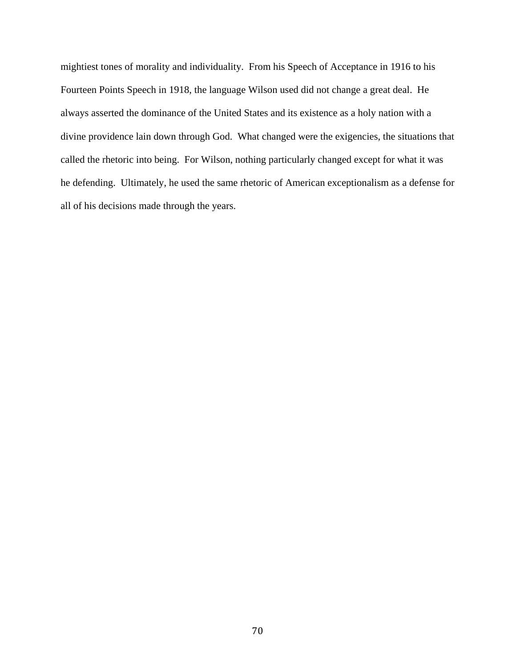mightiest tones of morality and individuality. From his Speech of Acceptance in 1916 to his Fourteen Points Speech in 1918, the language Wilson used did not change a great deal. He always asserted the dominance of the United States and its existence as a holy nation with a divine providence lain down through God. What changed were the exigencies, the situations that called the rhetoric into being. For Wilson, nothing particularly changed except for what it was he defending. Ultimately, he used the same rhetoric of American exceptionalism as a defense for all of his decisions made through the years.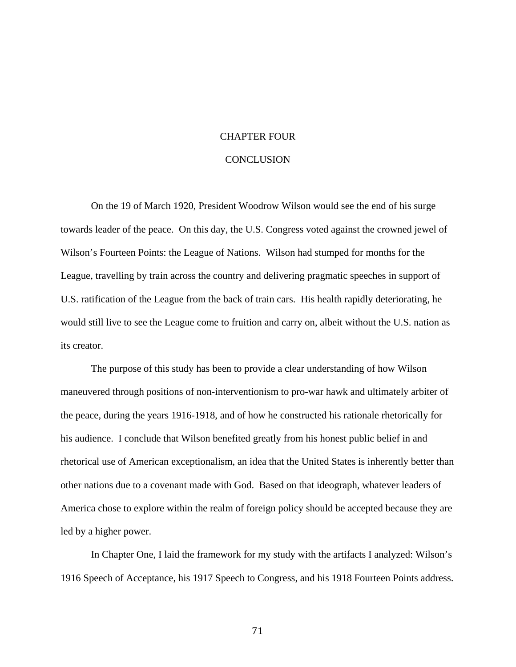#### CHAPTER FOUR

#### **CONCLUSION**

On the 19 of March 1920, President Woodrow Wilson would see the end of his surge towards leader of the peace. On this day, the U.S. Congress voted against the crowned jewel of Wilson's Fourteen Points: the League of Nations. Wilson had stumped for months for the League, travelling by train across the country and delivering pragmatic speeches in support of U.S. ratification of the League from the back of train cars. His health rapidly deteriorating, he would still live to see the League come to fruition and carry on, albeit without the U.S. nation as its creator.

The purpose of this study has been to provide a clear understanding of how Wilson maneuvered through positions of non-interventionism to pro-war hawk and ultimately arbiter of the peace, during the years 1916-1918, and of how he constructed his rationale rhetorically for his audience. I conclude that Wilson benefited greatly from his honest public belief in and rhetorical use of American exceptionalism, an idea that the United States is inherently better than other nations due to a covenant made with God. Based on that ideograph, whatever leaders of America chose to explore within the realm of foreign policy should be accepted because they are led by a higher power.

In Chapter One, I laid the framework for my study with the artifacts I analyzed: Wilson's 1916 Speech of Acceptance, his 1917 Speech to Congress, and his 1918 Fourteen Points address.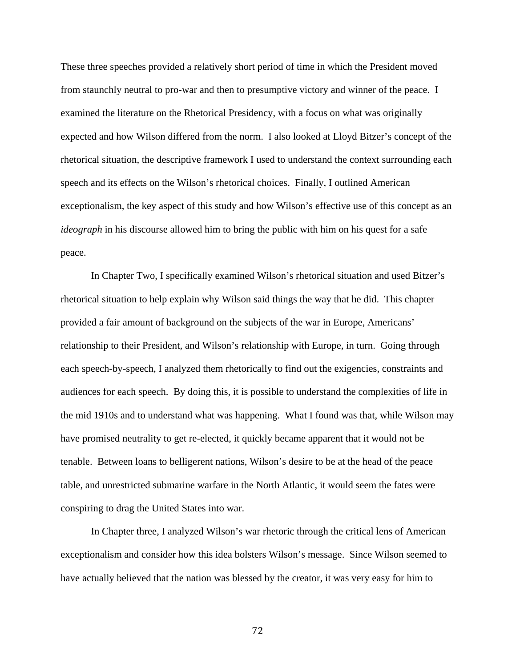These three speeches provided a relatively short period of time in which the President moved from staunchly neutral to pro-war and then to presumptive victory and winner of the peace. I examined the literature on the Rhetorical Presidency, with a focus on what was originally expected and how Wilson differed from the norm. I also looked at Lloyd Bitzer's concept of the rhetorical situation, the descriptive framework I used to understand the context surrounding each speech and its effects on the Wilson's rhetorical choices. Finally, I outlined American exceptionalism, the key aspect of this study and how Wilson's effective use of this concept as an *ideograph* in his discourse allowed him to bring the public with him on his quest for a safe peace.

In Chapter Two, I specifically examined Wilson's rhetorical situation and used Bitzer's rhetorical situation to help explain why Wilson said things the way that he did. This chapter provided a fair amount of background on the subjects of the war in Europe, Americans' relationship to their President, and Wilson's relationship with Europe, in turn. Going through each speech-by-speech, I analyzed them rhetorically to find out the exigencies, constraints and audiences for each speech. By doing this, it is possible to understand the complexities of life in the mid 1910s and to understand what was happening. What I found was that, while Wilson may have promised neutrality to get re-elected, it quickly became apparent that it would not be tenable. Between loans to belligerent nations, Wilson's desire to be at the head of the peace table, and unrestricted submarine warfare in the North Atlantic, it would seem the fates were conspiring to drag the United States into war.

In Chapter three, I analyzed Wilson's war rhetoric through the critical lens of American exceptionalism and consider how this idea bolsters Wilson's message. Since Wilson seemed to have actually believed that the nation was blessed by the creator, it was very easy for him to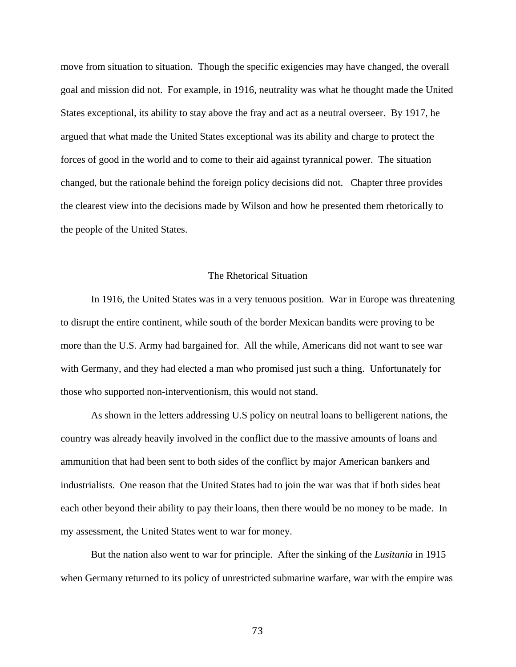move from situation to situation. Though the specific exigencies may have changed, the overall goal and mission did not. For example, in 1916, neutrality was what he thought made the United States exceptional, its ability to stay above the fray and act as a neutral overseer. By 1917, he argued that what made the United States exceptional was its ability and charge to protect the forces of good in the world and to come to their aid against tyrannical power. The situation changed, but the rationale behind the foreign policy decisions did not. Chapter three provides the clearest view into the decisions made by Wilson and how he presented them rhetorically to the people of the United States.

#### The Rhetorical Situation

In 1916, the United States was in a very tenuous position. War in Europe was threatening to disrupt the entire continent, while south of the border Mexican bandits were proving to be more than the U.S. Army had bargained for. All the while, Americans did not want to see war with Germany, and they had elected a man who promised just such a thing. Unfortunately for those who supported non-interventionism, this would not stand.

As shown in the letters addressing U.S policy on neutral loans to belligerent nations, the country was already heavily involved in the conflict due to the massive amounts of loans and ammunition that had been sent to both sides of the conflict by major American bankers and industrialists. One reason that the United States had to join the war was that if both sides beat each other beyond their ability to pay their loans, then there would be no money to be made. In my assessment, the United States went to war for money.

But the nation also went to war for principle. After the sinking of the *Lusitania* in 1915 when Germany returned to its policy of unrestricted submarine warfare, war with the empire was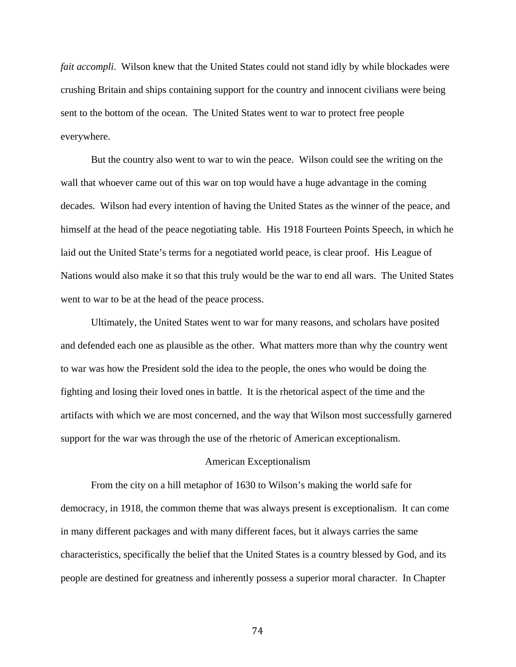*fait accompli*. Wilson knew that the United States could not stand idly by while blockades were crushing Britain and ships containing support for the country and innocent civilians were being sent to the bottom of the ocean. The United States went to war to protect free people everywhere.

But the country also went to war to win the peace. Wilson could see the writing on the wall that whoever came out of this war on top would have a huge advantage in the coming decades. Wilson had every intention of having the United States as the winner of the peace, and himself at the head of the peace negotiating table. His 1918 Fourteen Points Speech, in which he laid out the United State's terms for a negotiated world peace, is clear proof. His League of Nations would also make it so that this truly would be the war to end all wars. The United States went to war to be at the head of the peace process.

Ultimately, the United States went to war for many reasons, and scholars have posited and defended each one as plausible as the other. What matters more than why the country went to war was how the President sold the idea to the people, the ones who would be doing the fighting and losing their loved ones in battle. It is the rhetorical aspect of the time and the artifacts with which we are most concerned, and the way that Wilson most successfully garnered support for the war was through the use of the rhetoric of American exceptionalism.

#### American Exceptionalism

From the city on a hill metaphor of 1630 to Wilson's making the world safe for democracy, in 1918, the common theme that was always present is exceptionalism. It can come in many different packages and with many different faces, but it always carries the same characteristics, specifically the belief that the United States is a country blessed by God, and its people are destined for greatness and inherently possess a superior moral character. In Chapter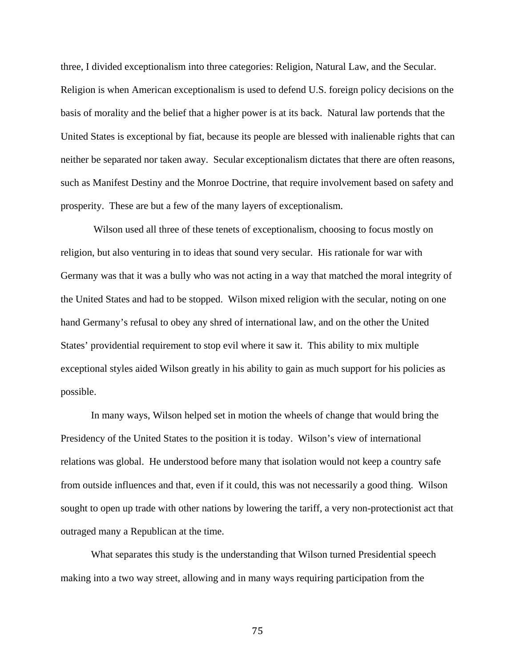three, I divided exceptionalism into three categories: Religion, Natural Law, and the Secular. Religion is when American exceptionalism is used to defend U.S. foreign policy decisions on the basis of morality and the belief that a higher power is at its back. Natural law portends that the United States is exceptional by fiat, because its people are blessed with inalienable rights that can neither be separated nor taken away. Secular exceptionalism dictates that there are often reasons, such as Manifest Destiny and the Monroe Doctrine, that require involvement based on safety and prosperity. These are but a few of the many layers of exceptionalism.

Wilson used all three of these tenets of exceptionalism, choosing to focus mostly on religion, but also venturing in to ideas that sound very secular. His rationale for war with Germany was that it was a bully who was not acting in a way that matched the moral integrity of the United States and had to be stopped. Wilson mixed religion with the secular, noting on one hand Germany's refusal to obey any shred of international law, and on the other the United States' providential requirement to stop evil where it saw it. This ability to mix multiple exceptional styles aided Wilson greatly in his ability to gain as much support for his policies as possible.

In many ways, Wilson helped set in motion the wheels of change that would bring the Presidency of the United States to the position it is today. Wilson's view of international relations was global. He understood before many that isolation would not keep a country safe from outside influences and that, even if it could, this was not necessarily a good thing. Wilson sought to open up trade with other nations by lowering the tariff, a very non-protectionist act that outraged many a Republican at the time.

What separates this study is the understanding that Wilson turned Presidential speech making into a two way street, allowing and in many ways requiring participation from the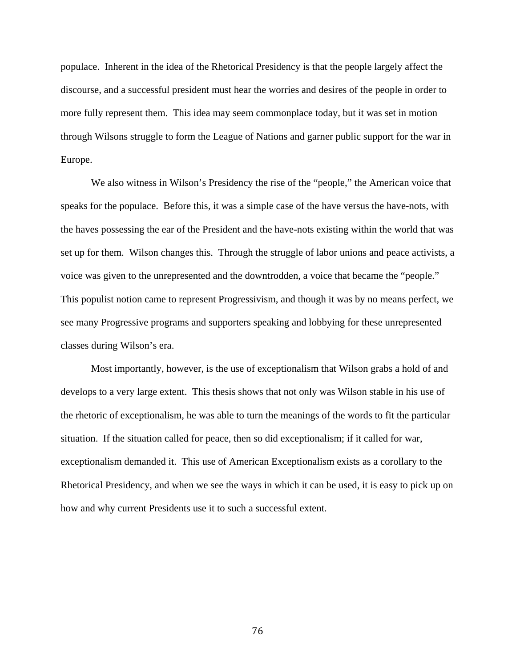populace. Inherent in the idea of the Rhetorical Presidency is that the people largely affect the discourse, and a successful president must hear the worries and desires of the people in order to more fully represent them. This idea may seem commonplace today, but it was set in motion through Wilsons struggle to form the League of Nations and garner public support for the war in Europe.

We also witness in Wilson's Presidency the rise of the "people," the American voice that speaks for the populace. Before this, it was a simple case of the have versus the have-nots, with the haves possessing the ear of the President and the have-nots existing within the world that was set up for them. Wilson changes this. Through the struggle of labor unions and peace activists, a voice was given to the unrepresented and the downtrodden, a voice that became the "people." This populist notion came to represent Progressivism, and though it was by no means perfect, we see many Progressive programs and supporters speaking and lobbying for these unrepresented classes during Wilson's era.

Most importantly, however, is the use of exceptionalism that Wilson grabs a hold of and develops to a very large extent. This thesis shows that not only was Wilson stable in his use of the rhetoric of exceptionalism, he was able to turn the meanings of the words to fit the particular situation. If the situation called for peace, then so did exceptionalism; if it called for war, exceptionalism demanded it. This use of American Exceptionalism exists as a corollary to the Rhetorical Presidency, and when we see the ways in which it can be used, it is easy to pick up on how and why current Presidents use it to such a successful extent.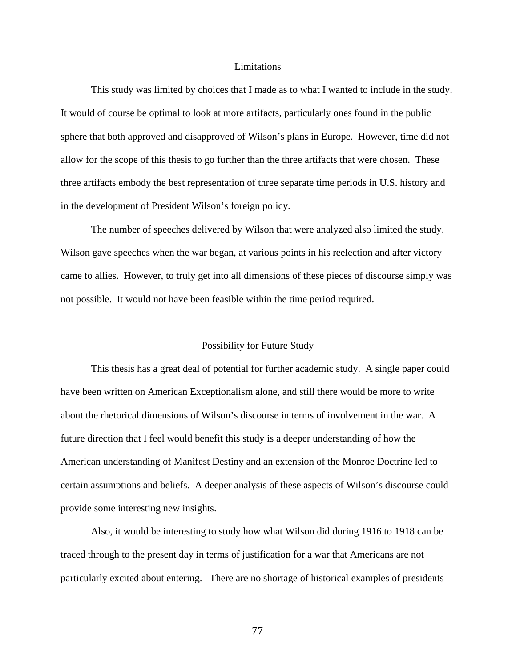#### Limitations

This study was limited by choices that I made as to what I wanted to include in the study. It would of course be optimal to look at more artifacts, particularly ones found in the public sphere that both approved and disapproved of Wilson's plans in Europe. However, time did not allow for the scope of this thesis to go further than the three artifacts that were chosen. These three artifacts embody the best representation of three separate time periods in U.S. history and in the development of President Wilson's foreign policy.

The number of speeches delivered by Wilson that were analyzed also limited the study. Wilson gave speeches when the war began, at various points in his reelection and after victory came to allies. However, to truly get into all dimensions of these pieces of discourse simply was not possible. It would not have been feasible within the time period required.

#### Possibility for Future Study

This thesis has a great deal of potential for further academic study. A single paper could have been written on American Exceptionalism alone, and still there would be more to write about the rhetorical dimensions of Wilson's discourse in terms of involvement in the war. A future direction that I feel would benefit this study is a deeper understanding of how the American understanding of Manifest Destiny and an extension of the Monroe Doctrine led to certain assumptions and beliefs. A deeper analysis of these aspects of Wilson's discourse could provide some interesting new insights.

Also, it would be interesting to study how what Wilson did during 1916 to 1918 can be traced through to the present day in terms of justification for a war that Americans are not particularly excited about entering. There are no shortage of historical examples of presidents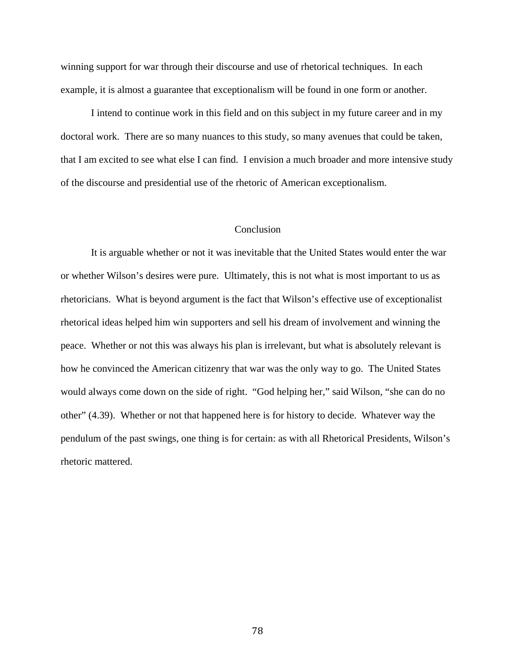winning support for war through their discourse and use of rhetorical techniques. In each example, it is almost a guarantee that exceptionalism will be found in one form or another.

I intend to continue work in this field and on this subject in my future career and in my doctoral work. There are so many nuances to this study, so many avenues that could be taken, that I am excited to see what else I can find. I envision a much broader and more intensive study of the discourse and presidential use of the rhetoric of American exceptionalism.

#### **Conclusion**

It is arguable whether or not it was inevitable that the United States would enter the war or whether Wilson's desires were pure. Ultimately, this is not what is most important to us as rhetoricians. What is beyond argument is the fact that Wilson's effective use of exceptionalist rhetorical ideas helped him win supporters and sell his dream of involvement and winning the peace. Whether or not this was always his plan is irrelevant, but what is absolutely relevant is how he convinced the American citizenry that war was the only way to go. The United States would always come down on the side of right. "God helping her," said Wilson, "she can do no other" (4.39). Whether or not that happened here is for history to decide. Whatever way the pendulum of the past swings, one thing is for certain: as with all Rhetorical Presidents, Wilson's rhetoric mattered.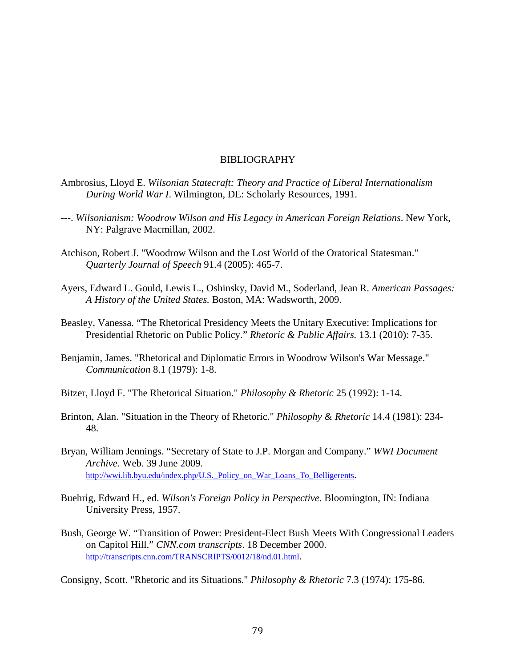#### BIBLIOGRAPHY

- Ambrosius, Lloyd E. *Wilsonian Statecraft: Theory and Practice of Liberal Internationalism During World War I*. Wilmington, DE: Scholarly Resources, 1991.
- ---. *Wilsonianism: Woodrow Wilson and His Legacy in American Foreign Relations*. New York, NY: Palgrave Macmillan, 2002.
- Atchison, Robert J. "Woodrow Wilson and the Lost World of the Oratorical Statesman." *Quarterly Journal of Speech* 91.4 (2005): 465-7.
- Ayers, Edward L. Gould, Lewis L., Oshinsky, David M., Soderland, Jean R. *American Passages: A History of the United States.* Boston, MA: Wadsworth, 2009.
- Beasley, Vanessa. "The Rhetorical Presidency Meets the Unitary Executive: Implications for Presidential Rhetoric on Public Policy." *Rhetoric & Public Affairs.* 13.1 (2010): 7-35.
- Benjamin, James. "Rhetorical and Diplomatic Errors in Woodrow Wilson's War Message." *Communication* 8.1 (1979): 1-8.
- Bitzer, Lloyd F. "The Rhetorical Situation." *Philosophy & Rhetoric* 25 (1992): 1-14.
- Brinton, Alan. "Situation in the Theory of Rhetoric." *Philosophy & Rhetoric* 14.4 (1981): 234- 48.
- Bryan, William Jennings. "Secretary of State to J.P. Morgan and Company." *WWI Document Archive.* Web. 39 June 2009. http://wwi.lib.byu.edu/index.php/U.S. Policy on War Loans To Belligerents.
- Buehrig, Edward H., ed. *Wilson's Foreign Policy in Perspective*. Bloomington, IN: Indiana University Press, 1957.
- Bush, George W. "Transition of Power: President-Elect Bush Meets With Congressional Leaders on Capitol Hill." *CNN.com transcripts*. 18 December 2000. [http://transcripts.cnn.com/TRANSCRIPTS/0012/18/nd.01.html.](http://transcripts.cnn.com/TRANSCRIPTS/0012/18/nd.01.html)

Consigny, Scott. "Rhetoric and its Situations." *Philosophy & Rhetoric* 7.3 (1974): 175-86.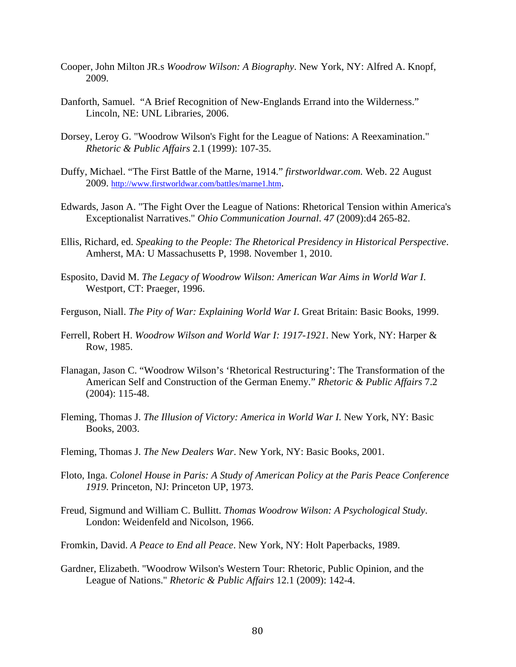- Cooper, John Milton JR.s *Woodrow Wilson: A Biography*. New York, NY: Alfred A. Knopf, 2009.
- Danforth, Samuel. "A Brief Recognition of New-Englands Errand into the Wilderness." Lincoln, NE: UNL Libraries, 2006.
- Dorsey, Leroy G. "Woodrow Wilson's Fight for the League of Nations: A Reexamination." *Rhetoric & Public Affairs* 2.1 (1999): 107-35.
- Duffy, Michael. "The First Battle of the Marne, 1914." *firstworldwar.com.* Web. 22 August 2009. [http://www.firstworldwar.com/battles/marne1.htm.](http://www.firstworldwar.com/battles/marne1.htm)
- Edwards, Jason A. "The Fight Over the League of Nations: Rhetorical Tension within America's Exceptionalist Narratives." *Ohio Communication Journal*. *47* (2009):d4 265-82.
- Ellis, Richard, ed. *Speaking to the People: The Rhetorical Presidency in Historical Perspective*. Amherst, MA: U Massachusetts P, 1998. November 1, 2010.
- Esposito, David M. *The Legacy of Woodrow Wilson: American War Aims in World War I*. Westport, CT: Praeger, 1996.
- Ferguson, Niall. *The Pity of War: Explaining World War I*. Great Britain: Basic Books, 1999.
- Ferrell, Robert H. *Woodrow Wilson and World War I: 1917-1921*. New York, NY: Harper & Row, 1985.
- Flanagan, Jason C. "Woodrow Wilson's 'Rhetorical Restructuring': The Transformation of the American Self and Construction of the German Enemy*.*" *Rhetoric & Public Affairs* 7.2 (2004): 115-48.
- Fleming, Thomas J. *The Illusion of Victory: America in World War I*. New York, NY: Basic Books, 2003.
- Fleming, Thomas J. *The New Dealers War*. New York, NY: Basic Books, 2001.
- Floto, Inga. *Colonel House in Paris: A Study of American Policy at the Paris Peace Conference 1919*. Princeton, NJ: Princeton UP, 1973.
- Freud, Sigmund and William C. Bullitt. *Thomas Woodrow Wilson: A Psychological Study*. London: Weidenfeld and Nicolson, 1966.
- Fromkin, David. *A Peace to End all Peace*. New York, NY: Holt Paperbacks, 1989.
- Gardner, Elizabeth. "Woodrow Wilson's Western Tour: Rhetoric, Public Opinion, and the League of Nations." *Rhetoric & Public Affairs* 12.1 (2009): 142-4.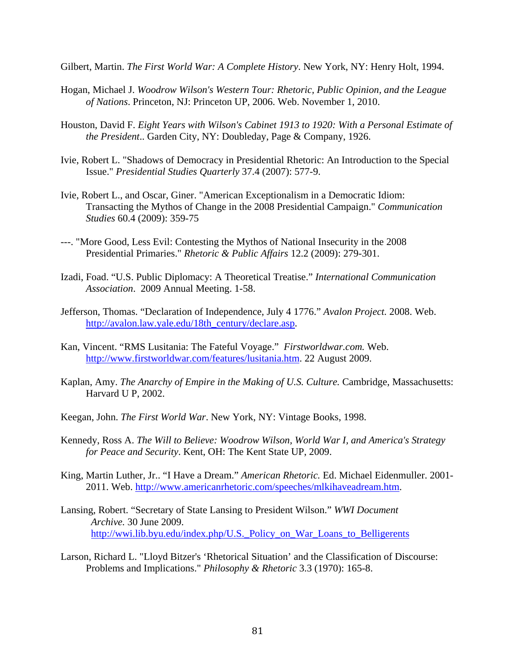Gilbert, Martin. *The First World War: A Complete History*. New York, NY: Henry Holt, 1994.

- Hogan, Michael J. *Woodrow Wilson's Western Tour: Rhetoric, Public Opinion, and the League of Nations*. Princeton, NJ: Princeton UP, 2006. Web. November 1, 2010.
- Houston, David F. *Eight Years with Wilson's Cabinet 1913 to 1920: With a Personal Estimate of the President*.. Garden City, NY: Doubleday, Page & Company, 1926.
- Ivie, Robert L. "Shadows of Democracy in Presidential Rhetoric: An Introduction to the Special Issue." *Presidential Studies Quarterly* 37.4 (2007): 577-9.
- Ivie, Robert L., and Oscar, Giner. "American Exceptionalism in a Democratic Idiom: Transacting the Mythos of Change in the 2008 Presidential Campaign." *Communication Studies* 60.4 (2009): 359-75
- ---. "More Good, Less Evil: Contesting the Mythos of National Insecurity in the 2008 Presidential Primaries." *Rhetoric & Public Affairs* 12.2 (2009): 279-301.
- Izadi, Foad. "U.S. Public Diplomacy: A Theoretical Treatise." *International Communication Association*. 2009 Annual Meeting. 1-58.
- Jefferson, Thomas. "Declaration of Independence, July 4 1776." *Avalon Project.* 2008. Web. [http://avalon.law.yale.edu/18th\\_century/declare.asp.](http://avalon.law.yale.edu/18th_century/declare.asp)
- Kan, Vincent. "RMS Lusitania: The Fateful Voyage." *Firstworldwar.com.* Web. [http://www.firstworldwar.com/features/lusitania.htm.](http://www.firstworldwar.com/features/lusitania.htm) 22 August 2009.
- Kaplan, Amy. *The Anarchy of Empire in the Making of U.S. Culture.* Cambridge, Massachusetts: Harvard U P, 2002.
- Keegan, John. *The First World War*. New York, NY: Vintage Books, 1998.
- Kennedy, Ross A. *The Will to Believe: Woodrow Wilson, World War I, and America's Strategy for Peace and Security*. Kent, OH: The Kent State UP, 2009.
- King, Martin Luther, Jr.. "I Have a Dream." *American Rhetoric.* Ed. Michael Eidenmuller. 2001- 2011. Web. [http://www.americanrhetoric.com/speeches/mlkihaveadream.htm.](http://www.americanrhetoric.com/speeches/mlkihaveadream.htm)
- Lansing, Robert. "Secretary of State Lansing to President Wilson." *WWI Document Archive.* 30 June 2009. http://wwi.lib.byu.edu/index.php/U.S. Policy on War Loans to Belligerents
- Larson, Richard L. "Lloyd Bitzer's 'Rhetorical Situation' and the Classification of Discourse: Problems and Implications." *Philosophy & Rhetoric* 3.3 (1970): 165-8.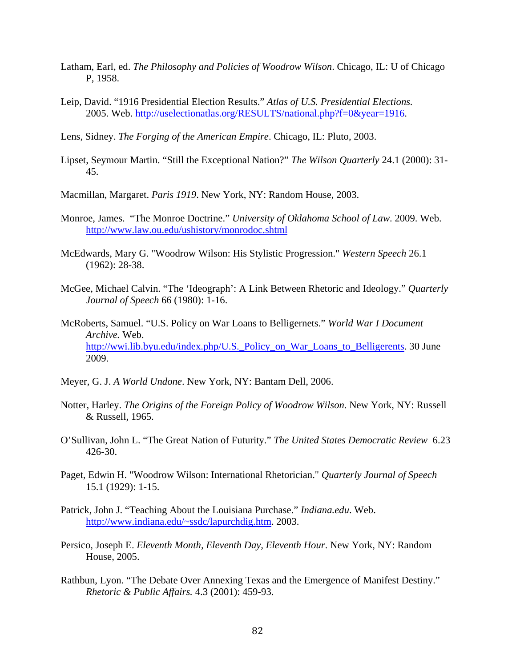- Latham, Earl, ed. *The Philosophy and Policies of Woodrow Wilson*. Chicago, IL: U of Chicago P, 1958.
- Leip, David. "1916 Presidential Election Results." *Atlas of U.S. Presidential Elections.*  2005. Web. [http://uselectionatlas.org/RESULTS/national.php?f=0&year=1916.](http://uselectionatlas.org/RESULTS/national.php?f=0&year=1916)
- Lens, Sidney. *The Forging of the American Empire*. Chicago, IL: Pluto, 2003.
- Lipset, Seymour Martin. "Still the Exceptional Nation?" *The Wilson Quarterly* 24.1 (2000): 31- 45.
- Macmillan, Margaret. *Paris 1919*. New York, NY: Random House, 2003.
- Monroe, James. "The Monroe Doctrine." *University of Oklahoma School of Law*. 2009. Web. <http://www.law.ou.edu/ushistory/monrodoc.shtml>
- McEdwards, Mary G. "Woodrow Wilson: His Stylistic Progression." *Western Speech* 26.1 (1962): 28-38.
- McGee, Michael Calvin. "The 'Ideograph': A Link Between Rhetoric and Ideology." *Quarterly Journal of Speech* 66 (1980): 1-16.
- McRoberts, Samuel. "U.S. Policy on War Loans to Belligernets." *World War I Document Archive.* Web. [http://wwi.lib.byu.edu/index.php/U.S.\\_Policy\\_on\\_War\\_Loans\\_to\\_Belligerents.](http://wwi.lib.byu.edu/index.php/U.S._Policy_on_War_Loans_to_Belligerents) 30 June 2009.
- Meyer, G. J. *A World Undone*. New York, NY: Bantam Dell, 2006.
- Notter, Harley. *The Origins of the Foreign Policy of Woodrow Wilson*. New York, NY: Russell & Russell, 1965.
- O'Sullivan, John L. "The Great Nation of Futurity." *The United States Democratic Review* 6.23 426-30.
- Paget, Edwin H. "Woodrow Wilson: International Rhetorician." *Quarterly Journal of Speech* 15.1 (1929): 1-15.
- Patrick, John J. "Teaching About the Louisiana Purchase." *Indiana.edu*. Web. [http://www.indiana.edu/~ssdc/lapurchdig.htm.](http://www.indiana.edu/~ssdc/lapurchdig.htm) 2003.
- Persico, Joseph E. *Eleventh Month, Eleventh Day, Eleventh Hour*. New York, NY: Random House, 2005.
- Rathbun, Lyon. "The Debate Over Annexing Texas and the Emergence of Manifest Destiny." *Rhetoric & Public Affairs.* 4.3 (2001): 459-93.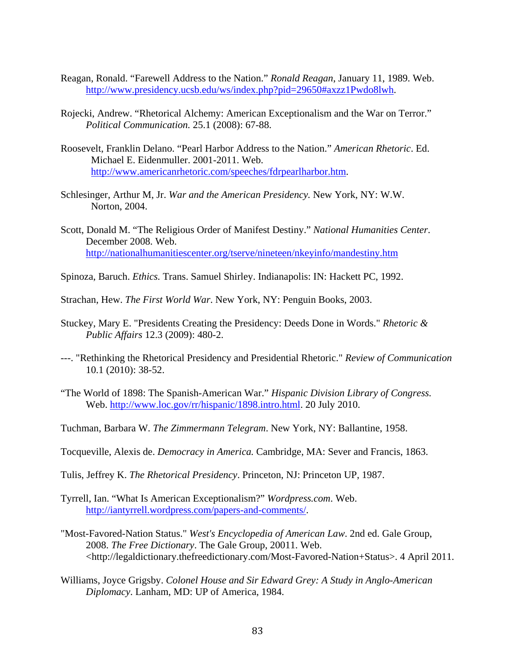- Reagan, Ronald. "Farewell Address to the Nation." *Ronald Reagan*, January 11, 1989. Web. [http://www.presidency.ucsb.edu/ws/index.php?pid=29650#axzz1Pwdo8lwh.](http://www.presidency.ucsb.edu/ws/index.php?pid=29650#axzz1Pwdo8lwh)
- Rojecki, Andrew. "Rhetorical Alchemy: American Exceptionalism and the War on Terror." *Political Communication.* 25.1 (2008): 67-88.
- Roosevelt, Franklin Delano. "Pearl Harbor Address to the Nation." *American Rhetoric*. Ed. Michael E. Eidenmuller. 2001-2011. Web. [http://www.americanrhetoric.com/speeches/fdrpearlharbor.htm.](http://www.americanrhetoric.com/speeches/fdrpearlharbor.htm)
- Schlesinger, Arthur M, Jr. *War and the American Presidency.* New York, NY: W.W. Norton, 2004.
- Scott, Donald M. "The Religious Order of Manifest Destiny." *National Humanities Center*. December 2008. Web. <http://nationalhumanitiescenter.org/tserve/nineteen/nkeyinfo/mandestiny.htm>
- Spinoza, Baruch. *Ethics.* Trans. Samuel Shirley. Indianapolis: IN: Hackett PC, 1992.

Strachan, Hew. *The First World War*. New York, NY: Penguin Books, 2003.

- Stuckey, Mary E. "Presidents Creating the Presidency: Deeds Done in Words." *Rhetoric & Public Affairs* 12.3 (2009): 480-2.
- ---. "Rethinking the Rhetorical Presidency and Presidential Rhetoric." *Review of Communication* 10.1 (2010): 38-52.
- "The World of 1898: The Spanish-American War." *Hispanic Division Library of Congress.*  Web. [http://www.loc.gov/rr/hispanic/1898.intro.html.](http://www.loc.gov/rr/hispanic/1898.intro.html) 20 July 2010.
- Tuchman, Barbara W. *The Zimmermann Telegram*. New York, NY: Ballantine, 1958.
- Tocqueville, Alexis de. *Democracy in America.* Cambridge, MA: Sever and Francis, 1863.
- Tulis, Jeffrey K. *The Rhetorical Presidency*. Princeton, NJ: Princeton UP, 1987.
- Tyrrell, Ian. "What Is American Exceptionalism?" *Wordpress.com*. Web. [http://iantyrrell.wordpress.com/papers-and-comments/.](http://iantyrrell.wordpress.com/papers-and-comments/)
- "Most-Favored-Nation Status." *West's Encyclopedia of American Law*. 2nd ed. Gale Group, 2008. *The Free Dictionary*. The Gale Group, 20011. Web. <http://legaldictionary.thefreedictionary.com/Most-Favored-Nation+Status>. 4 April 2011.
- Williams, Joyce Grigsby. *Colonel House and Sir Edward Grey: A Study in Anglo-American Diplomacy*. Lanham, MD: UP of America, 1984.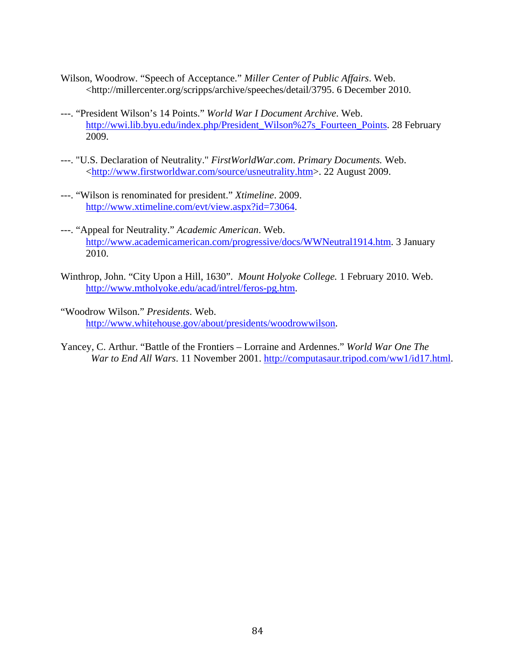- Wilson, Woodrow. "Speech of Acceptance." *Miller Center of Public Affairs*. Web. <http://millercenter.org/scripps/archive/speeches/detail/3795. 6 December 2010.
- ---. "President Wilson's 14 Points." *World War I Document Archive*. Web. [http://wwi.lib.byu.edu/index.php/President\\_Wilson%27s\\_Fourteen\\_Points.](http://wwi.lib.byu.edu/index.php/President_Wilson%27s_Fourteen_Points) 28 February 2009.
- ---. "U.S. Declaration of Neutrality." *FirstWorldWar.com*. *Primary Documents.* Web. [<http://www.firstworldwar.com/source/usneutrality.htm>](http://www.firstworldwar.com/source/usneutrality.htm). 22 August 2009.
- ---. "Wilson is renominated for president." *Xtimeline*. 2009. [http://www.xtimeline.com/evt/view.aspx?id=73064.](http://www.xtimeline.com/evt/view.aspx?id=73064)
- ---. "Appeal for Neutrality." *Academic American*. Web. [http://www.academicamerican.com/progressive/docs/WWNeutral1914.htm.](http://www.academicamerican.com/progressive/docs/WWNeutral1914.htm) 3 January 2010.
- Winthrop, John. "City Upon a Hill, 1630". *Mount Holyoke College.* 1 February 2010. Web. [http://www.mtholyoke.edu/acad/intrel/feros-pg.htm.](http://www.mtholyoke.edu/acad/intrel/feros-pg.htm)
- "Woodrow Wilson." *Presidents*. Web. [http://www.whitehouse.gov/about/presidents/woodrowwilson.](http://www.whitehouse.gov/about/presidents/woodrowwilson)
- Yancey, C. Arthur. "Battle of the Frontiers Lorraine and Ardennes." *World War One The War to End All Wars*. 11 November 2001. [http://computasaur.tripod.com/ww1/id17.html.](http://computasaur.tripod.com/ww1/id17.html)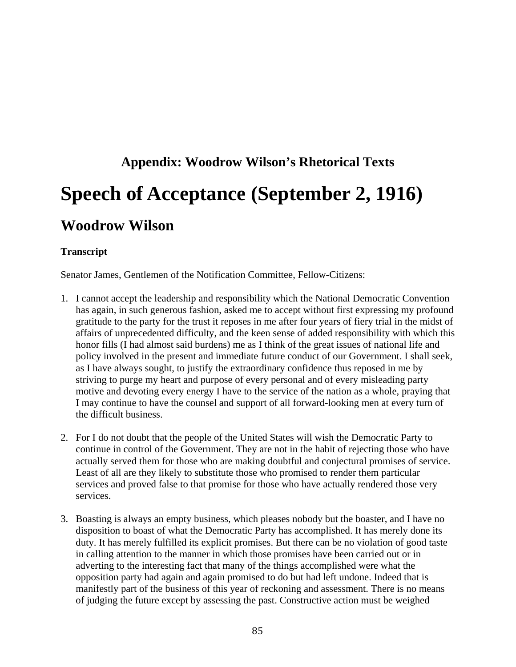# **Appendix: Woodrow Wilson's Rhetorical Texts Speech of Acceptance (September 2, 1916) Woodrow Wilson**

#### **Transcript**

Senator James, Gentlemen of the Notification Committee, Fellow-Citizens:

- 1. I cannot accept the leadership and responsibility which the National Democratic Convention has again, in such generous fashion, asked me to accept without first expressing my profound gratitude to the party for the trust it reposes in me after four years of fiery trial in the midst of affairs of unprecedented difficulty, and the keen sense of added responsibility with which this honor fills (I had almost said burdens) me as I think of the great issues of national life and policy involved in the present and immediate future conduct of our Government. I shall seek, as I have always sought, to justify the extraordinary confidence thus reposed in me by striving to purge my heart and purpose of every personal and of every misleading party motive and devoting every energy I have to the service of the nation as a whole, praying that I may continue to have the counsel and support of all forward-looking men at every turn of the difficult business.
- 2. For I do not doubt that the people of the United States will wish the Democratic Party to continue in control of the Government. They are not in the habit of rejecting those who have actually served them for those who are making doubtful and conjectural promises of service. Least of all are they likely to substitute those who promised to render them particular services and proved false to that promise for those who have actually rendered those very services.
- 3. Boasting is always an empty business, which pleases nobody but the boaster, and I have no disposition to boast of what the Democratic Party has accomplished. It has merely done its duty. It has merely fulfilled its explicit promises. But there can be no violation of good taste in calling attention to the manner in which those promises have been carried out or in adverting to the interesting fact that many of the things accomplished were what the opposition party had again and again promised to do but had left undone. Indeed that is manifestly part of the business of this year of reckoning and assessment. There is no means of judging the future except by assessing the past. Constructive action must be weighed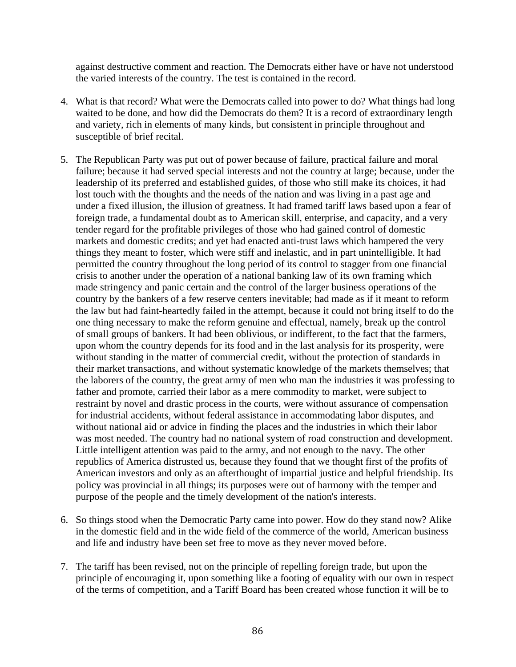against destructive comment and reaction. The Democrats either have or have not understood the varied interests of the country. The test is contained in the record.

- 4. What is that record? What were the Democrats called into power to do? What things had long waited to be done, and how did the Democrats do them? It is a record of extraordinary length and variety, rich in elements of many kinds, but consistent in principle throughout and susceptible of brief recital.
- 5. The Republican Party was put out of power because of failure, practical failure and moral failure; because it had served special interests and not the country at large; because, under the leadership of its preferred and established guides, of those who still make its choices, it had lost touch with the thoughts and the needs of the nation and was living in a past age and under a fixed illusion, the illusion of greatness. It had framed tariff laws based upon a fear of foreign trade, a fundamental doubt as to American skill, enterprise, and capacity, and a very tender regard for the profitable privileges of those who had gained control of domestic markets and domestic credits; and yet had enacted anti-trust laws which hampered the very things they meant to foster, which were stiff and inelastic, and in part unintelligible. It had permitted the country throughout the long period of its control to stagger from one financial crisis to another under the operation of a national banking law of its own framing which made stringency and panic certain and the control of the larger business operations of the country by the bankers of a few reserve centers inevitable; had made as if it meant to reform the law but had faint-heartedly failed in the attempt, because it could not bring itself to do the one thing necessary to make the reform genuine and effectual, namely, break up the control of small groups of bankers. It had been oblivious, or indifferent, to the fact that the farmers, upon whom the country depends for its food and in the last analysis for its prosperity, were without standing in the matter of commercial credit, without the protection of standards in their market transactions, and without systematic knowledge of the markets themselves; that the laborers of the country, the great army of men who man the industries it was professing to father and promote, carried their labor as a mere commodity to market, were subject to restraint by novel and drastic process in the courts, were without assurance of compensation for industrial accidents, without federal assistance in accommodating labor disputes, and without national aid or advice in finding the places and the industries in which their labor was most needed. The country had no national system of road construction and development. Little intelligent attention was paid to the army, and not enough to the navy. The other republics of America distrusted us, because they found that we thought first of the profits of American investors and only as an afterthought of impartial justice and helpful friendship. Its policy was provincial in all things; its purposes were out of harmony with the temper and purpose of the people and the timely development of the nation's interests.
- 6. So things stood when the Democratic Party came into power. How do they stand now? Alike in the domestic field and in the wide field of the commerce of the world, American business and life and industry have been set free to move as they never moved before.
- 7. The tariff has been revised, not on the principle of repelling foreign trade, but upon the principle of encouraging it, upon something like a footing of equality with our own in respect of the terms of competition, and a Tariff Board has been created whose function it will be to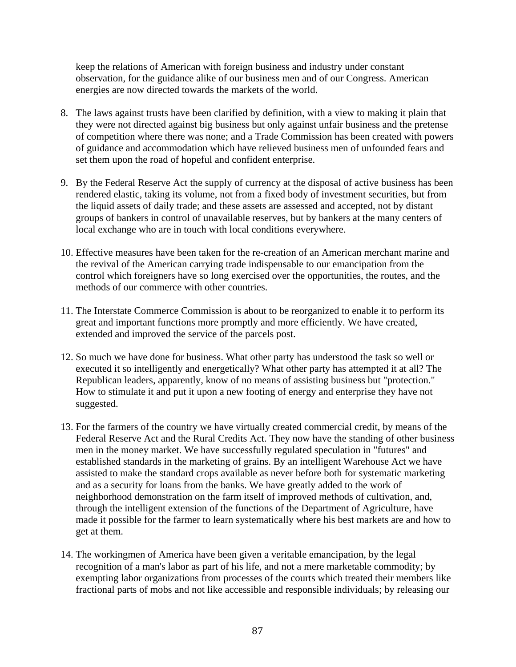keep the relations of American with foreign business and industry under constant observation, for the guidance alike of our business men and of our Congress. American energies are now directed towards the markets of the world.

- 8. The laws against trusts have been clarified by definition, with a view to making it plain that they were not directed against big business but only against unfair business and the pretense of competition where there was none; and a Trade Commission has been created with powers of guidance and accommodation which have relieved business men of unfounded fears and set them upon the road of hopeful and confident enterprise.
- 9. By the Federal Reserve Act the supply of currency at the disposal of active business has been rendered elastic, taking its volume, not from a fixed body of investment securities, but from the liquid assets of daily trade; and these assets are assessed and accepted, not by distant groups of bankers in control of unavailable reserves, but by bankers at the many centers of local exchange who are in touch with local conditions everywhere.
- 10. Effective measures have been taken for the re-creation of an American merchant marine and the revival of the American carrying trade indispensable to our emancipation from the control which foreigners have so long exercised over the opportunities, the routes, and the methods of our commerce with other countries.
- 11. The Interstate Commerce Commission is about to be reorganized to enable it to perform its great and important functions more promptly and more efficiently. We have created, extended and improved the service of the parcels post.
- 12. So much we have done for business. What other party has understood the task so well or executed it so intelligently and energetically? What other party has attempted it at all? The Republican leaders, apparently, know of no means of assisting business but "protection." How to stimulate it and put it upon a new footing of energy and enterprise they have not suggested.
- 13. For the farmers of the country we have virtually created commercial credit, by means of the Federal Reserve Act and the Rural Credits Act. They now have the standing of other business men in the money market. We have successfully regulated speculation in "futures" and established standards in the marketing of grains. By an intelligent Warehouse Act we have assisted to make the standard crops available as never before both for systematic marketing and as a security for loans from the banks. We have greatly added to the work of neighborhood demonstration on the farm itself of improved methods of cultivation, and, through the intelligent extension of the functions of the Department of Agriculture, have made it possible for the farmer to learn systematically where his best markets are and how to get at them.
- 14. The workingmen of America have been given a veritable emancipation, by the legal recognition of a man's labor as part of his life, and not a mere marketable commodity; by exempting labor organizations from processes of the courts which treated their members like fractional parts of mobs and not like accessible and responsible individuals; by releasing our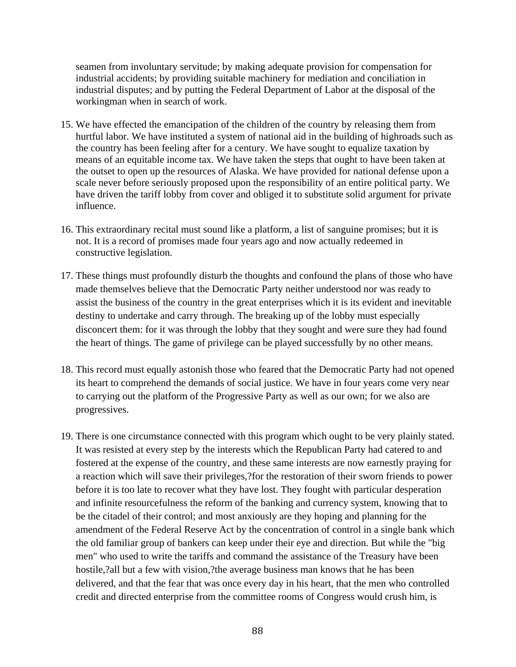seamen from involuntary servitude; by making adequate provision for compensation for industrial accidents; by providing suitable machinery for mediation and conciliation in industrial disputes; and by putting the Federal Department of Labor at the disposal of the workingman when in search of work.

- 15. We have effected the emancipation of the children of the country by releasing them from hurtful labor. We have instituted a system of national aid in the building of highroads such as the country has been feeling after for a century. We have sought to equalize taxation by means of an equitable income tax. We have taken the steps that ought to have been taken at the outset to open up the resources of Alaska. We have provided for national defense upon a scale never before seriously proposed upon the responsibility of an entire political party. We have driven the tariff lobby from cover and obliged it to substitute solid argument for private influence.
- 16. This extraordinary recital must sound like a platform, a list of sanguine promises; but it is not. It is a record of promises made four years ago and now actually redeemed in constructive legislation.
- 17. These things must profoundly disturb the thoughts and confound the plans of those who have made themselves believe that the Democratic Party neither understood nor was ready to assist the business of the country in the great enterprises which it is its evident and inevitable destiny to undertake and carry through. The breaking up of the lobby must especially disconcert them: for it was through the lobby that they sought and were sure they had found the heart of things. The game of privilege can be played successfully by no other means.
- 18. This record must equally astonish those who feared that the Democratic Party had not opened its heart to comprehend the demands of social justice. We have in four years come very near to carrying out the platform of the Progressive Party as well as our own; for we also are progressives.
- 19. There is one circumstance connected with this program which ought to be very plainly stated. It was resisted at every step by the interests which the Republican Party had catered to and fostered at the expense of the country, and these same interests are now earnestly praying for a reaction which will save their privileges,?for the restoration of their sworn friends to power before it is too late to recover what they have lost. They fought with particular desperation and infinite resourcefulness the reform of the banking and currency system, knowing that to be the citadel of their control; and most anxiously are they hoping and planning for the amendment of the Federal Reserve Act by the concentration of control in a single bank which the old familiar group of bankers can keep under their eye and direction. But while the "big men" who used to write the tariffs and command the assistance of the Treasury have been hostile,?all but a few with vision,?the average business man knows that he has been delivered, and that the fear that was once every day in his heart, that the men who controlled credit and directed enterprise from the committee rooms of Congress would crush him, is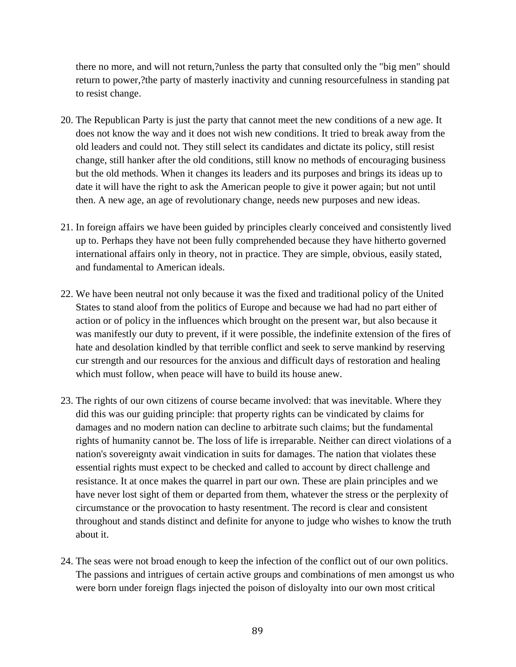there no more, and will not return,?unless the party that consulted only the "big men" should return to power,?the party of masterly inactivity and cunning resourcefulness in standing pat to resist change.

- 20. The Republican Party is just the party that cannot meet the new conditions of a new age. It does not know the way and it does not wish new conditions. It tried to break away from the old leaders and could not. They still select its candidates and dictate its policy, still resist change, still hanker after the old conditions, still know no methods of encouraging business but the old methods. When it changes its leaders and its purposes and brings its ideas up to date it will have the right to ask the American people to give it power again; but not until then. A new age, an age of revolutionary change, needs new purposes and new ideas.
- 21. In foreign affairs we have been guided by principles clearly conceived and consistently lived up to. Perhaps they have not been fully comprehended because they have hitherto governed international affairs only in theory, not in practice. They are simple, obvious, easily stated, and fundamental to American ideals.
- 22. We have been neutral not only because it was the fixed and traditional policy of the United States to stand aloof from the politics of Europe and because we had had no part either of action or of policy in the influences which brought on the present war, but also because it was manifestly our duty to prevent, if it were possible, the indefinite extension of the fires of hate and desolation kindled by that terrible conflict and seek to serve mankind by reserving cur strength and our resources for the anxious and difficult days of restoration and healing which must follow, when peace will have to build its house anew.
- 23. The rights of our own citizens of course became involved: that was inevitable. Where they did this was our guiding principle: that property rights can be vindicated by claims for damages and no modern nation can decline to arbitrate such claims; but the fundamental rights of humanity cannot be. The loss of life is irreparable. Neither can direct violations of a nation's sovereignty await vindication in suits for damages. The nation that violates these essential rights must expect to be checked and called to account by direct challenge and resistance. It at once makes the quarrel in part our own. These are plain principles and we have never lost sight of them or departed from them, whatever the stress or the perplexity of circumstance or the provocation to hasty resentment. The record is clear and consistent throughout and stands distinct and definite for anyone to judge who wishes to know the truth about it.
- 24. The seas were not broad enough to keep the infection of the conflict out of our own politics. The passions and intrigues of certain active groups and combinations of men amongst us who were born under foreign flags injected the poison of disloyalty into our own most critical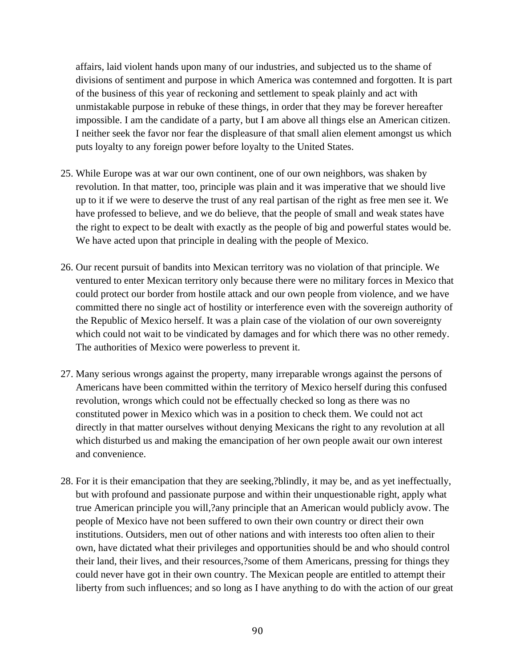affairs, laid violent hands upon many of our industries, and subjected us to the shame of divisions of sentiment and purpose in which America was contemned and forgotten. It is part of the business of this year of reckoning and settlement to speak plainly and act with unmistakable purpose in rebuke of these things, in order that they may be forever hereafter impossible. I am the candidate of a party, but I am above all things else an American citizen. I neither seek the favor nor fear the displeasure of that small alien element amongst us which puts loyalty to any foreign power before loyalty to the United States.

- 25. While Europe was at war our own continent, one of our own neighbors, was shaken by revolution. In that matter, too, principle was plain and it was imperative that we should live up to it if we were to deserve the trust of any real partisan of the right as free men see it. We have professed to believe, and we do believe, that the people of small and weak states have the right to expect to be dealt with exactly as the people of big and powerful states would be. We have acted upon that principle in dealing with the people of Mexico.
- 26. Our recent pursuit of bandits into Mexican territory was no violation of that principle. We ventured to enter Mexican territory only because there were no military forces in Mexico that could protect our border from hostile attack and our own people from violence, and we have committed there no single act of hostility or interference even with the sovereign authority of the Republic of Mexico herself. It was a plain case of the violation of our own sovereignty which could not wait to be vindicated by damages and for which there was no other remedy. The authorities of Mexico were powerless to prevent it.
- 27. Many serious wrongs against the property, many irreparable wrongs against the persons of Americans have been committed within the territory of Mexico herself during this confused revolution, wrongs which could not be effectually checked so long as there was no constituted power in Mexico which was in a position to check them. We could not act directly in that matter ourselves without denying Mexicans the right to any revolution at all which disturbed us and making the emancipation of her own people await our own interest and convenience.
- 28. For it is their emancipation that they are seeking,?blindly, it may be, and as yet ineffectually, but with profound and passionate purpose and within their unquestionable right, apply what true American principle you will,?any principle that an American would publicly avow. The people of Mexico have not been suffered to own their own country or direct their own institutions. Outsiders, men out of other nations and with interests too often alien to their own, have dictated what their privileges and opportunities should be and who should control their land, their lives, and their resources,?some of them Americans, pressing for things they could never have got in their own country. The Mexican people are entitled to attempt their liberty from such influences; and so long as I have anything to do with the action of our great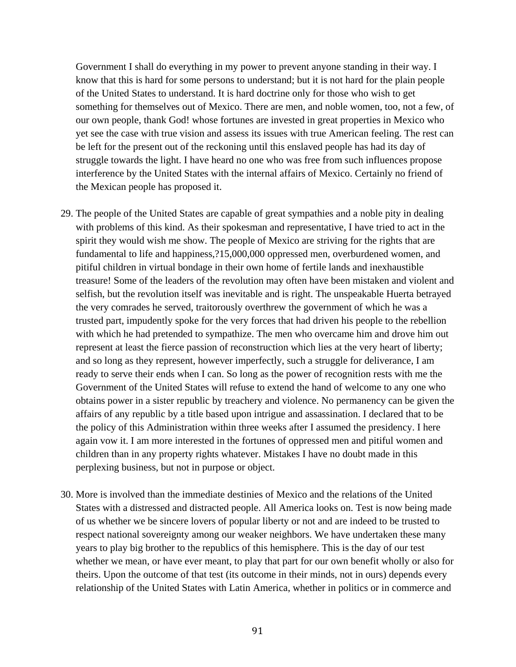Government I shall do everything in my power to prevent anyone standing in their way. I know that this is hard for some persons to understand; but it is not hard for the plain people of the United States to understand. It is hard doctrine only for those who wish to get something for themselves out of Mexico. There are men, and noble women, too, not a few, of our own people, thank God! whose fortunes are invested in great properties in Mexico who yet see the case with true vision and assess its issues with true American feeling. The rest can be left for the present out of the reckoning until this enslaved people has had its day of struggle towards the light. I have heard no one who was free from such influences propose interference by the United States with the internal affairs of Mexico. Certainly no friend of the Mexican people has proposed it.

- 29. The people of the United States are capable of great sympathies and a noble pity in dealing with problems of this kind. As their spokesman and representative, I have tried to act in the spirit they would wish me show. The people of Mexico are striving for the rights that are fundamental to life and happiness,?15,000,000 oppressed men, overburdened women, and pitiful children in virtual bondage in their own home of fertile lands and inexhaustible treasure! Some of the leaders of the revolution may often have been mistaken and violent and selfish, but the revolution itself was inevitable and is right. The unspeakable Huerta betrayed the very comrades he served, traitorously overthrew the government of which he was a trusted part, impudently spoke for the very forces that had driven his people to the rebellion with which he had pretended to sympathize. The men who overcame him and drove him out represent at least the fierce passion of reconstruction which lies at the very heart of liberty; and so long as they represent, however imperfectly, such a struggle for deliverance, I am ready to serve their ends when I can. So long as the power of recognition rests with me the Government of the United States will refuse to extend the hand of welcome to any one who obtains power in a sister republic by treachery and violence. No permanency can be given the affairs of any republic by a title based upon intrigue and assassination. I declared that to be the policy of this Administration within three weeks after I assumed the presidency. I here again vow it. I am more interested in the fortunes of oppressed men and pitiful women and children than in any property rights whatever. Mistakes I have no doubt made in this perplexing business, but not in purpose or object.
- 30. More is involved than the immediate destinies of Mexico and the relations of the United States with a distressed and distracted people. All America looks on. Test is now being made of us whether we be sincere lovers of popular liberty or not and are indeed to be trusted to respect national sovereignty among our weaker neighbors. We have undertaken these many years to play big brother to the republics of this hemisphere. This is the day of our test whether we mean, or have ever meant, to play that part for our own benefit wholly or also for theirs. Upon the outcome of that test (its outcome in their minds, not in ours) depends every relationship of the United States with Latin America, whether in politics or in commerce and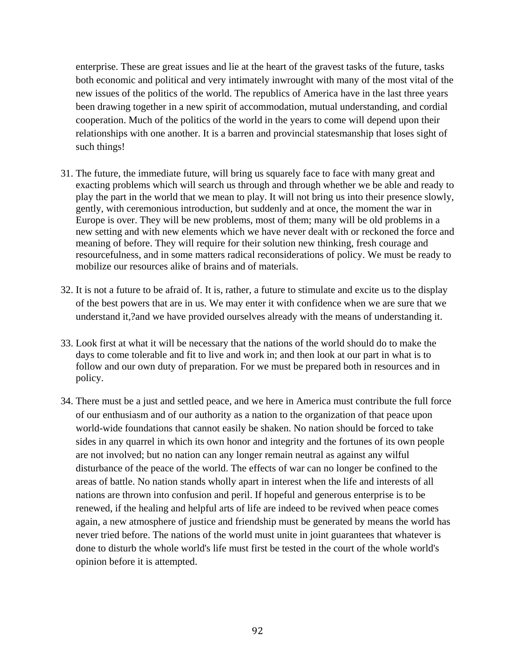enterprise. These are great issues and lie at the heart of the gravest tasks of the future, tasks both economic and political and very intimately inwrought with many of the most vital of the new issues of the politics of the world. The republics of America have in the last three years been drawing together in a new spirit of accommodation, mutual understanding, and cordial cooperation. Much of the politics of the world in the years to come will depend upon their relationships with one another. It is a barren and provincial statesmanship that loses sight of such things!

- 31. The future, the immediate future, will bring us squarely face to face with many great and exacting problems which will search us through and through whether we be able and ready to play the part in the world that we mean to play. It will not bring us into their presence slowly, gently, with ceremonious introduction, but suddenly and at once, the moment the war in Europe is over. They will be new problems, most of them; many will be old problems in a new setting and with new elements which we have never dealt with or reckoned the force and meaning of before. They will require for their solution new thinking, fresh courage and resourcefulness, and in some matters radical reconsiderations of policy. We must be ready to mobilize our resources alike of brains and of materials.
- 32. It is not a future to be afraid of. It is, rather, a future to stimulate and excite us to the display of the best powers that are in us. We may enter it with confidence when we are sure that we understand it,?and we have provided ourselves already with the means of understanding it.
- 33. Look first at what it will be necessary that the nations of the world should do to make the days to come tolerable and fit to live and work in; and then look at our part in what is to follow and our own duty of preparation. For we must be prepared both in resources and in policy.
- 34. There must be a just and settled peace, and we here in America must contribute the full force of our enthusiasm and of our authority as a nation to the organization of that peace upon world-wide foundations that cannot easily be shaken. No nation should be forced to take sides in any quarrel in which its own honor and integrity and the fortunes of its own people are not involved; but no nation can any longer remain neutral as against any wilful disturbance of the peace of the world. The effects of war can no longer be confined to the areas of battle. No nation stands wholly apart in interest when the life and interests of all nations are thrown into confusion and peril. If hopeful and generous enterprise is to be renewed, if the healing and helpful arts of life are indeed to be revived when peace comes again, a new atmosphere of justice and friendship must be generated by means the world has never tried before. The nations of the world must unite in joint guarantees that whatever is done to disturb the whole world's life must first be tested in the court of the whole world's opinion before it is attempted.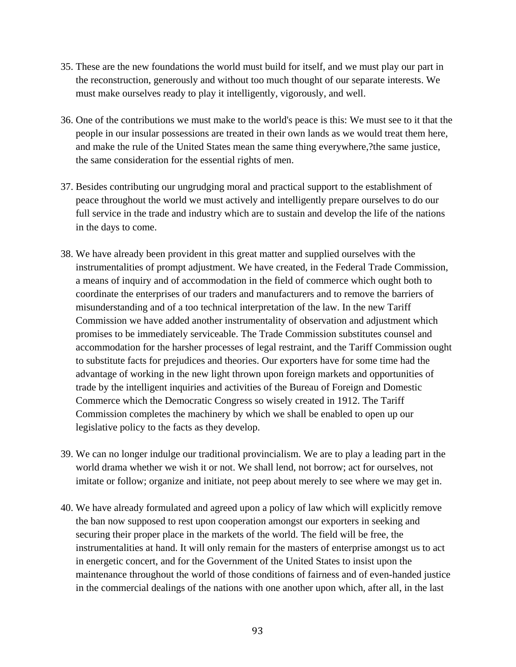- 35. These are the new foundations the world must build for itself, and we must play our part in the reconstruction, generously and without too much thought of our separate interests. We must make ourselves ready to play it intelligently, vigorously, and well.
- 36. One of the contributions we must make to the world's peace is this: We must see to it that the people in our insular possessions are treated in their own lands as we would treat them here, and make the rule of the United States mean the same thing everywhere,?the same justice, the same consideration for the essential rights of men.
- 37. Besides contributing our ungrudging moral and practical support to the establishment of peace throughout the world we must actively and intelligently prepare ourselves to do our full service in the trade and industry which are to sustain and develop the life of the nations in the days to come.
- 38. We have already been provident in this great matter and supplied ourselves with the instrumentalities of prompt adjustment. We have created, in the Federal Trade Commission, a means of inquiry and of accommodation in the field of commerce which ought both to coordinate the enterprises of our traders and manufacturers and to remove the barriers of misunderstanding and of a too technical interpretation of the law. In the new Tariff Commission we have added another instrumentality of observation and adjustment which promises to be immediately serviceable. The Trade Commission substitutes counsel and accommodation for the harsher processes of legal restraint, and the Tariff Commission ought to substitute facts for prejudices and theories. Our exporters have for some time had the advantage of working in the new light thrown upon foreign markets and opportunities of trade by the intelligent inquiries and activities of the Bureau of Foreign and Domestic Commerce which the Democratic Congress so wisely created in 1912. The Tariff Commission completes the machinery by which we shall be enabled to open up our legislative policy to the facts as they develop.
- 39. We can no longer indulge our traditional provincialism. We are to play a leading part in the world drama whether we wish it or not. We shall lend, not borrow; act for ourselves, not imitate or follow; organize and initiate, not peep about merely to see where we may get in.
- 40. We have already formulated and agreed upon a policy of law which will explicitly remove the ban now supposed to rest upon cooperation amongst our exporters in seeking and securing their proper place in the markets of the world. The field will be free, the instrumentalities at hand. It will only remain for the masters of enterprise amongst us to act in energetic concert, and for the Government of the United States to insist upon the maintenance throughout the world of those conditions of fairness and of even-handed justice in the commercial dealings of the nations with one another upon which, after all, in the last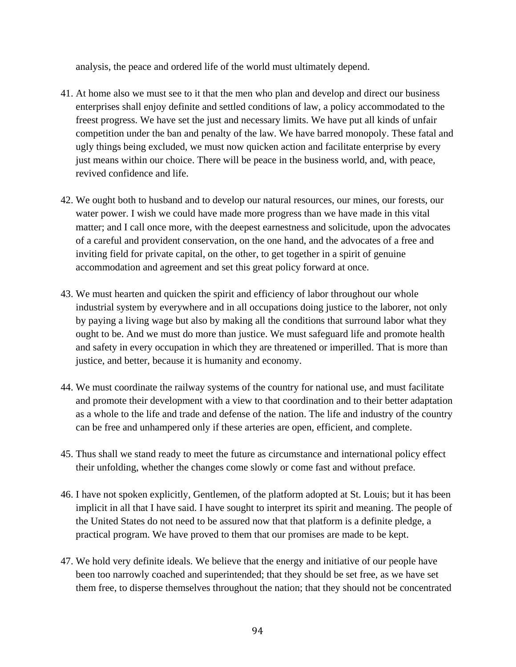analysis, the peace and ordered life of the world must ultimately depend.

- 41. At home also we must see to it that the men who plan and develop and direct our business enterprises shall enjoy definite and settled conditions of law, a policy accommodated to the freest progress. We have set the just and necessary limits. We have put all kinds of unfair competition under the ban and penalty of the law. We have barred monopoly. These fatal and ugly things being excluded, we must now quicken action and facilitate enterprise by every just means within our choice. There will be peace in the business world, and, with peace, revived confidence and life.
- 42. We ought both to husband and to develop our natural resources, our mines, our forests, our water power. I wish we could have made more progress than we have made in this vital matter; and I call once more, with the deepest earnestness and solicitude, upon the advocates of a careful and provident conservation, on the one hand, and the advocates of a free and inviting field for private capital, on the other, to get together in a spirit of genuine accommodation and agreement and set this great policy forward at once.
- 43. We must hearten and quicken the spirit and efficiency of labor throughout our whole industrial system by everywhere and in all occupations doing justice to the laborer, not only by paying a living wage but also by making all the conditions that surround labor what they ought to be. And we must do more than justice. We must safeguard life and promote health and safety in every occupation in which they are threatened or imperilled. That is more than justice, and better, because it is humanity and economy.
- 44. We must coordinate the railway systems of the country for national use, and must facilitate and promote their development with a view to that coordination and to their better adaptation as a whole to the life and trade and defense of the nation. The life and industry of the country can be free and unhampered only if these arteries are open, efficient, and complete.
- 45. Thus shall we stand ready to meet the future as circumstance and international policy effect their unfolding, whether the changes come slowly or come fast and without preface.
- 46. I have not spoken explicitly, Gentlemen, of the platform adopted at St. Louis; but it has been implicit in all that I have said. I have sought to interpret its spirit and meaning. The people of the United States do not need to be assured now that that platform is a definite pledge, a practical program. We have proved to them that our promises are made to be kept.
- 47. We hold very definite ideals. We believe that the energy and initiative of our people have been too narrowly coached and superintended; that they should be set free, as we have set them free, to disperse themselves throughout the nation; that they should not be concentrated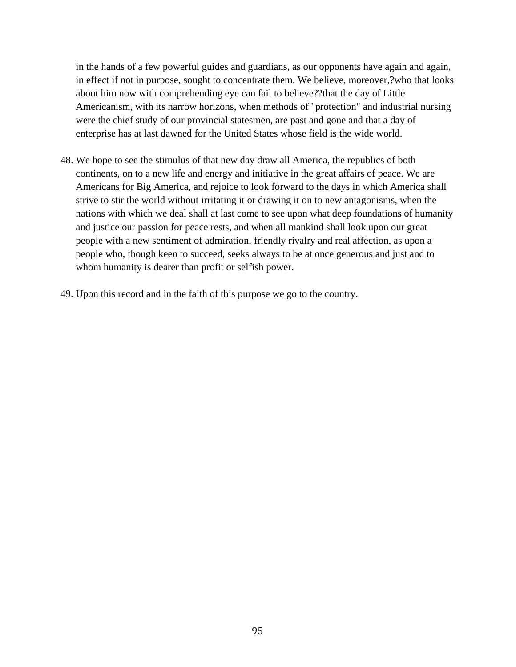in the hands of a few powerful guides and guardians, as our opponents have again and again, in effect if not in purpose, sought to concentrate them. We believe, moreover,?who that looks about him now with comprehending eye can fail to believe??that the day of Little Americanism, with its narrow horizons, when methods of "protection" and industrial nursing were the chief study of our provincial statesmen, are past and gone and that a day of enterprise has at last dawned for the United States whose field is the wide world.

- 48. We hope to see the stimulus of that new day draw all America, the republics of both continents, on to a new life and energy and initiative in the great affairs of peace. We are Americans for Big America, and rejoice to look forward to the days in which America shall strive to stir the world without irritating it or drawing it on to new antagonisms, when the nations with which we deal shall at last come to see upon what deep foundations of humanity and justice our passion for peace rests, and when all mankind shall look upon our great people with a new sentiment of admiration, friendly rivalry and real affection, as upon a people who, though keen to succeed, seeks always to be at once generous and just and to whom humanity is dearer than profit or selfish power.
- 49. Upon this record and in the faith of this purpose we go to the country.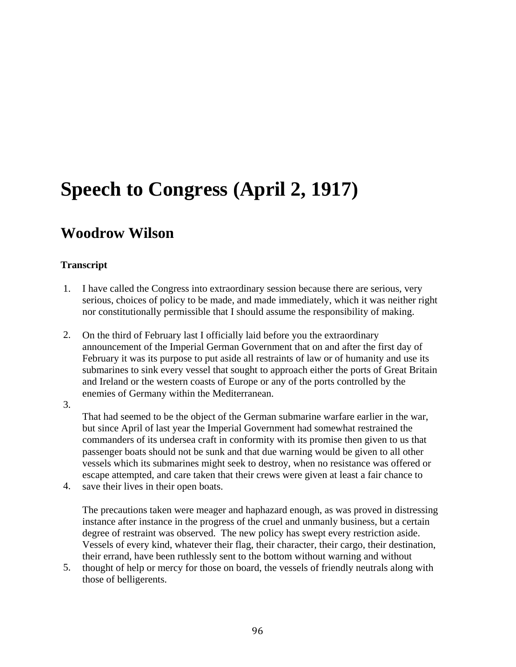## **Speech to Congress (April 2, 1917)**

### **Woodrow Wilson**

#### **Transcript**

- 1. I have called the Congress into extraordinary session because there are serious, very serious, choices of policy to be made, and made immediately, which it was neither right nor constitutionally permissible that I should assume the responsibility of making.
- 2. On the third of February last I officially laid before you the extraordinary announcement of the Imperial German Government that on and after the first day of February it was its purpose to put aside all restraints of law or of humanity and use its submarines to sink every vessel that sought to approach either the ports of Great Britain and Ireland or the western coasts of Europe or any of the ports controlled by the enemies of Germany within the Mediterranean.
- 3.

That had seemed to be the object of the German submarine warfare earlier in the war, but since April of last year the Imperial Government had somewhat restrained the commanders of its undersea craft in conformity with its promise then given to us that passenger boats should not be sunk and that due warning would be given to all other vessels which its submarines might seek to destroy, when no resistance was offered or escape attempted, and care taken that their crews were given at least a fair chance to

4. save their lives in their open boats.

> The precautions taken were meager and haphazard enough, as was proved in distressing instance after instance in the progress of the cruel and unmanly business, but a certain degree of restraint was observed. The new policy has swept every restriction aside. Vessels of every kind, whatever their flag, their character, their cargo, their destination, their errand, have been ruthlessly sent to the bottom without warning and without

5. thought of help or mercy for those on board, the vessels of friendly neutrals along with those of belligerents.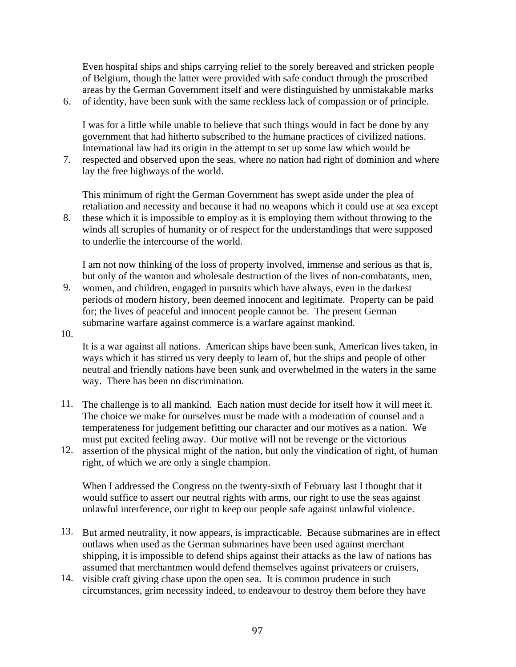Even hospital ships and ships carrying relief to the sorely bereaved and stricken people of Belgium, though the latter were provided with safe conduct through the proscribed areas by the German Government itself and were distinguished by unmistakable marks

6. of identity, have been sunk with the same reckless lack of compassion or of principle.

I was for a little while unable to believe that such things would in fact be done by any government that had hitherto subscribed to the humane practices of civilized nations. International law had its origin in the attempt to set up some law which would be

7. respected and observed upon the seas, where no nation had right of dominion and where lay the free highways of the world.

This minimum of right the German Government has swept aside under the plea of retaliation and necessity and because it had no weapons which it could use at sea except

8. these which it is impossible to employ as it is employing them without throwing to the winds all scruples of humanity or of respect for the understandings that were supposed to underlie the intercourse of the world.

I am not now thinking of the loss of property involved, immense and serious as that is, but only of the wanton and wholesale destruction of the lives of non-combatants, men,

- 9. women, and children, engaged in pursuits which have always, even in the darkest periods of modern history, been deemed innocent and legitimate. Property can be paid for; the lives of peaceful and innocent people cannot be. The present German submarine warfare against commerce is a warfare against mankind.
- 10.

It is a war against all nations. American ships have been sunk, American lives taken, in ways which it has stirred us very deeply to learn of, but the ships and people of other neutral and friendly nations have been sunk and overwhelmed in the waters in the same way. There has been no discrimination.

- 11. The challenge is to all mankind. Each nation must decide for itself how it will meet it. The choice we make for ourselves must be made with a moderation of counsel and a temperateness for judgement befitting our character and our motives as a nation. We must put excited feeling away. Our motive will not be revenge or the victorious
- 12. assertion of the physical might of the nation, but only the vindication of right, of human right, of which we are only a single champion.

When I addressed the Congress on the twenty-sixth of February last I thought that it would suffice to assert our neutral rights with arms, our right to use the seas against unlawful interference, our right to keep our people safe against unlawful violence.

- 13. But armed neutrality, it now appears, is impracticable. Because submarines are in effect outlaws when used as the German submarines have been used against merchant shipping, it is impossible to defend ships against their attacks as the law of nations has assumed that merchantmen would defend themselves against privateers or cruisers,
- 14. visible craft giving chase upon the open sea. It is common prudence in such circumstances, grim necessity indeed, to endeavour to destroy them before they have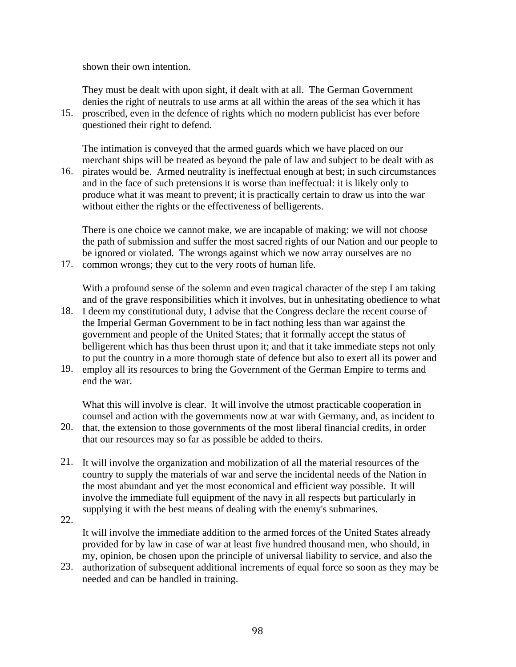shown their own intention.

They must be dealt with upon sight, if dealt with at all. The German Government denies the right of neutrals to use arms at all within the areas of the sea which it has

15. proscribed, even in the defence of rights which no modern publicist has ever before questioned their right to defend.

The intimation is conveyed that the armed guards which we have placed on our merchant ships will be treated as beyond the pale of law and subject to be dealt with as

16. pirates would be. Armed neutrality is ineffectual enough at best; in such circumstances and in the face of such pretensions it is worse than ineffectual: it is likely only to produce what it was meant to prevent; it is practically certain to draw us into the war without either the rights or the effectiveness of belligerents.

There is one choice we cannot make, we are incapable of making: we will not choose the path of submission and suffer the most sacred rights of our Nation and our people to be ignored or violated. The wrongs against which we now array ourselves are no

17. common wrongs; they cut to the very roots of human life.

With a profound sense of the solemn and even tragical character of the step I am taking and of the grave responsibilities which it involves, but in unhesitating obedience to what

- 18. I deem my constitutional duty, I advise that the Congress declare the recent course of the Imperial German Government to be in fact nothing less than war against the government and people of the United States; that it formally accept the status of belligerent which has thus been thrust upon it; and that it take immediate steps not only to put the country in a more thorough state of defence but also to exert all its power and
- 19. employ all its resources to bring the Government of the German Empire to terms and end the war.

What this will involve is clear. It will involve the utmost practicable cooperation in counsel and action with the governments now at war with Germany, and, as incident to

- 20. that, the extension to those governments of the most liberal financial credits, in order that our resources may so far as possible be added to theirs.
- 21. It will involve the organization and mobilization of all the material resources of the country to supply the materials of war and serve the incidental needs of the Nation in the most abundant and yet the most economical and efficient way possible. It will involve the immediate full equipment of the navy in all respects but particularly in supplying it with the best means of dealing with the enemy's submarines.
- 22.

It will involve the immediate addition to the armed forces of the United States already provided for by law in case of war at least five hundred thousand men, who should, in my, opinion, be chosen upon the principle of universal liability to service, and also the

23. authorization of subsequent additional increments of equal force so soon as they may be needed and can be handled in training.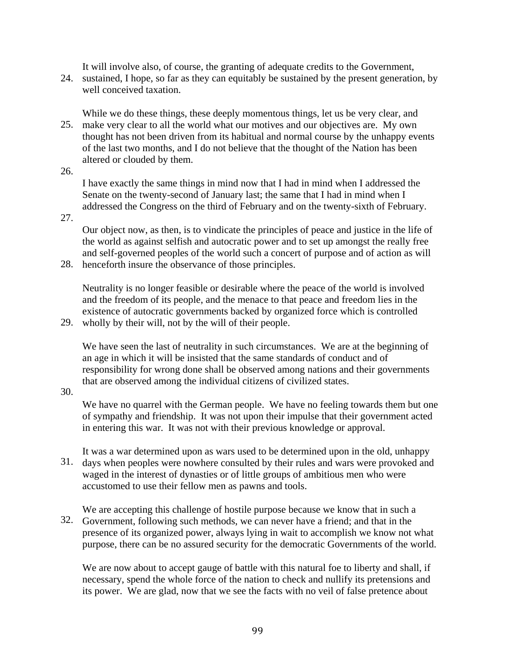It will involve also, of course, the granting of adequate credits to the Government,

24. sustained, I hope, so far as they can equitably be sustained by the present generation, by well conceived taxation.

25. make very clear to all the world what our motives and our objectives are. My own While we do these things, these deeply momentous things, let us be very clear, and thought has not been driven from its habitual and normal course by the unhappy events of the last two months, and I do not believe that the thought of the Nation has been altered or clouded by them.

26.

I have exactly the same things in mind now that I had in mind when I addressed the Senate on the twenty-second of January last; the same that I had in mind when I addressed the Congress on the third of February and on the twenty-sixth of February.

27.

Our object now, as then, is to vindicate the principles of peace and justice in the life of the world as against selfish and autocratic power and to set up amongst the really free and self-governed peoples of the world such a concert of purpose and of action as will

28. henceforth insure the observance of those principles.

Neutrality is no longer feasible or desirable where the peace of the world is involved and the freedom of its people, and the menace to that peace and freedom lies in the existence of autocratic governments backed by organized force which is controlled

29. wholly by their will, not by the will of their people.

We have seen the last of neutrality in such circumstances. We are at the beginning of an age in which it will be insisted that the same standards of conduct and of responsibility for wrong done shall be observed among nations and their governments that are observed among the individual citizens of civilized states.

30.

We have no quarrel with the German people. We have no feeling towards them but one of sympathy and friendship. It was not upon their impulse that their government acted in entering this war. It was not with their previous knowledge or approval.

31. days when peoples were nowhere consulted by their rules and wars were provoked and It was a war determined upon as wars used to be determined upon in the old, unhappy waged in the interest of dynasties or of little groups of ambitious men who were accustomed to use their fellow men as pawns and tools.

32. Government, following such methods, we can never have a friend; and that in the We are accepting this challenge of hostile purpose because we know that in such a presence of its organized power, always lying in wait to accomplish we know not what purpose, there can be no assured security for the democratic Governments of the world.

We are now about to accept gauge of battle with this natural foe to liberty and shall, if necessary, spend the whole force of the nation to check and nullify its pretensions and its power. We are glad, now that we see the facts with no veil of false pretence about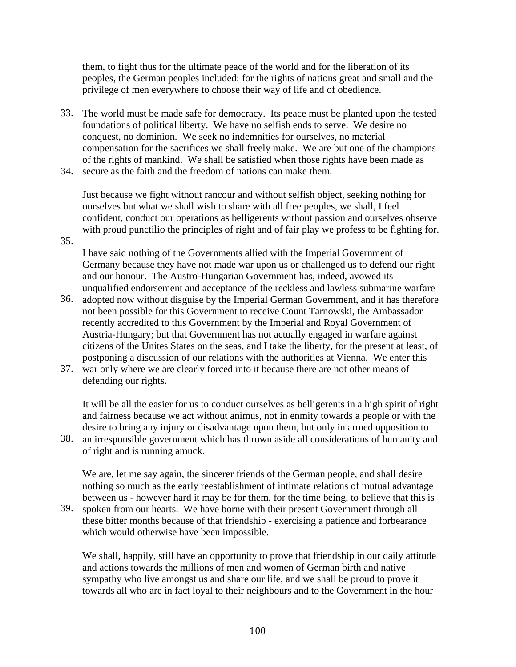them, to fight thus for the ultimate peace of the world and for the liberation of its peoples, the German peoples included: for the rights of nations great and small and the privilege of men everywhere to choose their way of life and of obedience.

- 33. The world must be made safe for democracy. Its peace must be planted upon the tested foundations of political liberty. We have no selfish ends to serve. We desire no conquest, no dominion. We seek no indemnities for ourselves, no material compensation for the sacrifices we shall freely make. We are but one of the champions of the rights of mankind. We shall be satisfied when those rights have been made as
- 34. secure as the faith and the freedom of nations can make them.

Just because we fight without rancour and without selfish object, seeking nothing for ourselves but what we shall wish to share with all free peoples, we shall, I feel confident, conduct our operations as belligerents without passion and ourselves observe with proud punctilio the principles of right and of fair play we profess to be fighting for.

35.

I have said nothing of the Governments allied with the Imperial Government of Germany because they have not made war upon us or challenged us to defend our right and our honour. The Austro-Hungarian Government has, indeed, avowed its unqualified endorsement and acceptance of the reckless and lawless submarine warfare

- 36. adopted now without disguise by the Imperial German Government, and it has therefore not been possible for this Government to receive Count Tarnowski, the Ambassador recently accredited to this Government by the Imperial and Royal Government of Austria-Hungary; but that Government has not actually engaged in warfare against citizens of the Unites States on the seas, and I take the liberty, for the present at least, of postponing a discussion of our relations with the authorities at Vienna. We enter this
- 37. war only where we are clearly forced into it because there are not other means of defending our rights.

It will be all the easier for us to conduct ourselves as belligerents in a high spirit of right and fairness because we act without animus, not in enmity towards a people or with the desire to bring any injury or disadvantage upon them, but only in armed opposition to

38. an irresponsible government which has thrown aside all considerations of humanity and of right and is running amuck.

We are, let me say again, the sincerer friends of the German people, and shall desire nothing so much as the early reestablishment of intimate relations of mutual advantage between us - however hard it may be for them, for the time being, to believe that this is

39. spoken from our hearts. We have borne with their present Government through all these bitter months because of that friendship - exercising a patience and forbearance which would otherwise have been impossible.

We shall, happily, still have an opportunity to prove that friendship in our daily attitude and actions towards the millions of men and women of German birth and native sympathy who live amongst us and share our life, and we shall be proud to prove it towards all who are in fact loyal to their neighbours and to the Government in the hour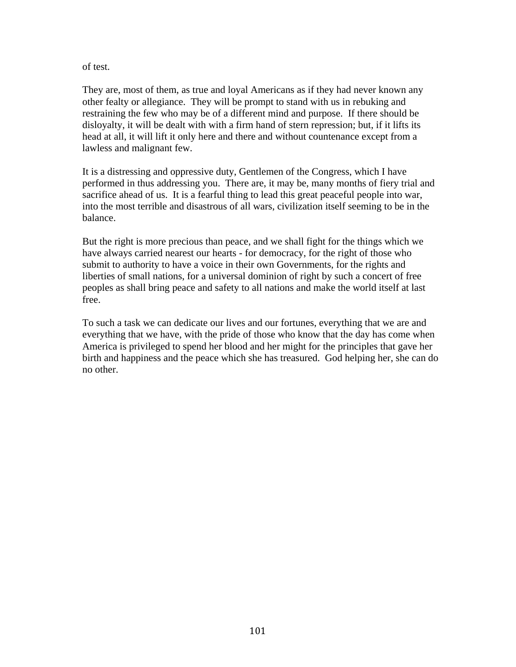#### of test.

They are, most of them, as true and loyal Americans as if they had never known any other fealty or allegiance. They will be prompt to stand with us in rebuking and restraining the few who may be of a different mind and purpose. If there should be disloyalty, it will be dealt with with a firm hand of stern repression; but, if it lifts its head at all, it will lift it only here and there and without countenance except from a lawless and malignant few.

It is a distressing and oppressive duty, Gentlemen of the Congress, which I have performed in thus addressing you. There are, it may be, many months of fiery trial and sacrifice ahead of us. It is a fearful thing to lead this great peaceful people into war, into the most terrible and disastrous of all wars, civilization itself seeming to be in the balance.

But the right is more precious than peace, and we shall fight for the things which we have always carried nearest our hearts - for democracy, for the right of those who submit to authority to have a voice in their own Governments, for the rights and liberties of small nations, for a universal dominion of right by such a concert of free peoples as shall bring peace and safety to all nations and make the world itself at last free.

To such a task we can dedicate our lives and our fortunes, everything that we are and everything that we have, with the pride of those who know that the day has come when America is privileged to spend her blood and her might for the principles that gave her birth and happiness and the peace which she has treasured. God helping her, she can do no other.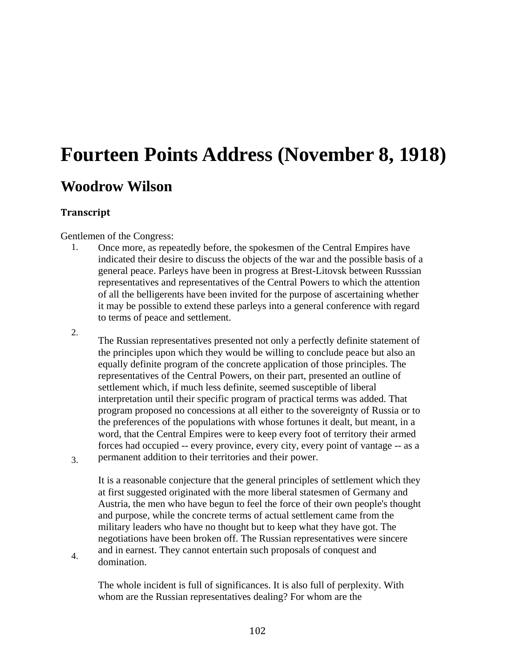## **Fourteen Points Address (November 8, 1918) Woodrow Wilson**

## **Transcript**

3.

4.

Gentlemen of the Congress:

- 1. Once more, as repeatedly before, the spokesmen of the Central Empires have indicated their desire to discuss the objects of the war and the possible basis of a general peace. Parleys have been in progress at Brest-Litovsk between Russsian representatives and representatives of the Central Powers to which the attention of all the belligerents have been invited for the purpose of ascertaining whether it may be possible to extend these parleys into a general conference with regard to terms of peace and settlement.
- 2. The Russian representatives presented not only a perfectly definite statement of the principles upon which they would be willing to conclude peace but also an equally definite program of the concrete application of those principles. The representatives of the Central Powers, on their part, presented an outline of settlement which, if much less definite, seemed susceptible of liberal interpretation until their specific program of practical terms was added. That program proposed no concessions at all either to the sovereignty of Russia or to the preferences of the populations with whose fortunes it dealt, but meant, in a word, that the Central Empires were to keep every foot of territory their armed forces had occupied -- every province, every city, every point of vantage -- as a permanent addition to their territories and their power.

It is a reasonable conjecture that the general principles of settlement which they at first suggested originated with the more liberal statesmen of Germany and Austria, the men who have begun to feel the force of their own people's thought and purpose, while the concrete terms of actual settlement came from the military leaders who have no thought but to keep what they have got. The negotiations have been broken off. The Russian representatives were sincere and in earnest. They cannot entertain such proposals of conquest and domination.

The whole incident is full of significances. It is also full of perplexity. With whom are the Russian representatives dealing? For whom are the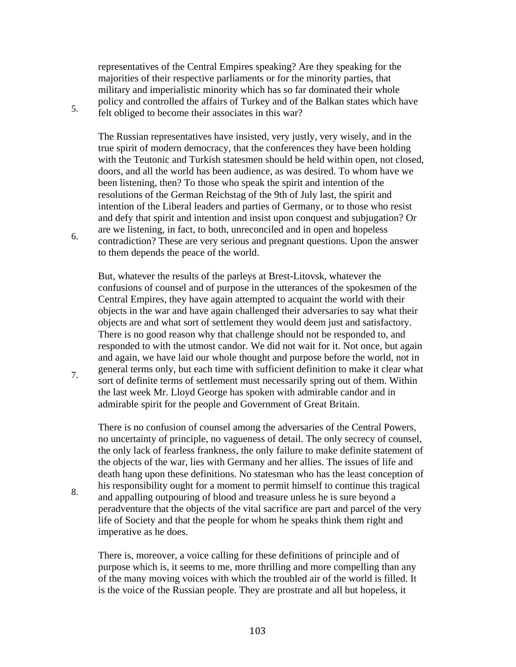representatives of the Central Empires speaking? Are they speaking for the majorities of their respective parliaments or for the minority parties, that military and imperialistic minority which has so far dominated their whole policy and controlled the affairs of Turkey and of the Balkan states which have felt obliged to become their associates in this war?

5.

6.

7.

8.

The Russian representatives have insisted, very justly, very wisely, and in the true spirit of modern democracy, that the conferences they have been holding with the Teutonic and Turkish statesmen should be held within open, not closed, doors, and all the world has been audience, as was desired. To whom have we been listening, then? To those who speak the spirit and intention of the resolutions of the German Reichstag of the 9th of July last, the spirit and intention of the Liberal leaders and parties of Germany, or to those who resist and defy that spirit and intention and insist upon conquest and subjugation? Or are we listening, in fact, to both, unreconciled and in open and hopeless contradiction? These are very serious and pregnant questions. Upon the answer to them depends the peace of the world.

But, whatever the results of the parleys at Brest-Litovsk, whatever the confusions of counsel and of purpose in the utterances of the spokesmen of the Central Empires, they have again attempted to acquaint the world with their objects in the war and have again challenged their adversaries to say what their objects are and what sort of settlement they would deem just and satisfactory. There is no good reason why that challenge should not be responded to, and responded to with the utmost candor. We did not wait for it. Not once, but again and again, we have laid our whole thought and purpose before the world, not in general terms only, but each time with sufficient definition to make it clear what sort of definite terms of settlement must necessarily spring out of them. Within the last week Mr. Lloyd George has spoken with admirable candor and in admirable spirit for the people and Government of Great Britain.

There is no confusion of counsel among the adversaries of the Central Powers, no uncertainty of principle, no vagueness of detail. The only secrecy of counsel, the only lack of fearless frankness, the only failure to make definite statement of the objects of the war, lies with Germany and her allies. The issues of life and death hang upon these definitions. No statesman who has the least conception of his responsibility ought for a moment to permit himself to continue this tragical and appalling outpouring of blood and treasure unless he is sure beyond a peradventure that the objects of the vital sacrifice are part and parcel of the very life of Society and that the people for whom he speaks think them right and imperative as he does.

There is, moreover, a voice calling for these definitions of principle and of purpose which is, it seems to me, more thrilling and more compelling than any of the many moving voices with which the troubled air of the world is filled. It is the voice of the Russian people. They are prostrate and all but hopeless, it

103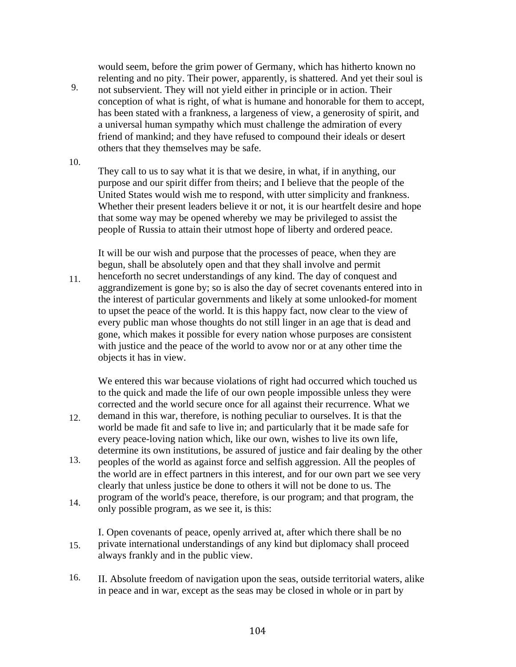would seem, before the grim power of Germany, which has hitherto known no relenting and no pity. Their power, apparently, is shattered. And yet their soul is

9. not subservient. They will not yield either in principle or in action. Their conception of what is right, of what is humane and honorable for them to accept, has been stated with a frankness, a largeness of view, a generosity of spirit, and a universal human sympathy which must challenge the admiration of every friend of mankind; and they have refused to compound their ideals or desert others that they themselves may be safe.

10.

They call to us to say what it is that we desire, in what, if in anything, our purpose and our spirit differ from theirs; and I believe that the people of the United States would wish me to respond, with utter simplicity and frankness. Whether their present leaders believe it or not, it is our heartfelt desire and hope that some way may be opened whereby we may be privileged to assist the people of Russia to attain their utmost hope of liberty and ordered peace.

It will be our wish and purpose that the processes of peace, when they are begun, shall be absolutely open and that they shall involve and permit

11. henceforth no secret understandings of any kind. The day of conquest and aggrandizement is gone by; so is also the day of secret covenants entered into in the interest of particular governments and likely at some unlooked-for moment to upset the peace of the world. It is this happy fact, now clear to the view of every public man whose thoughts do not still linger in an age that is dead and gone, which makes it possible for every nation whose purposes are consistent with justice and the peace of the world to avow nor or at any other time the objects it has in view.

We entered this war because violations of right had occurred which touched us to the quick and made the life of our own people impossible unless they were corrected and the world secure once for all against their recurrence. What we

- 12. demand in this war, therefore, is nothing peculiar to ourselves. It is that the world be made fit and safe to live in; and particularly that it be made safe for every peace-loving nation which, like our own, wishes to live its own life, determine its own institutions, be assured of justice and fair dealing by the other
- 13. peoples of the world as against force and selfish aggression. All the peoples of the world are in effect partners in this interest, and for our own part we see very clearly that unless justice be done to others it will not be done to us. The program of the world's peace, therefore, is our program; and that program, the
- 14. only possible program, as we see it, is this:

15. I. Open covenants of peace, openly arrived at, after which there shall be no private international understandings of any kind but diplomacy shall proceed always frankly and in the public view.

16. II. Absolute freedom of navigation upon the seas, outside territorial waters, alike in peace and in war, except as the seas may be closed in whole or in part by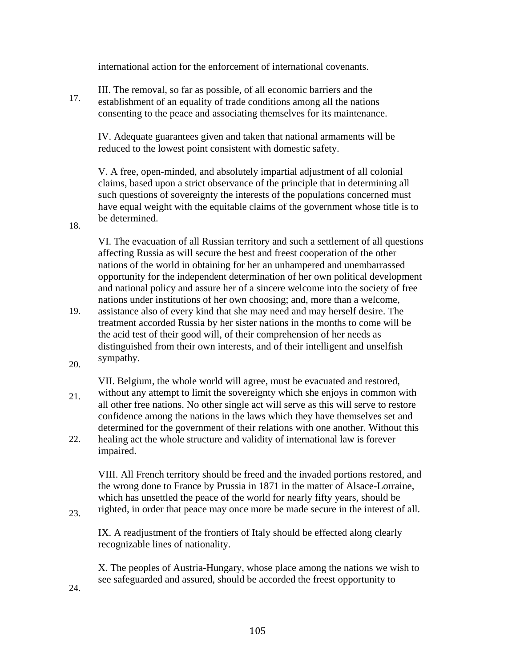international action for the enforcement of international covenants.

17. III. The removal, so far as possible, of all economic barriers and the establishment of an equality of trade conditions among all the nations consenting to the peace and associating themselves for its maintenance.

IV. Adequate guarantees given and taken that national armaments will be reduced to the lowest point consistent with domestic safety.

V. A free, open-minded, and absolutely impartial adjustment of all colonial claims, based upon a strict observance of the principle that in determining all such questions of sovereignty the interests of the populations concerned must have equal weight with the equitable claims of the government whose title is to be determined.

18.

VI. The evacuation of all Russian territory and such a settlement of all questions affecting Russia as will secure the best and freest cooperation of the other nations of the world in obtaining for her an unhampered and unembarrassed opportunity for the independent determination of her own political development and national policy and assure her of a sincere welcome into the society of free nations under institutions of her own choosing; and, more than a welcome,

- 19. assistance also of every kind that she may need and may herself desire. The treatment accorded Russia by her sister nations in the months to come will be the acid test of their good will, of their comprehension of her needs as distinguished from their own interests, and of their intelligent and unselfish sympathy.
- 20.
- 21. VII. Belgium, the whole world will agree, must be evacuated and restored, without any attempt to limit the sovereignty which she enjoys in common with all other free nations. No other single act will serve as this will serve to restore confidence among the nations in the laws which they have themselves set and determined for the government of their relations with one another. Without this
- 22. healing act the whole structure and validity of international law is forever impaired.

VIII. All French territory should be freed and the invaded portions restored, and the wrong done to France by Prussia in 1871 in the matter of Alsace-Lorraine, which has unsettled the peace of the world for nearly fifty years, should be righted, in order that peace may once more be made secure in the interest of all.

IX. A readjustment of the frontiers of Italy should be effected along clearly recognizable lines of nationality.

X. The peoples of Austria-Hungary, whose place among the nations we wish to see safeguarded and assured, should be accorded the freest opportunity to

24.

23.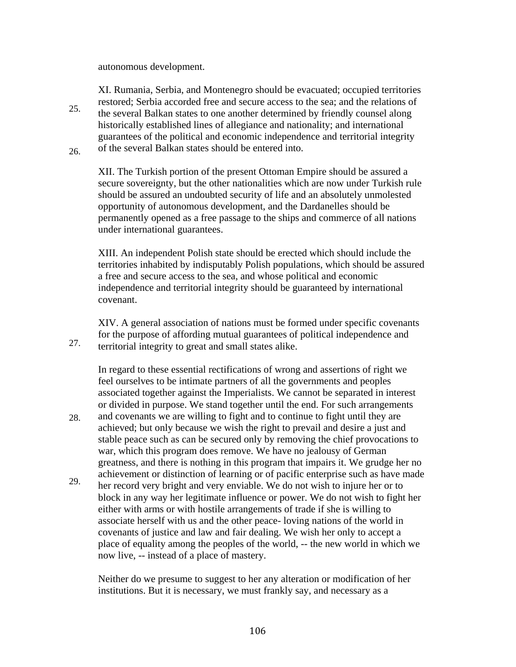autonomous development.

25. 26. XI. Rumania, Serbia, and Montenegro should be evacuated; occupied territories restored; Serbia accorded free and secure access to the sea; and the relations of the several Balkan states to one another determined by friendly counsel along historically established lines of allegiance and nationality; and international guarantees of the political and economic independence and territorial integrity of the several Balkan states should be entered into.

XII. The Turkish portion of the present Ottoman Empire should be assured a secure sovereignty, but the other nationalities which are now under Turkish rule should be assured an undoubted security of life and an absolutely unmolested opportunity of autonomous development, and the Dardanelles should be permanently opened as a free passage to the ships and commerce of all nations under international guarantees.

XIII. An independent Polish state should be erected which should include the territories inhabited by indisputably Polish populations, which should be assured a free and secure access to the sea, and whose political and economic independence and territorial integrity should be guaranteed by international covenant.

27. XIV. A general association of nations must be formed under specific covenants for the purpose of affording mutual guarantees of political independence and territorial integrity to great and small states alike.

In regard to these essential rectifications of wrong and assertions of right we feel ourselves to be intimate partners of all the governments and peoples associated together against the Imperialists. We cannot be separated in interest or divided in purpose. We stand together until the end. For such arrangements and covenants we are willing to fight and to continue to fight until they are

- 28. achieved; but only because we wish the right to prevail and desire a just and stable peace such as can be secured only by removing the chief provocations to war, which this program does remove. We have no jealousy of German greatness, and there is nothing in this program that impairs it. We grudge her no achievement or distinction of learning or of pacific enterprise such as have made
- 29. her record very bright and very enviable. We do not wish to injure her or to block in any way her legitimate influence or power. We do not wish to fight her either with arms or with hostile arrangements of trade if she is willing to associate herself with us and the other peace- loving nations of the world in covenants of justice and law and fair dealing. We wish her only to accept a place of equality among the peoples of the world, -- the new world in which we now live, -- instead of a place of mastery.

Neither do we presume to suggest to her any alteration or modification of her institutions. But it is necessary, we must frankly say, and necessary as a